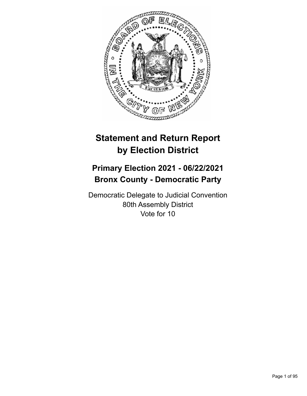

# **Statement and Return Report by Election District**

## **Primary Election 2021 - 06/22/2021 Bronx County - Democratic Party**

Democratic Delegate to Judicial Convention 80th Assembly District Vote for 10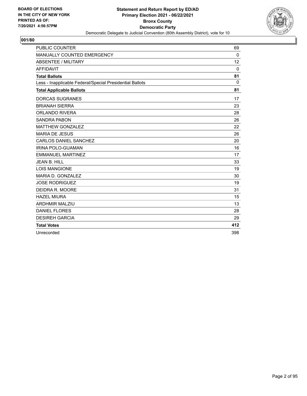

| <b>PUBLIC COUNTER</b>                                    | 69       |
|----------------------------------------------------------|----------|
| MANUALLY COUNTED EMERGENCY                               | 0        |
| <b>ABSENTEE / MILITARY</b>                               | 12       |
| <b>AFFIDAVIT</b>                                         | $\Omega$ |
| <b>Total Ballots</b>                                     | 81       |
| Less - Inapplicable Federal/Special Presidential Ballots | $\Omega$ |
| <b>Total Applicable Ballots</b>                          | 81       |
| <b>DORCAS SUGRANES</b>                                   | 17       |
| <b>BRIANAH SIERRA</b>                                    | 23       |
| <b>ORLANDO RIVERA</b>                                    | 28       |
| <b>SANDRA PABON</b>                                      | 26       |
| <b>MATTHEW GONZALEZ</b>                                  | 22       |
| <b>MARIA DE JESUS</b>                                    | 26       |
| CARLOS DANIEL SANCHEZ                                    | 20       |
| <b>IRINA POLO-GUAMAN</b>                                 | 16       |
| <b>EMMANUEL MARTINEZ</b>                                 | 17       |
| <b>JEAN B. HILL</b>                                      | 33       |
| <b>LOIS MANGIONE</b>                                     | 19       |
| MARIA D. GONZALEZ                                        | 30       |
| <b>JOSE RODRIGUEZ</b>                                    | 19       |
| DEIDRA R. MOORE                                          | 31       |
| <b>HAZEL MIURA</b>                                       | 15       |
| <b>ARDHMIR MALZIU</b>                                    | 13       |
| <b>DANIEL FLORES</b>                                     | 28       |
| <b>DESIREH GARCIA</b>                                    | 29       |
| <b>Total Votes</b>                                       | 412      |
| Unrecorded                                               | 398      |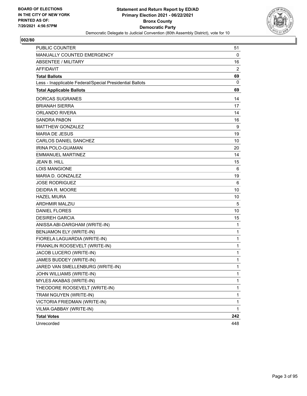

| <b>PUBLIC COUNTER</b>                                    | 51           |
|----------------------------------------------------------|--------------|
| MANUALLY COUNTED EMERGENCY                               | 0            |
| <b>ABSENTEE / MILITARY</b>                               | 16           |
| <b>AFFIDAVIT</b>                                         | 2            |
| <b>Total Ballots</b>                                     | 69           |
| Less - Inapplicable Federal/Special Presidential Ballots | 0            |
| <b>Total Applicable Ballots</b>                          | 69           |
| <b>DORCAS SUGRANES</b>                                   | 14           |
| <b>BRIANAH SIERRA</b>                                    | 17           |
| ORLANDO RIVERA                                           | 14           |
| SANDRA PABON                                             | 16           |
| <b>MATTHEW GONZALEZ</b>                                  | 9            |
| <b>MARIA DE JESUS</b>                                    | 19           |
| <b>CARLOS DANIEL SANCHEZ</b>                             | 10           |
| IRINA POLO-GUAMAN                                        | 20           |
| <b>EMMANUEL MARTINEZ</b>                                 | 14           |
| <b>JEAN B. HILL</b>                                      | 15           |
| <b>LOIS MANGIONE</b>                                     | 6            |
| MARIA D. GONZALEZ                                        | 19           |
| <b>JOSE RODRIGUEZ</b>                                    | 6            |
| DEIDRA R. MOORE                                          | 10           |
| <b>HAZEL MIURA</b>                                       | 10           |
| <b>ARDHMIR MALZIU</b>                                    | 5            |
| <b>DANIEL FLORES</b>                                     | 10           |
| <b>DESIREH GARCIA</b>                                    | 15           |
| ANISSA ABI-DARGHAM (WRITE-IN)                            | $\mathbf{1}$ |
| BENJAMON ELY (WRITE-IN)                                  | 1            |
| FIORELA LAGUARDIA (WRITE-IN)                             | 1            |
| FRANKLIN ROOSEVELT (WRITE-IN)                            | $\mathbf{1}$ |
| JACOB LUCERO (WRITE-IN)                                  | 1            |
| JAMES BUDDEY (WRITE-IN)                                  | 1            |
| JARED VAN SMELLENBURG (WRITE-IN)                         | 1            |
| JOHN WILLIAMS (WRITE-IN)                                 | 1            |
| MYLES AKABAS (WRITE-IN)                                  | 1            |
| THEODORE ROOSEVELT (WRITE-IN)                            | 1            |
| TRAM NGUYEN (WRITE-IN)                                   | 1            |
| VICTORIA FRIEDMAN (WRITE-IN)                             | 1            |
| VILMA GABBAY (WRITE-IN)                                  | 1            |
| <b>Total Votes</b>                                       | 242          |
| Unrecorded                                               | 448          |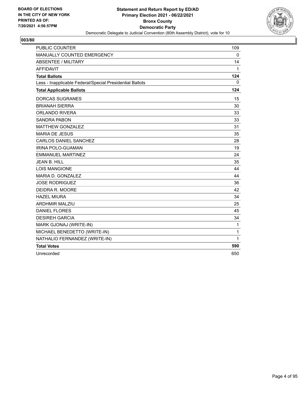

| <b>PUBLIC COUNTER</b>                                    | 109          |
|----------------------------------------------------------|--------------|
| MANUALLY COUNTED EMERGENCY                               | 0            |
| <b>ABSENTEE / MILITARY</b>                               | 14           |
| <b>AFFIDAVIT</b>                                         | 1            |
| <b>Total Ballots</b>                                     | 124          |
| Less - Inapplicable Federal/Special Presidential Ballots | 0            |
| <b>Total Applicable Ballots</b>                          | 124          |
| <b>DORCAS SUGRANES</b>                                   | 15           |
| <b>BRIANAH SIERRA</b>                                    | 30           |
| <b>ORLANDO RIVERA</b>                                    | 33           |
| <b>SANDRA PABON</b>                                      | 33           |
| <b>MATTHEW GONZALEZ</b>                                  | 31           |
| <b>MARIA DE JESUS</b>                                    | 35           |
| <b>CARLOS DANIEL SANCHEZ</b>                             | 28           |
| <b>IRINA POLO-GUAMAN</b>                                 | 19           |
| <b>EMMANUEL MARTINEZ</b>                                 | 24           |
| <b>JEAN B. HILL</b>                                      | 35           |
| <b>LOIS MANGIONE</b>                                     | 44           |
| MARIA D. GONZALEZ                                        | 44           |
| <b>JOSE RODRIGUEZ</b>                                    | 36           |
| DEIDRA R. MOORE                                          | 42           |
| <b>HAZEL MIURA</b>                                       | 34           |
| <b>ARDHMIR MALZIU</b>                                    | 25           |
| <b>DANIEL FLORES</b>                                     | 45           |
| <b>DESIREH GARCIA</b>                                    | 34           |
| MARK GJONAJ (WRITE-IN)                                   | $\mathbf{1}$ |
| MICHAEL BENEDETTO (WRITE-IN)                             | 1            |
| NATHALIO FERNANDEZ (WRITE-IN)                            | 1            |
| <b>Total Votes</b>                                       | 590          |
| Unrecorded                                               | 650          |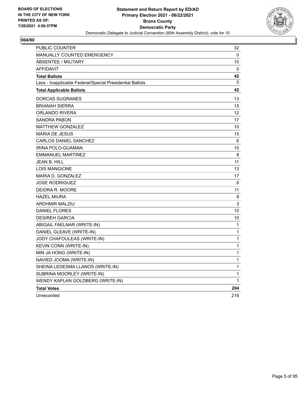

| <b>PUBLIC COUNTER</b>                                    | 32           |
|----------------------------------------------------------|--------------|
| <b>MANUALLY COUNTED EMERGENCY</b>                        | 0            |
| <b>ABSENTEE / MILITARY</b>                               | 10           |
| <b>AFFIDAVIT</b>                                         | 0            |
| <b>Total Ballots</b>                                     | 42           |
| Less - Inapplicable Federal/Special Presidential Ballots | 0            |
| <b>Total Applicable Ballots</b>                          | 42           |
| DORCAS SUGRANES                                          | 13           |
| <b>BRIANAH SIERRA</b>                                    | 15           |
| ORLANDO RIVERA                                           | 12           |
| SANDRA PABON                                             | 17           |
| <b>MATTHEW GONZALEZ</b>                                  | 10           |
| <b>MARIA DE JESUS</b>                                    | 15           |
| <b>CARLOS DANIEL SANCHEZ</b>                             | 6            |
| IRINA POLO-GUAMAN                                        | 10           |
| <b>EMMANUEL MARTINEZ</b>                                 | 8            |
| JEAN B. HILL                                             | 11           |
| <b>LOIS MANGIONE</b>                                     | 13           |
| <b>MARIA D. GONZALEZ</b>                                 | 17           |
| <b>JOSE RODRIGUEZ</b>                                    | 6            |
| DEIDRA R. MOORE                                          | 11           |
| <b>HAZEL MIURA</b>                                       | 8            |
| <b>ARDHMIR MALZIU</b>                                    | 3            |
| <b>DANIEL FLORES</b>                                     | 10           |
| <b>DESIREH GARCIA</b>                                    | 10           |
| ABIGAIL FAELNAR (WRITE-IN)                               | 1            |
| DANIEL GLEAVE (WRITE-IN)                                 | 1            |
| JODY CHAFOULEAS (WRITE-IN)                               | $\mathbf{1}$ |
| KEVIN CONN (WRITE-IN)                                    | 1            |
| MIN JA HONG (WRITE-IN)                                   | 1            |
| NAVIED JOOMA (WRITE-IN)                                  | 1            |
| SHEINA LEDESMA LLANOS (WRITE-IN)                         | $\mathbf 1$  |
| SUBRINA MOORLEY (WRITE-IN)                               | 1            |
| WENDY KAPLAN GOLDBERG (WRITE-IN)                         | 1            |
| <b>Total Votes</b>                                       | 204          |
| Unrecorded                                               | 216          |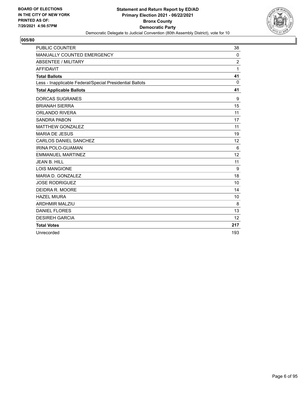

| <b>PUBLIC COUNTER</b>                                    | 38             |
|----------------------------------------------------------|----------------|
| MANUALLY COUNTED EMERGENCY                               | 0              |
| <b>ABSENTEE / MILITARY</b>                               | $\overline{2}$ |
| <b>AFFIDAVIT</b>                                         | 1              |
| <b>Total Ballots</b>                                     | 41             |
| Less - Inapplicable Federal/Special Presidential Ballots | $\Omega$       |
| <b>Total Applicable Ballots</b>                          | 41             |
| <b>DORCAS SUGRANES</b>                                   | 9              |
| <b>BRIANAH SIERRA</b>                                    | 15             |
| <b>ORLANDO RIVERA</b>                                    | 11             |
| <b>SANDRA PABON</b>                                      | 17             |
| <b>MATTHEW GONZALEZ</b>                                  | 11             |
| <b>MARIA DE JESUS</b>                                    | 19             |
| <b>CARLOS DANIEL SANCHEZ</b>                             | 12             |
| IRINA POLO-GUAMAN                                        | 6              |
| <b>EMMANUEL MARTINEZ</b>                                 | 12             |
| <b>JEAN B. HILL</b>                                      | 11             |
| <b>LOIS MANGIONE</b>                                     | 9              |
| MARIA D. GONZALEZ                                        | 18             |
| <b>JOSE RODRIGUEZ</b>                                    | 10             |
| DEIDRA R. MOORE                                          | 14             |
| <b>HAZEL MIURA</b>                                       | 10             |
| <b>ARDHMIR MALZIU</b>                                    | 8              |
| <b>DANIEL FLORES</b>                                     | 13             |
| <b>DESIREH GARCIA</b>                                    | 12             |
| <b>Total Votes</b>                                       | 217            |
| Unrecorded                                               | 193            |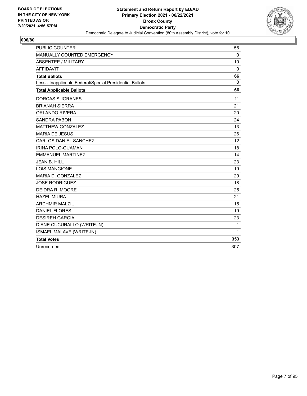

| <b>PUBLIC COUNTER</b>                                    | 56                |
|----------------------------------------------------------|-------------------|
| MANUALLY COUNTED EMERGENCY                               | $\Omega$          |
| <b>ABSENTEE / MILITARY</b>                               | 10                |
| <b>AFFIDAVIT</b>                                         | 0                 |
| <b>Total Ballots</b>                                     | 66                |
| Less - Inapplicable Federal/Special Presidential Ballots | $\Omega$          |
| <b>Total Applicable Ballots</b>                          | 66                |
| <b>DORCAS SUGRANES</b>                                   | 11                |
| <b>BRIANAH SIERRA</b>                                    | 21                |
| <b>ORLANDO RIVERA</b>                                    | 20                |
| <b>SANDRA PABON</b>                                      | 24                |
| <b>MATTHEW GONZALEZ</b>                                  | 13                |
| <b>MARIA DE JESUS</b>                                    | 26                |
| <b>CARLOS DANIEL SANCHEZ</b>                             | $12 \overline{ }$ |
| <b>IRINA POLO-GUAMAN</b>                                 | 18                |
| <b>EMMANUEL MARTINEZ</b>                                 | 14                |
| <b>JEAN B. HILL</b>                                      | 23                |
| <b>LOIS MANGIONE</b>                                     | 19                |
| MARIA D. GONZALEZ                                        | 29                |
| <b>JOSE RODRIGUEZ</b>                                    | 18                |
| DEIDRA R. MOORE                                          | 25                |
| <b>HAZEL MIURA</b>                                       | 21                |
| <b>ARDHMIR MALZIU</b>                                    | 15                |
| <b>DANIEL FLORES</b>                                     | 19                |
| <b>DESIREH GARCIA</b>                                    | 23                |
| DIANE CUCURALLO (WRITE-IN)                               | 1                 |
| <b>ISMAEL MALAVE (WRITE-IN)</b>                          | $\mathbf{1}$      |
| <b>Total Votes</b>                                       | 353               |
| Unrecorded                                               | 307               |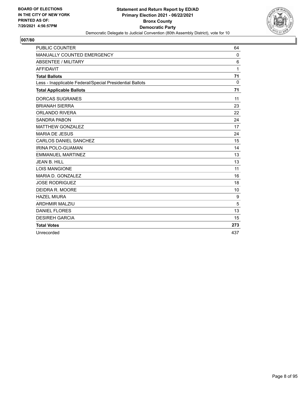

| <b>PUBLIC COUNTER</b>                                    | 64           |
|----------------------------------------------------------|--------------|
| MANUALLY COUNTED EMERGENCY                               | 0            |
| <b>ABSENTEE / MILITARY</b>                               | 6            |
| <b>AFFIDAVIT</b>                                         | $\mathbf{1}$ |
| <b>Total Ballots</b>                                     | 71           |
| Less - Inapplicable Federal/Special Presidential Ballots | $\mathbf{0}$ |
| <b>Total Applicable Ballots</b>                          | 71           |
| <b>DORCAS SUGRANES</b>                                   | 11           |
| <b>BRIANAH SIERRA</b>                                    | 23           |
| <b>ORLANDO RIVERA</b>                                    | 22           |
| <b>SANDRA PABON</b>                                      | 24           |
| <b>MATTHEW GONZALEZ</b>                                  | 17           |
| <b>MARIA DE JESUS</b>                                    | 24           |
| <b>CARLOS DANIEL SANCHEZ</b>                             | 15           |
| <b>IRINA POLO-GUAMAN</b>                                 | 14           |
| <b>EMMANUEL MARTINEZ</b>                                 | 13           |
| <b>JEAN B. HILL</b>                                      | 13           |
| <b>LOIS MANGIONE</b>                                     | 11           |
| MARIA D. GONZALEZ                                        | 16           |
| <b>JOSE RODRIGUEZ</b>                                    | 18           |
| DEIDRA R. MOORE                                          | 10           |
| <b>HAZEL MIURA</b>                                       | 9            |
| <b>ARDHMIR MALZIU</b>                                    | 5            |
| <b>DANIEL FLORES</b>                                     | 13           |
| <b>DESIREH GARCIA</b>                                    | 15           |
| <b>Total Votes</b>                                       | 273          |
| Unrecorded                                               | 437          |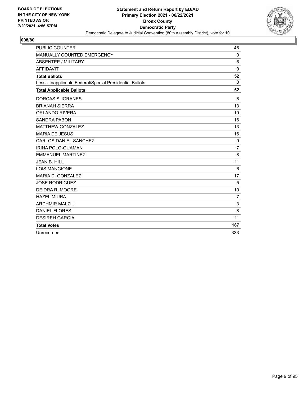

| <b>PUBLIC COUNTER</b>                                    | 46             |
|----------------------------------------------------------|----------------|
| MANUALLY COUNTED EMERGENCY                               | 0              |
| <b>ABSENTEE / MILITARY</b>                               | 6              |
| <b>AFFIDAVIT</b>                                         | $\Omega$       |
| <b>Total Ballots</b>                                     | 52             |
| Less - Inapplicable Federal/Special Presidential Ballots | $\Omega$       |
| <b>Total Applicable Ballots</b>                          | 52             |
| <b>DORCAS SUGRANES</b>                                   | 8              |
| <b>BRIANAH SIERRA</b>                                    | 13             |
| <b>ORLANDO RIVERA</b>                                    | 19             |
| <b>SANDRA PABON</b>                                      | 16             |
| <b>MATTHEW GONZALEZ</b>                                  | 13             |
| <b>MARIA DE JESUS</b>                                    | 16             |
| CARLOS DANIEL SANCHEZ                                    | 9              |
| <b>IRINA POLO-GUAMAN</b>                                 | $\overline{7}$ |
| <b>EMMANUEL MARTINEZ</b>                                 | 8              |
| <b>JEAN B. HILL</b>                                      | 11             |
| <b>LOIS MANGIONE</b>                                     | 6              |
| MARIA D. GONZALEZ                                        | 17             |
| <b>JOSE RODRIGUEZ</b>                                    | 5              |
| DEIDRA R. MOORE                                          | 10             |
| <b>HAZEL MIURA</b>                                       | $\overline{7}$ |
| <b>ARDHMIR MALZIU</b>                                    | 3              |
| <b>DANIEL FLORES</b>                                     | 8              |
| <b>DESIREH GARCIA</b>                                    | 11             |
| <b>Total Votes</b>                                       | 187            |
| Unrecorded                                               | 333            |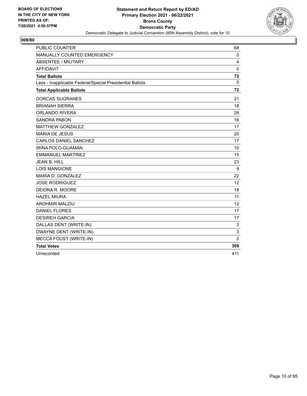

| <b>PUBLIC COUNTER</b>                                    | 68              |
|----------------------------------------------------------|-----------------|
| MANUALLY COUNTED EMERGENCY                               | 0               |
| <b>ABSENTEE / MILITARY</b>                               | 4               |
| <b>AFFIDAVIT</b>                                         | 0               |
| <b>Total Ballots</b>                                     | 72              |
| Less - Inapplicable Federal/Special Presidential Ballots | 0               |
| <b>Total Applicable Ballots</b>                          | 72              |
| <b>DORCAS SUGRANES</b>                                   | 21              |
| <b>BRIANAH SIERRA</b>                                    | 18              |
| <b>ORLANDO RIVERA</b>                                    | 26              |
| <b>SANDRA PABON</b>                                      | 16              |
| <b>MATTHEW GONZALEZ</b>                                  | 17              |
| <b>MARIA DE JESUS</b>                                    | 20              |
| <b>CARLOS DANIEL SANCHEZ</b>                             | 17              |
| <b>IRINA POLO-GUAMAN</b>                                 | 10              |
| <b>EMMANUEL MARTINEZ</b>                                 | 15              |
| <b>JEAN B. HILL</b>                                      | 23              |
| LOIS MANGIONE                                            | 9               |
| MARIA D. GONZALEZ                                        | 22              |
| <b>JOSE RODRIGUEZ</b>                                    | 12 <sup>2</sup> |
| DEIDRA R. MOORE                                          | 18              |
| <b>HAZEL MIURA</b>                                       | 11              |
| <b>ARDHMIR MALZIU</b>                                    | 12              |
| <b>DANIEL FLORES</b>                                     | 17              |
| <b>DESIREH GARCIA</b>                                    | 17              |
| DALLAS DENT (WRITE-IN)                                   | 3               |
| DWAYNE DENT (WRITE-IN)                                   | 3               |
| <b>MECCA FOUST (WRITE-IN)</b>                            | $\overline{2}$  |
| <b>Total Votes</b>                                       | 309             |
| Unrecorded                                               | 411             |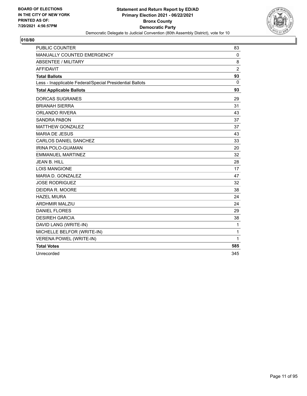

| <b>PUBLIC COUNTER</b>                                    | 83             |
|----------------------------------------------------------|----------------|
| MANUALLY COUNTED EMERGENCY                               | $\mathbf 0$    |
| <b>ABSENTEE / MILITARY</b>                               | 8              |
| <b>AFFIDAVIT</b>                                         | $\overline{2}$ |
| <b>Total Ballots</b>                                     | 93             |
| Less - Inapplicable Federal/Special Presidential Ballots | $\mathbf{0}$   |
| <b>Total Applicable Ballots</b>                          | 93             |
| <b>DORCAS SUGRANES</b>                                   | 29             |
| <b>BRIANAH SIERRA</b>                                    | 31             |
| <b>ORLANDO RIVERA</b>                                    | 43             |
| <b>SANDRA PABON</b>                                      | 37             |
| <b>MATTHEW GONZALEZ</b>                                  | 37             |
| <b>MARIA DE JESUS</b>                                    | 43             |
| <b>CARLOS DANIEL SANCHEZ</b>                             | 33             |
| IRINA POLO-GUAMAN                                        | 20             |
| <b>EMMANUEL MARTINEZ</b>                                 | 32             |
| <b>JEAN B. HILL</b>                                      | 28             |
| <b>LOIS MANGIONE</b>                                     | 17             |
| MARIA D. GONZALEZ                                        | 47             |
| <b>JOSE RODRIGUEZ</b>                                    | 32             |
| DEIDRA R. MOORE                                          | 38             |
| <b>HAZEL MIURA</b>                                       | 24             |
| <b>ARDHMIR MALZIU</b>                                    | 24             |
| <b>DANIEL FLORES</b>                                     | 29             |
| <b>DESIREH GARCIA</b>                                    | 38             |
| DAVID LANG (WRITE-IN)                                    | $\mathbf{1}$   |
| MICHELLE BELFOR (WRITE-IN)                               | 1              |
| VERENA POWEL (WRITE-IN)                                  | 1              |
| <b>Total Votes</b>                                       | 585            |
| Unrecorded                                               | 345            |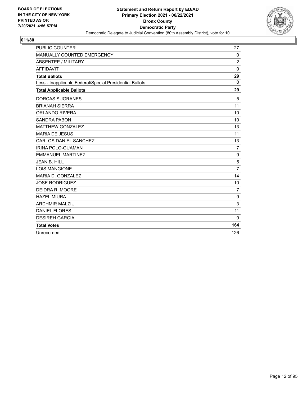

| <b>PUBLIC COUNTER</b>                                    | 27             |
|----------------------------------------------------------|----------------|
| MANUALLY COUNTED EMERGENCY                               | 0              |
| <b>ABSENTEE / MILITARY</b>                               | $\overline{2}$ |
| <b>AFFIDAVIT</b>                                         | $\mathbf{0}$   |
| <b>Total Ballots</b>                                     | 29             |
| Less - Inapplicable Federal/Special Presidential Ballots | $\Omega$       |
| <b>Total Applicable Ballots</b>                          | 29             |
| <b>DORCAS SUGRANES</b>                                   | 5              |
| <b>BRIANAH SIERRA</b>                                    | 11             |
| <b>ORLANDO RIVERA</b>                                    | 10             |
| <b>SANDRA PABON</b>                                      | 10             |
| <b>MATTHEW GONZALEZ</b>                                  | 13             |
| <b>MARIA DE JESUS</b>                                    | 11             |
| <b>CARLOS DANIEL SANCHEZ</b>                             | 13             |
| IRINA POLO-GUAMAN                                        | $\overline{7}$ |
| <b>EMMANUEL MARTINEZ</b>                                 | 9              |
| <b>JEAN B. HILL</b>                                      | 5              |
| <b>LOIS MANGIONE</b>                                     | $\overline{7}$ |
| MARIA D. GONZALEZ                                        | 14             |
| <b>JOSE RODRIGUEZ</b>                                    | 10             |
| DEIDRA R. MOORE                                          | $\overline{7}$ |
| <b>HAZEL MIURA</b>                                       | 9              |
| <b>ARDHMIR MALZIU</b>                                    | 3              |
| <b>DANIEL FLORES</b>                                     | 11             |
| <b>DESIREH GARCIA</b>                                    | 9              |
| <b>Total Votes</b>                                       | 164            |
| Unrecorded                                               | 126            |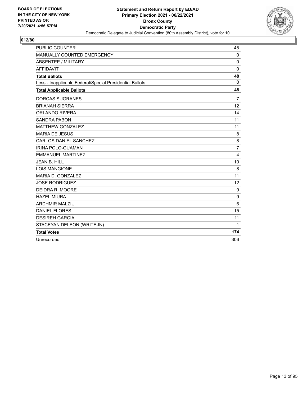

| <b>PUBLIC COUNTER</b>                                    | 48              |
|----------------------------------------------------------|-----------------|
| <b>MANUALLY COUNTED EMERGENCY</b>                        | $\Omega$        |
| <b>ABSENTEE / MILITARY</b>                               | $\Omega$        |
| <b>AFFIDAVIT</b>                                         | $\mathbf{0}$    |
| <b>Total Ballots</b>                                     | 48              |
| Less - Inapplicable Federal/Special Presidential Ballots | $\Omega$        |
| <b>Total Applicable Ballots</b>                          | 48              |
| <b>DORCAS SUGRANES</b>                                   | $\overline{7}$  |
| <b>BRIANAH SIERRA</b>                                    | 12              |
| <b>ORLANDO RIVERA</b>                                    | 14              |
| <b>SANDRA PABON</b>                                      | 11              |
| <b>MATTHEW GONZALEZ</b>                                  | 11              |
| <b>MARIA DE JESUS</b>                                    | 8               |
| <b>CARLOS DANIEL SANCHEZ</b>                             | 8               |
| IRINA POLO-GUAMAN                                        | $\overline{7}$  |
| <b>EMMANUEL MARTINEZ</b>                                 | $\overline{4}$  |
| <b>JEAN B. HILL</b>                                      | 10              |
| <b>LOIS MANGIONE</b>                                     | 8               |
| MARIA D. GONZALEZ                                        | 11              |
| <b>JOSE RODRIGUEZ</b>                                    | 12              |
| DEIDRA R. MOORE                                          | 9               |
| <b>HAZEL MIURA</b>                                       | 9               |
| <b>ARDHMIR MALZIU</b>                                    | $6\phantom{1}6$ |
| <b>DANIEL FLORES</b>                                     | 15              |
| <b>DESIREH GARCIA</b>                                    | 11              |
| STACEYAN DELEON (WRITE-IN)                               | 1               |
| <b>Total Votes</b>                                       | 174             |
| Unrecorded                                               | 306             |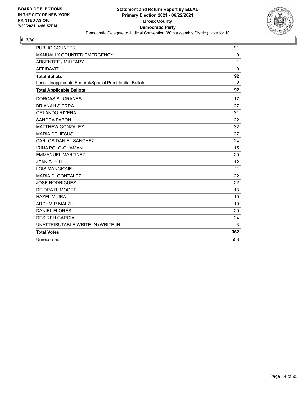

| <b>PUBLIC COUNTER</b>                                    | 91          |
|----------------------------------------------------------|-------------|
| MANUALLY COUNTED EMERGENCY                               | $\mathbf 0$ |
| <b>ABSENTEE / MILITARY</b>                               | 1           |
| <b>AFFIDAVIT</b>                                         | 0           |
| <b>Total Ballots</b>                                     | 92          |
| Less - Inapplicable Federal/Special Presidential Ballots | 0           |
| <b>Total Applicable Ballots</b>                          | 92          |
| <b>DORCAS SUGRANES</b>                                   | 17          |
| <b>BRIANAH SIERRA</b>                                    | 27          |
| <b>ORLANDO RIVERA</b>                                    | 31          |
| <b>SANDRA PABON</b>                                      | 22          |
| <b>MATTHEW GONZALEZ</b>                                  | 32          |
| <b>MARIA DE JESUS</b>                                    | 27          |
| <b>CARLOS DANIEL SANCHEZ</b>                             | 24          |
| <b>IRINA POLO-GUAMAN</b>                                 | 15          |
| <b>EMMANUEL MARTINEZ</b>                                 | 20          |
| <b>JEAN B. HILL</b>                                      | 12          |
| <b>LOIS MANGIONE</b>                                     | 11          |
| MARIA D. GONZALEZ                                        | 22          |
| <b>JOSE RODRIGUEZ</b>                                    | 22          |
| DEIDRA R. MOORE                                          | 13          |
| <b>HAZEL MIURA</b>                                       | 10          |
| <b>ARDHMIR MALZIU</b>                                    | 10          |
| <b>DANIEL FLORES</b>                                     | 20          |
| <b>DESIREH GARCIA</b>                                    | 24          |
| UNATTRIBUTABLE WRITE-IN (WRITE-IN)                       | 3           |
| <b>Total Votes</b>                                       | 362         |
| Unrecorded                                               | 558         |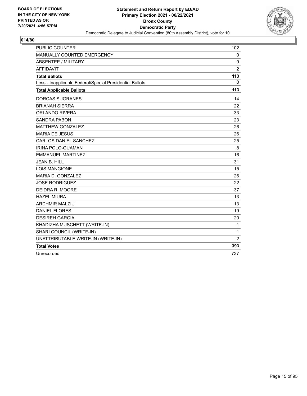

| <b>PUBLIC COUNTER</b>                                    | 102            |
|----------------------------------------------------------|----------------|
| MANUALLY COUNTED EMERGENCY                               | 0              |
| <b>ABSENTEE / MILITARY</b>                               | 9              |
| <b>AFFIDAVIT</b>                                         | $\overline{2}$ |
| <b>Total Ballots</b>                                     | 113            |
| Less - Inapplicable Federal/Special Presidential Ballots | $\Omega$       |
| <b>Total Applicable Ballots</b>                          | 113            |
| <b>DORCAS SUGRANES</b>                                   | 14             |
| <b>BRIANAH SIERRA</b>                                    | 22             |
| <b>ORLANDO RIVERA</b>                                    | 33             |
| <b>SANDRA PABON</b>                                      | 23             |
| <b>MATTHEW GONZALEZ</b>                                  | 26             |
| <b>MARIA DE JESUS</b>                                    | 26             |
| <b>CARLOS DANIEL SANCHEZ</b>                             | 25             |
| IRINA POLO-GUAMAN                                        | 8              |
| <b>EMMANUEL MARTINEZ</b>                                 | 16             |
| JEAN B. HILL                                             | 31             |
| <b>LOIS MANGIONE</b>                                     | 15             |
| MARIA D. GONZALEZ                                        | 26             |
| <b>JOSE RODRIGUEZ</b>                                    | 22             |
| DEIDRA R. MOORE                                          | 37             |
| <b>HAZEL MIURA</b>                                       | 13             |
| <b>ARDHMIR MALZIU</b>                                    | 13             |
| <b>DANIEL FLORES</b>                                     | 19             |
| <b>DESIREH GARCIA</b>                                    | 20             |
| KHADIZHA MUSCHETT (WRITE-IN)                             | $\mathbf{1}$   |
| SHARI COUNCIL (WRITE-IN)                                 | 1              |
| UNATTRIBUTABLE WRITE-IN (WRITE-IN)                       | $\overline{2}$ |
| <b>Total Votes</b>                                       | 393            |
| Unrecorded                                               | 737            |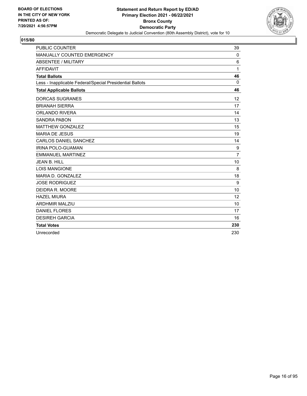

| <b>PUBLIC COUNTER</b>                                    | 39             |
|----------------------------------------------------------|----------------|
| MANUALLY COUNTED EMERGENCY                               | 0              |
| <b>ABSENTEE / MILITARY</b>                               | 6              |
| <b>AFFIDAVIT</b>                                         | 1              |
| <b>Total Ballots</b>                                     | 46             |
| Less - Inapplicable Federal/Special Presidential Ballots | $\Omega$       |
| <b>Total Applicable Ballots</b>                          | 46             |
| <b>DORCAS SUGRANES</b>                                   | 12             |
| <b>BRIANAH SIERRA</b>                                    | 17             |
| <b>ORLANDO RIVERA</b>                                    | 14             |
| <b>SANDRA PABON</b>                                      | 13             |
| <b>MATTHEW GONZALEZ</b>                                  | 15             |
| <b>MARIA DE JESUS</b>                                    | 19             |
| <b>CARLOS DANIEL SANCHEZ</b>                             | 14             |
| IRINA POLO-GUAMAN                                        | 9              |
| <b>EMMANUEL MARTINEZ</b>                                 | $\overline{7}$ |
| <b>JEAN B. HILL</b>                                      | 10             |
| <b>LOIS MANGIONE</b>                                     | 8              |
| MARIA D. GONZALEZ                                        | 18             |
| <b>JOSE RODRIGUEZ</b>                                    | 9              |
| DEIDRA R. MOORE                                          | 10             |
| <b>HAZEL MIURA</b>                                       | 12             |
| <b>ARDHMIR MALZIU</b>                                    | 10             |
| <b>DANIEL FLORES</b>                                     | 17             |
| <b>DESIREH GARCIA</b>                                    | 16             |
| <b>Total Votes</b>                                       | 230            |
| Unrecorded                                               | 230            |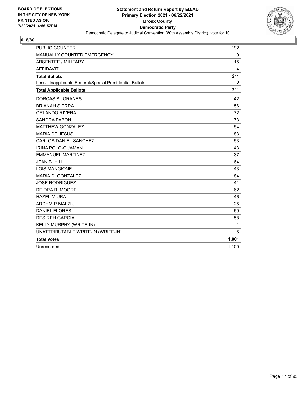

| <b>PUBLIC COUNTER</b>                                    | 192         |
|----------------------------------------------------------|-------------|
| MANUALLY COUNTED EMERGENCY                               | $\mathbf 0$ |
| <b>ABSENTEE / MILITARY</b>                               | 15          |
| <b>AFFIDAVIT</b>                                         | 4           |
| <b>Total Ballots</b>                                     | 211         |
| Less - Inapplicable Federal/Special Presidential Ballots | $\Omega$    |
| <b>Total Applicable Ballots</b>                          | 211         |
| <b>DORCAS SUGRANES</b>                                   | 42          |
| <b>BRIANAH SIERRA</b>                                    | 56          |
| <b>ORLANDO RIVERA</b>                                    | 72          |
| <b>SANDRA PABON</b>                                      | 73          |
| <b>MATTHEW GONZALEZ</b>                                  | 54          |
| <b>MARIA DE JESUS</b>                                    | 83          |
| CARLOS DANIEL SANCHEZ                                    | 53          |
| <b>IRINA POLO-GUAMAN</b>                                 | 43          |
| <b>EMMANUEL MARTINEZ</b>                                 | 37          |
| JEAN B. HILL                                             | 64          |
| <b>LOIS MANGIONE</b>                                     | 43          |
| MARIA D. GONZALEZ                                        | 84          |
| <b>JOSE RODRIGUEZ</b>                                    | 41          |
| DEIDRA R. MOORE                                          | 62          |
| <b>HAZEL MIURA</b>                                       | 46          |
| <b>ARDHMIR MALZIU</b>                                    | 25          |
| <b>DANIEL FLORES</b>                                     | 59          |
| <b>DESIREH GARCIA</b>                                    | 58          |
| KELLY MURPHY (WRITE-IN)                                  | 1           |
| UNATTRIBUTABLE WRITE-IN (WRITE-IN)                       | 5           |
| <b>Total Votes</b>                                       | 1,001       |
| Unrecorded                                               | 1,109       |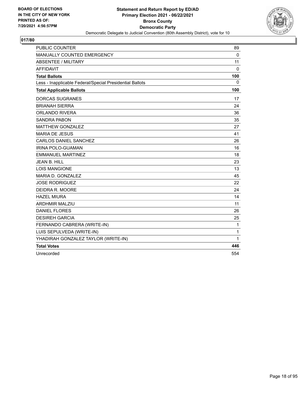

| <b>PUBLIC COUNTER</b>                                    | 89           |
|----------------------------------------------------------|--------------|
| MANUALLY COUNTED EMERGENCY                               | $\mathbf{0}$ |
| <b>ABSENTEE / MILITARY</b>                               | 11           |
| <b>AFFIDAVIT</b>                                         | $\Omega$     |
| <b>Total Ballots</b>                                     | 100          |
| Less - Inapplicable Federal/Special Presidential Ballots | 0            |
| <b>Total Applicable Ballots</b>                          | 100          |
| <b>DORCAS SUGRANES</b>                                   | 17           |
| <b>BRIANAH SIERRA</b>                                    | 24           |
| <b>ORLANDO RIVERA</b>                                    | 36           |
| <b>SANDRA PABON</b>                                      | 35           |
| <b>MATTHEW GONZALEZ</b>                                  | 27           |
| <b>MARIA DE JESUS</b>                                    | 41           |
| <b>CARLOS DANIEL SANCHEZ</b>                             | 26           |
| <b>IRINA POLO-GUAMAN</b>                                 | 16           |
| <b>EMMANUEL MARTINEZ</b>                                 | 18           |
| <b>JEAN B. HILL</b>                                      | 23           |
| <b>LOIS MANGIONE</b>                                     | 13           |
| MARIA D. GONZALEZ                                        | 45           |
| <b>JOSE RODRIGUEZ</b>                                    | 22           |
| DEIDRA R. MOORE                                          | 24           |
| <b>HAZEL MIURA</b>                                       | 14           |
| <b>ARDHMIR MALZIU</b>                                    | 11           |
| <b>DANIEL FLORES</b>                                     | 26           |
| <b>DESIREH GARCIA</b>                                    | 25           |
| FERNANDO CABRERA (WRITE-IN)                              | 1            |
| LUIS SEPULVEDA (WRITE-IN)                                | 1            |
| YHADIRAH GONZALEZ TAYLOR (WRITE-IN)                      | 1            |
| <b>Total Votes</b>                                       | 446          |
| Unrecorded                                               | 554          |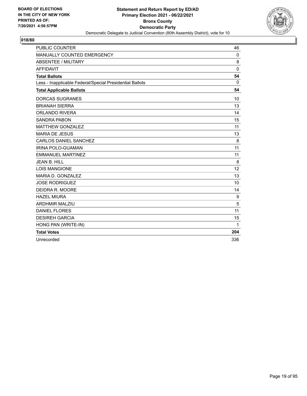

| <b>PUBLIC COUNTER</b>                                    | 46           |
|----------------------------------------------------------|--------------|
| MANUALLY COUNTED EMERGENCY                               | 0            |
| <b>ABSENTEE / MILITARY</b>                               | 8            |
| <b>AFFIDAVIT</b>                                         | $\mathbf{0}$ |
| <b>Total Ballots</b>                                     | 54           |
| Less - Inapplicable Federal/Special Presidential Ballots | $\Omega$     |
| <b>Total Applicable Ballots</b>                          | 54           |
| <b>DORCAS SUGRANES</b>                                   | 10           |
| <b>BRIANAH SIERRA</b>                                    | 13           |
| <b>ORLANDO RIVERA</b>                                    | 14           |
| <b>SANDRA PABON</b>                                      | 15           |
| <b>MATTHEW GONZALEZ</b>                                  | 11           |
| <b>MARIA DE JESUS</b>                                    | 13           |
| <b>CARLOS DANIEL SANCHEZ</b>                             | 8            |
| <b>IRINA POLO-GUAMAN</b>                                 | 11           |
| <b>EMMANUEL MARTINEZ</b>                                 | 11           |
| <b>JEAN B. HILL</b>                                      | 8            |
| <b>LOIS MANGIONE</b>                                     | 12           |
| MARIA D. GONZALEZ                                        | 13           |
| <b>JOSE RODRIGUEZ</b>                                    | 10           |
| DEIDRA R. MOORE                                          | 14           |
| <b>HAZEL MIURA</b>                                       | 9            |
| <b>ARDHMIR MALZIU</b>                                    | 5            |
| <b>DANIEL FLORES</b>                                     | 11           |
| <b>DESIREH GARCIA</b>                                    | 15           |
| HONG PAN (WRITE-IN)                                      | 1            |
| <b>Total Votes</b>                                       | 204          |
| Unrecorded                                               | 336          |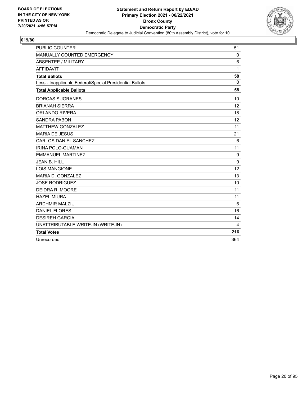

| <b>PUBLIC COUNTER</b>                                    | 51          |
|----------------------------------------------------------|-------------|
| MANUALLY COUNTED EMERGENCY                               | $\mathbf 0$ |
| <b>ABSENTEE / MILITARY</b>                               | 6           |
| <b>AFFIDAVIT</b>                                         | 1           |
| <b>Total Ballots</b>                                     | 58          |
| Less - Inapplicable Federal/Special Presidential Ballots | 0           |
| <b>Total Applicable Ballots</b>                          | 58          |
| <b>DORCAS SUGRANES</b>                                   | 10          |
| <b>BRIANAH SIERRA</b>                                    | 12          |
| <b>ORLANDO RIVERA</b>                                    | 18          |
| <b>SANDRA PABON</b>                                      | 12          |
| <b>MATTHEW GONZALEZ</b>                                  | 11          |
| <b>MARIA DE JESUS</b>                                    | 21          |
| <b>CARLOS DANIEL SANCHEZ</b>                             | 6           |
| <b>IRINA POLO-GUAMAN</b>                                 | 11          |
| <b>EMMANUEL MARTINEZ</b>                                 | 9           |
| <b>JEAN B. HILL</b>                                      | 9           |
| <b>LOIS MANGIONE</b>                                     | 12          |
| MARIA D. GONZALEZ                                        | 13          |
| <b>JOSE RODRIGUEZ</b>                                    | 10          |
| DEIDRA R. MOORE                                          | 11          |
| <b>HAZEL MIURA</b>                                       | 11          |
| <b>ARDHMIR MALZIU</b>                                    | 6           |
| <b>DANIEL FLORES</b>                                     | 16          |
| <b>DESIREH GARCIA</b>                                    | 14          |
| UNATTRIBUTABLE WRITE-IN (WRITE-IN)                       | 4           |
| <b>Total Votes</b>                                       | 216         |
| Unrecorded                                               | 364         |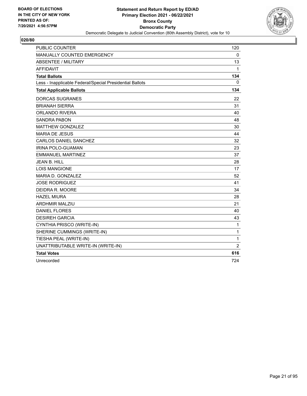

| <b>PUBLIC COUNTER</b>                                    | 120            |
|----------------------------------------------------------|----------------|
| <b>MANUALLY COUNTED EMERGENCY</b>                        | $\mathbf 0$    |
| <b>ABSENTEE / MILITARY</b>                               | 13             |
| <b>AFFIDAVIT</b>                                         | 1              |
| <b>Total Ballots</b>                                     | 134            |
| Less - Inapplicable Federal/Special Presidential Ballots | 0              |
| <b>Total Applicable Ballots</b>                          | 134            |
| <b>DORCAS SUGRANES</b>                                   | 22             |
| <b>BRIANAH SIERRA</b>                                    | 31             |
| ORLANDO RIVERA                                           | 40             |
| SANDRA PABON                                             | 48             |
| <b>MATTHEW GONZALEZ</b>                                  | 30             |
| <b>MARIA DE JESUS</b>                                    | 44             |
| <b>CARLOS DANIEL SANCHEZ</b>                             | 32             |
| <b>IRINA POLO-GUAMAN</b>                                 | 23             |
| <b>EMMANUEL MARTINEZ</b>                                 | 37             |
| <b>JEAN B. HILL</b>                                      | 28             |
| <b>LOIS MANGIONE</b>                                     | 17             |
| MARIA D. GONZALEZ                                        | 52             |
| <b>JOSE RODRIGUEZ</b>                                    | 41             |
| DEIDRA R. MOORE                                          | 34             |
| <b>HAZEL MIURA</b>                                       | 28             |
| ARDHMIR MALZIU                                           | 21             |
| <b>DANIEL FLORES</b>                                     | 40             |
| <b>DESIREH GARCIA</b>                                    | 43             |
| CYNTHIA PRISCO (WRITE-IN)                                | 1              |
| SHERINE CUMMINGS (WRITE-IN)                              | $\mathbf 1$    |
| TIESHA PEAL (WRITE-IN)                                   | 1              |
| UNATTRIBUTABLE WRITE-IN (WRITE-IN)                       | $\overline{2}$ |
| <b>Total Votes</b>                                       | 616            |
| Unrecorded                                               | 724            |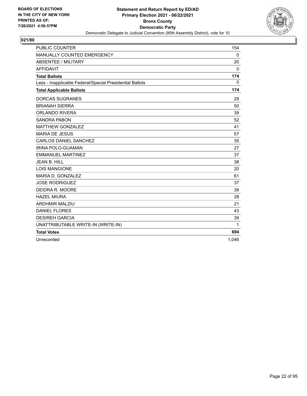

| <b>PUBLIC COUNTER</b>                                    | 154      |
|----------------------------------------------------------|----------|
| MANUALLY COUNTED EMERGENCY                               | 0        |
| <b>ABSENTEE / MILITARY</b>                               | 20       |
| <b>AFFIDAVIT</b>                                         | $\Omega$ |
| <b>Total Ballots</b>                                     | 174      |
| Less - Inapplicable Federal/Special Presidential Ballots | 0        |
| <b>Total Applicable Ballots</b>                          | 174      |
| <b>DORCAS SUGRANES</b>                                   | 29       |
| <b>BRIANAH SIERRA</b>                                    | 50       |
| ORLANDO RIVERA                                           | 39       |
| <b>SANDRA PABON</b>                                      | 52       |
| <b>MATTHEW GONZALEZ</b>                                  | 41       |
| <b>MARIA DE JESUS</b>                                    | 57       |
| CARLOS DANIEL SANCHEZ                                    | 35       |
| IRINA POLO-GUAMAN                                        | 27       |
| <b>EMMANUEL MARTINEZ</b>                                 | 37       |
| <b>JEAN B. HILL</b>                                      | 38       |
| <b>LOIS MANGIONE</b>                                     | 20       |
| MARIA D. GONZALEZ                                        | 61       |
| <b>JOSE RODRIGUEZ</b>                                    | 37       |
| DEIDRA R. MOORE                                          | 39       |
| <b>HAZEL MIURA</b>                                       | 28       |
| <b>ARDHMIR MALZIU</b>                                    | 21       |
| <b>DANIEL FLORES</b>                                     | 43       |
| <b>DESIREH GARCIA</b>                                    | 39       |
| UNATTRIBUTABLE WRITE-IN (WRITE-IN)                       | 1        |
| <b>Total Votes</b>                                       | 694      |
| Unrecorded                                               | 1,046    |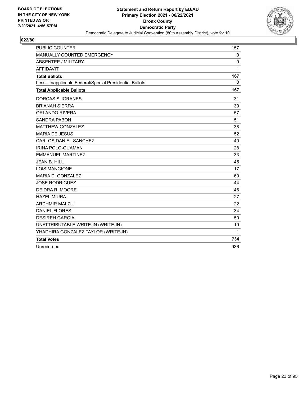

| <b>PUBLIC COUNTER</b>                                    | 157         |
|----------------------------------------------------------|-------------|
| MANUALLY COUNTED EMERGENCY                               | $\mathbf 0$ |
| ABSENTEE / MILITARY                                      | 9           |
| <b>AFFIDAVIT</b>                                         | 1           |
| <b>Total Ballots</b>                                     | 167         |
| Less - Inapplicable Federal/Special Presidential Ballots | 0           |
| <b>Total Applicable Ballots</b>                          | 167         |
| <b>DORCAS SUGRANES</b>                                   | 31          |
| <b>BRIANAH SIERRA</b>                                    | 39          |
| <b>ORLANDO RIVERA</b>                                    | 57          |
| <b>SANDRA PABON</b>                                      | 51          |
| <b>MATTHEW GONZALEZ</b>                                  | 38          |
| <b>MARIA DE JESUS</b>                                    | 52          |
| <b>CARLOS DANIEL SANCHEZ</b>                             | 40          |
| <b>IRINA POLO-GUAMAN</b>                                 | 28          |
| <b>EMMANUEL MARTINEZ</b>                                 | 33          |
| <b>JEAN B. HILL</b>                                      | 45          |
| <b>LOIS MANGIONE</b>                                     | 17          |
| MARIA D. GONZALEZ                                        | 60          |
| <b>JOSE RODRIGUEZ</b>                                    | 44          |
| DEIDRA R. MOORE                                          | 46          |
| <b>HAZEL MIURA</b>                                       | 27          |
| <b>ARDHMIR MALZIU</b>                                    | 22          |
| <b>DANIEL FLORES</b>                                     | 34          |
| <b>DESIREH GARCIA</b>                                    | 50          |
| UNATTRIBUTABLE WRITE-IN (WRITE-IN)                       | 19          |
| YHADHIRA GONZALEZ TAYLOR (WRITE-IN)                      | 1           |
| <b>Total Votes</b>                                       | 734         |
| Unrecorded                                               | 936         |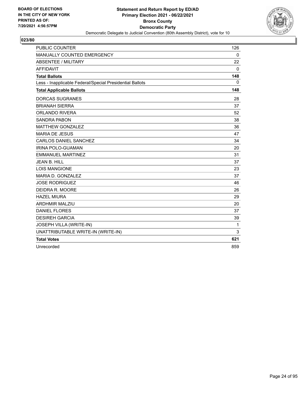

| <b>PUBLIC COUNTER</b>                                    | 126          |
|----------------------------------------------------------|--------------|
| MANUALLY COUNTED EMERGENCY                               | $\mathbf 0$  |
| <b>ABSENTEE / MILITARY</b>                               | 22           |
| AFFIDAVIT                                                | $\mathbf{0}$ |
| <b>Total Ballots</b>                                     | 148          |
| Less - Inapplicable Federal/Special Presidential Ballots | 0            |
| <b>Total Applicable Ballots</b>                          | 148          |
| <b>DORCAS SUGRANES</b>                                   | 28           |
| <b>BRIANAH SIERRA</b>                                    | 37           |
| <b>ORLANDO RIVERA</b>                                    | 52           |
| <b>SANDRA PABON</b>                                      | 38           |
| <b>MATTHEW GONZALEZ</b>                                  | 36           |
| <b>MARIA DE JESUS</b>                                    | 47           |
| CARLOS DANIEL SANCHEZ                                    | 34           |
| <b>IRINA POLO-GUAMAN</b>                                 | 20           |
| <b>EMMANUEL MARTINEZ</b>                                 | 31           |
| <b>JEAN B. HILL</b>                                      | 37           |
| <b>LOIS MANGIONE</b>                                     | 23           |
| MARIA D. GONZALEZ                                        | 37           |
| <b>JOSE RODRIGUEZ</b>                                    | 46           |
| DEIDRA R. MOORE                                          | 26           |
| <b>HAZEL MIURA</b>                                       | 29           |
| <b>ARDHMIR MALZIU</b>                                    | 20           |
| <b>DANIEL FLORES</b>                                     | 37           |
| <b>DESIREH GARCIA</b>                                    | 39           |
| JOSEPH VILLA (WRITE-IN)                                  | 1            |
| UNATTRIBUTABLE WRITE-IN (WRITE-IN)                       | 3            |
| <b>Total Votes</b>                                       | 621          |
| Unrecorded                                               | 859          |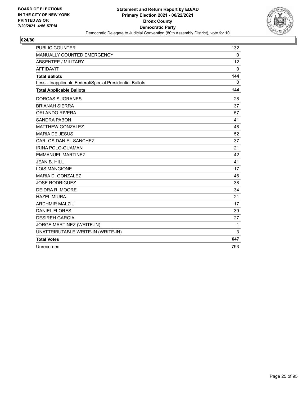

| <b>PUBLIC COUNTER</b>                                    | 132          |
|----------------------------------------------------------|--------------|
| MANUALLY COUNTED EMERGENCY                               | $\mathbf{0}$ |
| ABSENTEE / MILITARY                                      | 12           |
| <b>AFFIDAVIT</b>                                         | $\mathbf 0$  |
| <b>Total Ballots</b>                                     | 144          |
| Less - Inapplicable Federal/Special Presidential Ballots | $\mathbf{0}$ |
| <b>Total Applicable Ballots</b>                          | 144          |
| <b>DORCAS SUGRANES</b>                                   | 28           |
| <b>BRIANAH SIERRA</b>                                    | 37           |
| <b>ORLANDO RIVERA</b>                                    | 57           |
| <b>SANDRA PABON</b>                                      | 41           |
| <b>MATTHEW GONZALEZ</b>                                  | 48           |
| <b>MARIA DE JESUS</b>                                    | 52           |
| CARLOS DANIEL SANCHEZ                                    | 37           |
| <b>IRINA POLO-GUAMAN</b>                                 | 21           |
| <b>EMMANUEL MARTINEZ</b>                                 | 42           |
| <b>JEAN B. HILL</b>                                      | 41           |
| <b>LOIS MANGIONE</b>                                     | 17           |
| MARIA D. GONZALEZ                                        | 46           |
| <b>JOSE RODRIGUEZ</b>                                    | 38           |
| DEIDRA R. MOORE                                          | 34           |
| <b>HAZEL MIURA</b>                                       | 21           |
| <b>ARDHMIR MALZIU</b>                                    | 17           |
| <b>DANIEL FLORES</b>                                     | 39           |
| <b>DESIREH GARCIA</b>                                    | 27           |
| JORGE MARTINEZ (WRITE-IN)                                | 1            |
| UNATTRIBUTABLE WRITE-IN (WRITE-IN)                       | 3            |
| <b>Total Votes</b>                                       | 647          |
| Unrecorded                                               | 793          |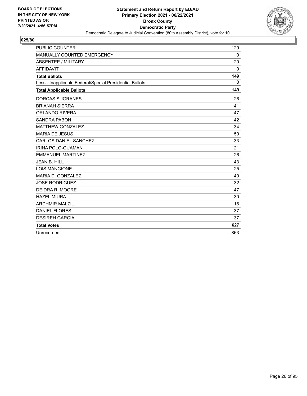

| <b>PUBLIC COUNTER</b>                                    | 129          |
|----------------------------------------------------------|--------------|
| <b>MANUALLY COUNTED EMERGENCY</b>                        | $\mathbf{0}$ |
| <b>ABSENTEE / MILITARY</b>                               | 20           |
| <b>AFFIDAVIT</b>                                         | $\Omega$     |
| <b>Total Ballots</b>                                     | 149          |
| Less - Inapplicable Federal/Special Presidential Ballots | $\mathbf{0}$ |
| <b>Total Applicable Ballots</b>                          | 149          |
| <b>DORCAS SUGRANES</b>                                   | 26           |
| <b>BRIANAH SIERRA</b>                                    | 41           |
| <b>ORLANDO RIVERA</b>                                    | 47           |
| <b>SANDRA PABON</b>                                      | 42           |
| <b>MATTHEW GONZALEZ</b>                                  | 34           |
| <b>MARIA DE JESUS</b>                                    | 50           |
| <b>CARLOS DANIEL SANCHEZ</b>                             | 33           |
| IRINA POLO-GUAMAN                                        | 21           |
| <b>EMMANUEL MARTINEZ</b>                                 | 26           |
| <b>JEAN B. HILL</b>                                      | 43           |
| <b>LOIS MANGIONE</b>                                     | 25           |
| MARIA D. GONZALEZ                                        | 40           |
| <b>JOSE RODRIGUEZ</b>                                    | 32           |
| DEIDRA R. MOORE                                          | 47           |
| <b>HAZEL MIURA</b>                                       | 30           |
| <b>ARDHMIR MALZIU</b>                                    | 16           |
| <b>DANIEL FLORES</b>                                     | 37           |
| <b>DESIREH GARCIA</b>                                    | 37           |
| <b>Total Votes</b>                                       | 627          |
| Unrecorded                                               | 863          |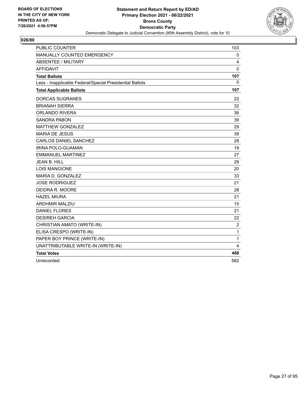

| <b>PUBLIC COUNTER</b>                                    | 103            |
|----------------------------------------------------------|----------------|
| MANUALLY COUNTED EMERGENCY                               | 0              |
| <b>ABSENTEE / MILITARY</b>                               | 4              |
| <b>AFFIDAVIT</b>                                         | 0              |
| <b>Total Ballots</b>                                     | 107            |
| Less - Inapplicable Federal/Special Presidential Ballots | 0              |
| <b>Total Applicable Ballots</b>                          | 107            |
| <b>DORCAS SUGRANES</b>                                   | 22             |
| <b>BRIANAH SIERRA</b>                                    | 32             |
| <b>ORLANDO RIVERA</b>                                    | 36             |
| <b>SANDRA PABON</b>                                      | 39             |
| <b>MATTHEW GONZALEZ</b>                                  | 29             |
| <b>MARIA DE JESUS</b>                                    | 39             |
| <b>CARLOS DANIEL SANCHEZ</b>                             | 28             |
| <b>IRINA POLO-GUAMAN</b>                                 | 19             |
| <b>EMMANUEL MARTINEZ</b>                                 | 27             |
| <b>JEAN B. HILL</b>                                      | 28             |
| <b>LOIS MANGIONE</b>                                     | 20             |
| MARIA D. GONZALEZ                                        | 33             |
| <b>JOSE RODRIGUEZ</b>                                    | 21             |
| DEIDRA R. MOORE                                          | 28             |
| <b>HAZEL MIURA</b>                                       | 21             |
| <b>ARDHMIR MALZIU</b>                                    | 15             |
| <b>DANIEL FLORES</b>                                     | 21             |
| <b>DESIREH GARCIA</b>                                    | 22             |
| CHRISTIAN AMATO (WRITE-IN)                               | $\overline{c}$ |
| ELISA CRESPO (WRITE-IN)                                  | 1              |
| PAPER BOY PRINCE (WRITE-IN)                              | 1              |
| UNATTRIBUTABLE WRITE-IN (WRITE-IN)                       | 4              |
| <b>Total Votes</b>                                       | 488            |
| Unrecorded                                               | 582            |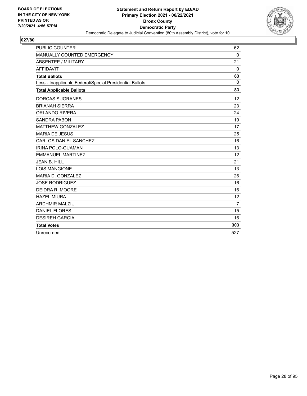

| <b>PUBLIC COUNTER</b>                                    | 62             |
|----------------------------------------------------------|----------------|
| MANUALLY COUNTED EMERGENCY                               | 0              |
| <b>ABSENTEE / MILITARY</b>                               | 21             |
| <b>AFFIDAVIT</b>                                         | $\mathbf{0}$   |
| <b>Total Ballots</b>                                     | 83             |
| Less - Inapplicable Federal/Special Presidential Ballots | $\mathbf{0}$   |
| <b>Total Applicable Ballots</b>                          | 83             |
| <b>DORCAS SUGRANES</b>                                   | 12             |
| <b>BRIANAH SIERRA</b>                                    | 23             |
| <b>ORLANDO RIVERA</b>                                    | 24             |
| <b>SANDRA PABON</b>                                      | 19             |
| <b>MATTHEW GONZALEZ</b>                                  | 17             |
| <b>MARIA DE JESUS</b>                                    | 25             |
| CARLOS DANIEL SANCHEZ                                    | 16             |
| <b>IRINA POLO-GUAMAN</b>                                 | 13             |
| <b>EMMANUEL MARTINEZ</b>                                 | 12             |
| <b>JEAN B. HILL</b>                                      | 21             |
| <b>LOIS MANGIONE</b>                                     | 13             |
| MARIA D. GONZALEZ                                        | 26             |
| <b>JOSE RODRIGUEZ</b>                                    | 16             |
| DEIDRA R. MOORE                                          | 16             |
| <b>HAZEL MIURA</b>                                       | 12             |
| <b>ARDHMIR MALZIU</b>                                    | $\overline{7}$ |
| <b>DANIEL FLORES</b>                                     | 15             |
| <b>DESIREH GARCIA</b>                                    | 16             |
| <b>Total Votes</b>                                       | 303            |
| Unrecorded                                               | 527            |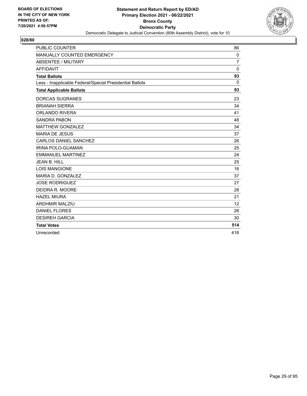

| <b>PUBLIC COUNTER</b>                                    | 86             |
|----------------------------------------------------------|----------------|
| <b>MANUALLY COUNTED EMERGENCY</b>                        | $\mathbf{0}$   |
| <b>ABSENTEE / MILITARY</b>                               | $\overline{7}$ |
| <b>AFFIDAVIT</b>                                         | $\Omega$       |
| <b>Total Ballots</b>                                     | 93             |
| Less - Inapplicable Federal/Special Presidential Ballots | $\mathbf{0}$   |
| <b>Total Applicable Ballots</b>                          | 93             |
| <b>DORCAS SUGRANES</b>                                   | 23             |
| <b>BRIANAH SIERRA</b>                                    | 34             |
| <b>ORLANDO RIVERA</b>                                    | 41             |
| <b>SANDRA PABON</b>                                      | 48             |
| <b>MATTHEW GONZALEZ</b>                                  | 34             |
| <b>MARIA DE JESUS</b>                                    | 37             |
| <b>CARLOS DANIEL SANCHEZ</b>                             | 26             |
| IRINA POLO-GUAMAN                                        | 25             |
| <b>EMMANUEL MARTINEZ</b>                                 | 24             |
| <b>JEAN B. HILL</b>                                      | 25             |
| <b>LOIS MANGIONE</b>                                     | 16             |
| MARIA D. GONZALEZ                                        | 37             |
| <b>JOSE RODRIGUEZ</b>                                    | 27             |
| DEIDRA R. MOORE                                          | 28             |
| <b>HAZEL MIURA</b>                                       | 21             |
| <b>ARDHMIR MALZIU</b>                                    | 12             |
| <b>DANIEL FLORES</b>                                     | 26             |
| <b>DESIREH GARCIA</b>                                    | 30             |
| <b>Total Votes</b>                                       | 514            |
| Unrecorded                                               | 416            |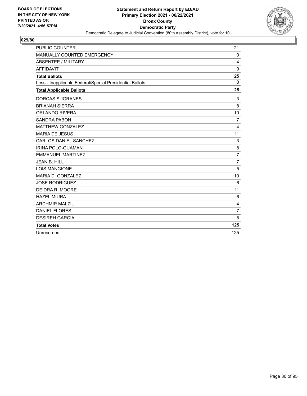

| <b>PUBLIC COUNTER</b>                                    | 21             |
|----------------------------------------------------------|----------------|
| MANUALLY COUNTED EMERGENCY                               | 0              |
| <b>ABSENTEE / MILITARY</b>                               | 4              |
| <b>AFFIDAVIT</b>                                         | $\mathbf 0$    |
| <b>Total Ballots</b>                                     | 25             |
| Less - Inapplicable Federal/Special Presidential Ballots | $\Omega$       |
| <b>Total Applicable Ballots</b>                          | 25             |
| <b>DORCAS SUGRANES</b>                                   | 3              |
| <b>BRIANAH SIERRA</b>                                    | 8              |
| <b>ORLANDO RIVERA</b>                                    | 10             |
| <b>SANDRA PABON</b>                                      | $\overline{7}$ |
| <b>MATTHEW GONZALEZ</b>                                  | 4              |
| <b>MARIA DE JESUS</b>                                    | 11             |
| CARLOS DANIEL SANCHEZ                                    | 3              |
| <b>IRINA POLO-GUAMAN</b>                                 | 8              |
| <b>EMMANUEL MARTINEZ</b>                                 | $\overline{7}$ |
| <b>JEAN B. HILL</b>                                      | $\overline{7}$ |
| <b>LOIS MANGIONE</b>                                     | 5              |
| MARIA D. GONZALEZ                                        | 10             |
| <b>JOSE RODRIGUEZ</b>                                    | 6              |
| DEIDRA R. MOORE                                          | 11             |
| <b>HAZEL MIURA</b>                                       | 6              |
| <b>ARDHMIR MALZIU</b>                                    | 4              |
| <b>DANIEL FLORES</b>                                     | $\overline{7}$ |
| <b>DESIREH GARCIA</b>                                    | 8              |
| <b>Total Votes</b>                                       | 125            |
| Unrecorded                                               | 125            |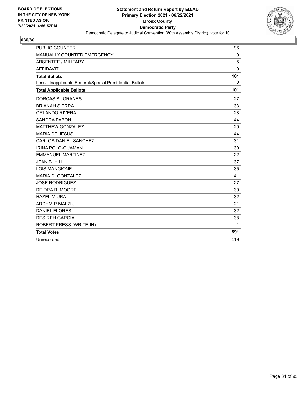

| <b>PUBLIC COUNTER</b>                                    | 96          |
|----------------------------------------------------------|-------------|
| MANUALLY COUNTED EMERGENCY                               | 0           |
| <b>ABSENTEE / MILITARY</b>                               | 5           |
| <b>AFFIDAVIT</b>                                         | $\mathbf 0$ |
| <b>Total Ballots</b>                                     | 101         |
| Less - Inapplicable Federal/Special Presidential Ballots | $\mathbf 0$ |
| <b>Total Applicable Ballots</b>                          | 101         |
| <b>DORCAS SUGRANES</b>                                   | 27          |
| <b>BRIANAH SIERRA</b>                                    | 33          |
| <b>ORLANDO RIVERA</b>                                    | 28          |
| <b>SANDRA PABON</b>                                      | 44          |
| <b>MATTHEW GONZALEZ</b>                                  | 29          |
| <b>MARIA DE JESUS</b>                                    | 44          |
| <b>CARLOS DANIEL SANCHEZ</b>                             | 31          |
| <b>IRINA POLO-GUAMAN</b>                                 | 30          |
| <b>EMMANUEL MARTINEZ</b>                                 | 22          |
| <b>JEAN B. HILL</b>                                      | 37          |
| <b>LOIS MANGIONE</b>                                     | 35          |
| MARIA D. GONZALEZ                                        | 41          |
| <b>JOSE RODRIGUEZ</b>                                    | 27          |
| DEIDRA R. MOORE                                          | 39          |
| <b>HAZEL MIURA</b>                                       | 32          |
| <b>ARDHMIR MALZIU</b>                                    | 21          |
| <b>DANIEL FLORES</b>                                     | 32          |
| <b>DESIREH GARCIA</b>                                    | 38          |
| ROBERT PRESS (WRITE-IN)                                  | 1           |
| <b>Total Votes</b>                                       | 591         |
| Unrecorded                                               | 419         |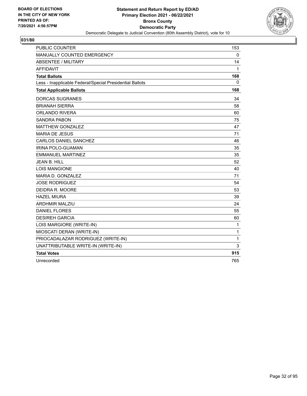

| <b>PUBLIC COUNTER</b>                                    | 153         |
|----------------------------------------------------------|-------------|
| MANUALLY COUNTED EMERGENCY                               | $\mathbf 0$ |
| ABSENTEE / MILITARY                                      | 14          |
| <b>AFFIDAVIT</b>                                         | 1           |
| <b>Total Ballots</b>                                     | 168         |
| Less - Inapplicable Federal/Special Presidential Ballots | 0           |
| <b>Total Applicable Ballots</b>                          | 168         |
| <b>DORCAS SUGRANES</b>                                   | 34          |
| <b>BRIANAH SIERRA</b>                                    | 58          |
| ORLANDO RIVERA                                           | 60          |
| <b>SANDRA PABON</b>                                      | 75          |
| <b>MATTHEW GONZALEZ</b>                                  | 47          |
| <b>MARIA DE JESUS</b>                                    | 71          |
| CARLOS DANIEL SANCHEZ                                    | 46          |
| <b>IRINA POLO-GUAMAN</b>                                 | 35          |
| <b>EMMANUEL MARTINEZ</b>                                 | 35          |
| <b>JEAN B. HILL</b>                                      | 52          |
| <b>LOIS MANGIONE</b>                                     | 40          |
| MARIA D. GONZALEZ                                        | 71          |
| <b>JOSE RODRIGUEZ</b>                                    | 54          |
| DEIDRA R. MOORE                                          | 53          |
| <b>HAZEL MIURA</b>                                       | 39          |
| <b>ARDHMIR MALZIU</b>                                    | 24          |
| <b>DANIEL FLORES</b>                                     | 55          |
| <b>DESIREH GARCIA</b>                                    | 60          |
| LOIS MARGIORE (WRITE-IN)                                 | 1           |
| MIOSCATI DERAN (WRITE-IN)                                | 1           |
| PRIOCADALAZAR RODRIGUEZ (WRITE-IN)                       | 1           |
| UNATTRIBUTABLE WRITE-IN (WRITE-IN)                       | 3           |
| <b>Total Votes</b>                                       | 915         |
| Unrecorded                                               | 765         |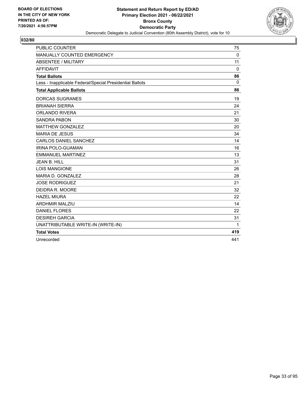

| <b>PUBLIC COUNTER</b>                                    | 75          |
|----------------------------------------------------------|-------------|
| MANUALLY COUNTED EMERGENCY                               | $\mathbf 0$ |
| <b>ABSENTEE / MILITARY</b>                               | 11          |
| <b>AFFIDAVIT</b>                                         | $\Omega$    |
| <b>Total Ballots</b>                                     | 86          |
| Less - Inapplicable Federal/Special Presidential Ballots | $\Omega$    |
| <b>Total Applicable Ballots</b>                          | 86          |
| <b>DORCAS SUGRANES</b>                                   | 19          |
| <b>BRIANAH SIERRA</b>                                    | 24          |
| <b>ORLANDO RIVERA</b>                                    | 21          |
| <b>SANDRA PABON</b>                                      | 30          |
| <b>MATTHEW GONZALEZ</b>                                  | 20          |
| <b>MARIA DE JESUS</b>                                    | 34          |
| CARLOS DANIEL SANCHEZ                                    | 14          |
| IRINA POLO-GUAMAN                                        | 16          |
| <b>EMMANUEL MARTINEZ</b>                                 | 13          |
| JFAN B. HILL                                             | 31          |
| <b>LOIS MANGIONE</b>                                     | 26          |
| MARIA D. GONZALEZ                                        | 28          |
| <b>JOSE RODRIGUEZ</b>                                    | 21          |
| DEIDRA R. MOORE                                          | 32          |
| <b>HAZEL MIURA</b>                                       | 22          |
| <b>ARDHMIR MALZIU</b>                                    | 14          |
| <b>DANIEL FLORES</b>                                     | 22          |
| <b>DESIREH GARCIA</b>                                    | 31          |
| UNATTRIBUTABLE WRITE-IN (WRITE-IN)                       | 1           |
| <b>Total Votes</b>                                       | 419         |
| Unrecorded                                               | 441         |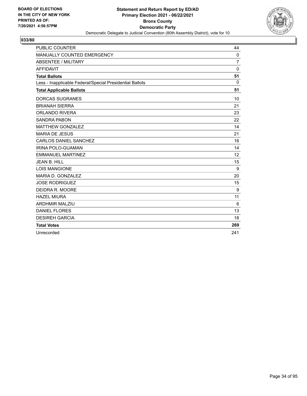

| <b>PUBLIC COUNTER</b>                                    | 44             |
|----------------------------------------------------------|----------------|
| MANUALLY COUNTED EMERGENCY                               | 0              |
| <b>ABSENTEE / MILITARY</b>                               | $\overline{7}$ |
| <b>AFFIDAVIT</b>                                         | $\Omega$       |
| <b>Total Ballots</b>                                     | 51             |
| Less - Inapplicable Federal/Special Presidential Ballots | $\Omega$       |
| <b>Total Applicable Ballots</b>                          | 51             |
| <b>DORCAS SUGRANES</b>                                   | 10             |
| <b>BRIANAH SIERRA</b>                                    | 21             |
| <b>ORLANDO RIVERA</b>                                    | 23             |
| <b>SANDRA PABON</b>                                      | 22             |
| <b>MATTHEW GONZALEZ</b>                                  | 14             |
| <b>MARIA DE JESUS</b>                                    | 21             |
| <b>CARLOS DANIEL SANCHEZ</b>                             | 16             |
| IRINA POLO-GUAMAN                                        | 14             |
| <b>EMMANUEL MARTINEZ</b>                                 | 12             |
| JEAN B. HILL                                             | 15             |
| <b>LOIS MANGIONE</b>                                     | 9              |
| MARIA D. GONZALEZ                                        | 20             |
| <b>JOSE RODRIGUEZ</b>                                    | 15             |
| DEIDRA R. MOORE                                          | 9              |
| <b>HAZEL MIURA</b>                                       | 11             |
| <b>ARDHMIR MALZIU</b>                                    | 6              |
| <b>DANIEL FLORES</b>                                     | 13             |
| <b>DESIREH GARCIA</b>                                    | 18             |
| <b>Total Votes</b>                                       | 269            |
| Unrecorded                                               | 241            |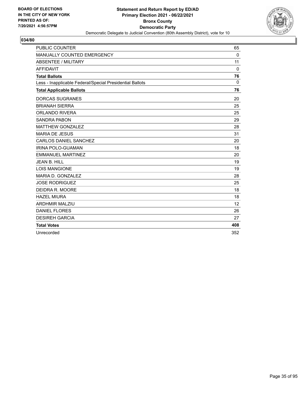

| <b>PUBLIC COUNTER</b>                                    | 65          |
|----------------------------------------------------------|-------------|
| MANUALLY COUNTED EMERGENCY                               | 0           |
| <b>ABSENTEE / MILITARY</b>                               | 11          |
| <b>AFFIDAVIT</b>                                         | $\Omega$    |
| <b>Total Ballots</b>                                     | 76          |
| Less - Inapplicable Federal/Special Presidential Ballots | $\mathbf 0$ |
| <b>Total Applicable Ballots</b>                          | 76          |
| <b>DORCAS SUGRANES</b>                                   | 20          |
| <b>BRIANAH SIERRA</b>                                    | 25          |
| <b>ORLANDO RIVERA</b>                                    | 25          |
| <b>SANDRA PABON</b>                                      | 29          |
| <b>MATTHEW GONZALEZ</b>                                  | 28          |
| <b>MARIA DE JESUS</b>                                    | 31          |
| <b>CARLOS DANIEL SANCHEZ</b>                             | 20          |
| IRINA POLO-GUAMAN                                        | 18          |
| <b>EMMANUEL MARTINEZ</b>                                 | 20          |
| <b>JEAN B. HILL</b>                                      | 19          |
| <b>LOIS MANGIONE</b>                                     | 19          |
| MARIA D. GONZALEZ                                        | 28          |
| <b>JOSE RODRIGUEZ</b>                                    | 25          |
| DEIDRA R. MOORE                                          | 18          |
| <b>HAZEL MIURA</b>                                       | 18          |
| <b>ARDHMIR MALZIU</b>                                    | 12          |
| <b>DANIEL FLORES</b>                                     | 26          |
| <b>DESIREH GARCIA</b>                                    | 27          |
| <b>Total Votes</b>                                       | 408         |
| Unrecorded                                               | 352         |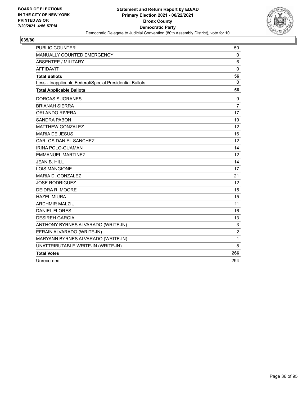

| <b>PUBLIC COUNTER</b>                                    | 50              |
|----------------------------------------------------------|-----------------|
| <b>MANUALLY COUNTED EMERGENCY</b>                        | $\mathbf 0$     |
| ABSENTEE / MILITARY                                      | 6               |
| <b>AFFIDAVIT</b>                                         | $\mathbf 0$     |
| <b>Total Ballots</b>                                     | 56              |
| Less - Inapplicable Federal/Special Presidential Ballots | 0               |
| <b>Total Applicable Ballots</b>                          | 56              |
| <b>DORCAS SUGRANES</b>                                   | 9               |
| <b>BRIANAH SIERRA</b>                                    | 7               |
| <b>ORLANDO RIVERA</b>                                    | 17              |
| <b>SANDRA PABON</b>                                      | 19              |
| MATTHEW GONZALEZ                                         | 12              |
| <b>MARIA DE JESUS</b>                                    | 16              |
| CARLOS DANIEL SANCHEZ                                    | 12              |
| IRINA POLO-GUAMAN                                        | 14              |
| <b>EMMANUEL MARTINEZ</b>                                 | 12              |
| <b>JEAN B. HILL</b>                                      | 14              |
| <b>LOIS MANGIONE</b>                                     | 17              |
| MARIA D. GONZALEZ                                        | 21              |
| <b>JOSE RODRIGUEZ</b>                                    | 12 <sup>°</sup> |
| DEIDRA R. MOORE                                          | 15              |
| <b>HAZEL MIURA</b>                                       | 15              |
| <b>ARDHMIR MALZIU</b>                                    | 11              |
| <b>DANIEL FLORES</b>                                     | 16              |
| <b>DESIREH GARCIA</b>                                    | 13              |
| ANTHONY BYRNES ALVARADO (WRITE-IN)                       | 3               |
| EFRAIN ALVARADO (WRITE-IN)                               | $\overline{c}$  |
| MARYANN BYRNES ALVARADO (WRITE-IN)                       | 1               |
| UNATTRIBUTABLE WRITE-IN (WRITE-IN)                       | 8               |
| <b>Total Votes</b>                                       | 266             |
| Unrecorded                                               | 294             |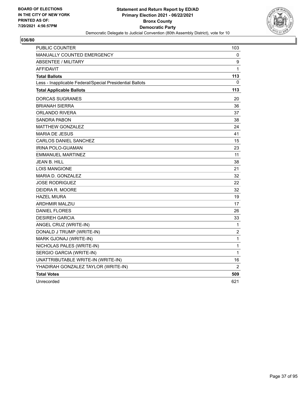

| <b>PUBLIC COUNTER</b>                                    | 103            |
|----------------------------------------------------------|----------------|
| <b>MANUALLY COUNTED EMERGENCY</b>                        | 0              |
| <b>ABSENTEE / MILITARY</b>                               | 9              |
| <b>AFFIDAVIT</b>                                         | 1              |
| <b>Total Ballots</b>                                     | 113            |
| Less - Inapplicable Federal/Special Presidential Ballots | $\Omega$       |
| <b>Total Applicable Ballots</b>                          | 113            |
| DORCAS SUGRANES                                          | 20             |
| <b>BRIANAH SIERRA</b>                                    | 36             |
| ORLANDO RIVERA                                           | 37             |
| SANDRA PABON                                             | 38             |
| <b>MATTHEW GONZALEZ</b>                                  | 24             |
| <b>MARIA DE JESUS</b>                                    | 41             |
| <b>CARLOS DANIEL SANCHEZ</b>                             | 15             |
| <b>IRINA POLO-GUAMAN</b>                                 | 23             |
| <b>EMMANUEL MARTINEZ</b>                                 | 11             |
| <b>JEAN B. HILL</b>                                      | 38             |
| <b>LOIS MANGIONE</b>                                     | 21             |
| MARIA D. GONZALEZ                                        | 32             |
| <b>JOSE RODRIGUEZ</b>                                    | 22             |
| DEIDRA R. MOORE                                          | 32             |
| <b>HAZEL MIURA</b>                                       | 19             |
| <b>ARDHMIR MALZIU</b>                                    | 17             |
| <b>DANIEL FLORES</b>                                     | 26             |
| <b>DESIREH GARCIA</b>                                    | 33             |
| ANGEL CRUZ (WRITE-IN)                                    | $\mathbf{1}$   |
| DONALD J TRUMP (WRITE-IN)                                | $\overline{c}$ |
| MARK GJONAJ (WRITE-IN)                                   | 1              |
| NICHOLAS PALES (WRITE-IN)                                | 1              |
| SERGIO GARCIA (WRITE-IN)                                 | 1              |
| UNATTRIBUTABLE WRITE-IN (WRITE-IN)                       | 16             |
| YHADIRAH GONZALEZ TAYLOR (WRITE-IN)                      | 2              |
| <b>Total Votes</b>                                       | 509            |
| Unrecorded                                               | 621            |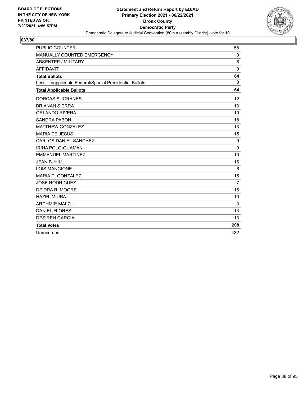

| <b>PUBLIC COUNTER</b>                                    | 58             |
|----------------------------------------------------------|----------------|
| MANUALLY COUNTED EMERGENCY                               | 0              |
| <b>ABSENTEE / MILITARY</b>                               | 6              |
| <b>AFFIDAVIT</b>                                         | $\Omega$       |
| <b>Total Ballots</b>                                     | 64             |
| Less - Inapplicable Federal/Special Presidential Ballots | $\Omega$       |
| <b>Total Applicable Ballots</b>                          | 64             |
| <b>DORCAS SUGRANES</b>                                   | 12             |
| <b>BRIANAH SIERRA</b>                                    | 13             |
| <b>ORLANDO RIVERA</b>                                    | 10             |
| <b>SANDRA PABON</b>                                      | 18             |
| <b>MATTHEW GONZALEZ</b>                                  | 13             |
| <b>MARIA DE JESUS</b>                                    | 15             |
| CARLOS DANIEL SANCHEZ                                    | 9              |
| <b>IRINA POLO-GUAMAN</b>                                 | 9              |
| <b>EMMANUEL MARTINEZ</b>                                 | 10             |
| <b>JEAN B. HILL</b>                                      | 16             |
| <b>LOIS MANGIONE</b>                                     | 6              |
| MARIA D. GONZALEZ                                        | 15             |
| <b>JOSE RODRIGUEZ</b>                                    | $\overline{7}$ |
| DEIDRA R. MOORE                                          | 16             |
| <b>HAZEL MIURA</b>                                       | 10             |
| <b>ARDHMIR MALZIU</b>                                    | 3              |
| <b>DANIEL FLORES</b>                                     | 13             |
| <b>DESIREH GARCIA</b>                                    | 13             |
| <b>Total Votes</b>                                       | 208            |
| Unrecorded                                               | 432            |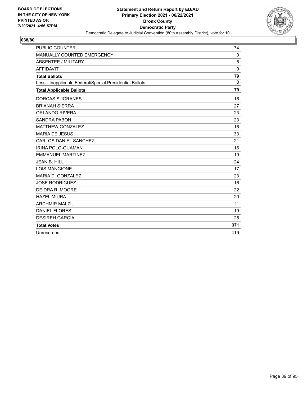

| <b>PUBLIC COUNTER</b>                                    | 74          |
|----------------------------------------------------------|-------------|
| MANUALLY COUNTED EMERGENCY                               | 0           |
| <b>ABSENTEE / MILITARY</b>                               | 5           |
| <b>AFFIDAVIT</b>                                         | $\Omega$    |
| <b>Total Ballots</b>                                     | 79          |
| Less - Inapplicable Federal/Special Presidential Ballots | $\mathbf 0$ |
| <b>Total Applicable Ballots</b>                          | 79          |
| <b>DORCAS SUGRANES</b>                                   | 16          |
| <b>BRIANAH SIERRA</b>                                    | 27          |
| <b>ORLANDO RIVERA</b>                                    | 23          |
| <b>SANDRA PABON</b>                                      | 23          |
| <b>MATTHEW GONZALEZ</b>                                  | 16          |
| <b>MARIA DE JESUS</b>                                    | 33          |
| <b>CARLOS DANIEL SANCHEZ</b>                             | 21          |
| IRINA POLO-GUAMAN                                        | 16          |
| <b>EMMANUEL MARTINEZ</b>                                 | 19          |
| <b>JEAN B. HILL</b>                                      | 24          |
| <b>LOIS MANGIONE</b>                                     | 17          |
| MARIA D. GONZALEZ                                        | 23          |
| <b>JOSE RODRIGUEZ</b>                                    | 16          |
| DEIDRA R. MOORE                                          | 22          |
| <b>HAZEL MIURA</b>                                       | 20          |
| <b>ARDHMIR MALZIU</b>                                    | 11          |
| <b>DANIEL FLORES</b>                                     | 19          |
| <b>DESIREH GARCIA</b>                                    | 25          |
| <b>Total Votes</b>                                       | 371         |
| Unrecorded                                               | 419         |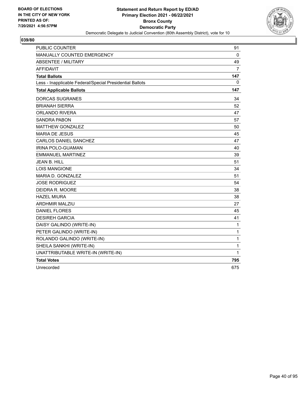

| <b>PUBLIC COUNTER</b>                                    | 91             |
|----------------------------------------------------------|----------------|
| MANUALLY COUNTED EMERGENCY                               | 0              |
| ABSENTEE / MILITARY                                      | 49             |
| <b>AFFIDAVIT</b>                                         | $\overline{7}$ |
| <b>Total Ballots</b>                                     | 147            |
| Less - Inapplicable Federal/Special Presidential Ballots | $\mathbf{0}$   |
| <b>Total Applicable Ballots</b>                          | 147            |
| <b>DORCAS SUGRANES</b>                                   | 34             |
| <b>BRIANAH SIERRA</b>                                    | 52             |
| ORLANDO RIVERA                                           | 47             |
| <b>SANDRA PABON</b>                                      | 57             |
| <b>MATTHEW GONZALEZ</b>                                  | 50             |
| <b>MARIA DE JESUS</b>                                    | 45             |
| <b>CARLOS DANIEL SANCHEZ</b>                             | 47             |
| IRINA POLO-GUAMAN                                        | 40             |
| <b>EMMANUEL MARTINEZ</b>                                 | 39             |
| <b>JEAN B. HILL</b>                                      | 51             |
| <b>LOIS MANGIONE</b>                                     | 34             |
| MARIA D. GONZALEZ                                        | 51             |
| <b>JOSE RODRIGUEZ</b>                                    | 54             |
| DEIDRA R. MOORE                                          | 38             |
| <b>HAZEL MIURA</b>                                       | 38             |
| <b>ARDHMIR MALZIU</b>                                    | 27             |
| <b>DANIEL FLORES</b>                                     | 45             |
| <b>DESIREH GARCIA</b>                                    | 41             |
| DAISY GALINDO (WRITE-IN)                                 | 1              |
| PETER GALINDO (WRITE-IN)                                 | 1              |
| ROLANDO GALINDO (WRITE-IN)                               | $\mathbf{1}$   |
| SHEILA SANKHI (WRITE-IN)                                 | 1              |
| UNATTRIBUTABLE WRITE-IN (WRITE-IN)                       | 1              |
| <b>Total Votes</b>                                       | 795            |
| Unrecorded                                               | 675            |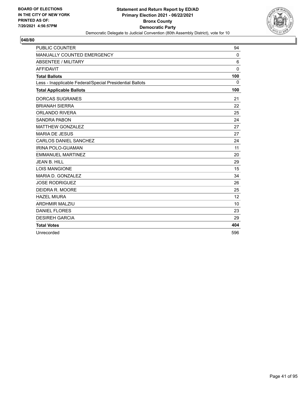

| <b>PUBLIC COUNTER</b>                                    | 94           |
|----------------------------------------------------------|--------------|
| MANUALLY COUNTED EMERGENCY                               | 0            |
| <b>ABSENTEE / MILITARY</b>                               | 6            |
| <b>AFFIDAVIT</b>                                         | $\mathbf{0}$ |
| <b>Total Ballots</b>                                     | 100          |
| Less - Inapplicable Federal/Special Presidential Ballots | 0            |
| <b>Total Applicable Ballots</b>                          | 100          |
| <b>DORCAS SUGRANES</b>                                   | 21           |
| <b>BRIANAH SIERRA</b>                                    | 22           |
| <b>ORLANDO RIVERA</b>                                    | 25           |
| <b>SANDRA PABON</b>                                      | 24           |
| <b>MATTHEW GONZALEZ</b>                                  | 27           |
| <b>MARIA DE JESUS</b>                                    | 27           |
| <b>CARLOS DANIEL SANCHEZ</b>                             | 24           |
| IRINA POLO-GUAMAN                                        | 11           |
| <b>EMMANUEL MARTINEZ</b>                                 | 20           |
| <b>JEAN B. HILL</b>                                      | 29           |
| <b>LOIS MANGIONE</b>                                     | 15           |
| MARIA D. GONZALEZ                                        | 34           |
| <b>JOSE RODRIGUEZ</b>                                    | 26           |
| DEIDRA R. MOORE                                          | 25           |
| <b>HAZEL MIURA</b>                                       | 12           |
| <b>ARDHMIR MALZIU</b>                                    | 10           |
| <b>DANIEL FLORES</b>                                     | 23           |
| <b>DESIREH GARCIA</b>                                    | 29           |
| <b>Total Votes</b>                                       | 404          |
| Unrecorded                                               | 596          |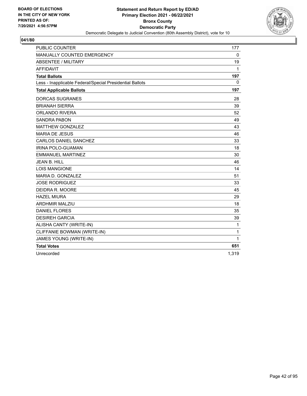

| <b>PUBLIC COUNTER</b>                                    | 177         |
|----------------------------------------------------------|-------------|
| <b>MANUALLY COUNTED EMERGENCY</b>                        | $\mathbf 0$ |
| <b>ABSENTEE / MILITARY</b>                               | 19          |
| <b>AFFIDAVIT</b>                                         | 1           |
| <b>Total Ballots</b>                                     | 197         |
| Less - Inapplicable Federal/Special Presidential Ballots | 0           |
| <b>Total Applicable Ballots</b>                          | 197         |
| <b>DORCAS SUGRANES</b>                                   | 28          |
| <b>BRIANAH SIERRA</b>                                    | 39          |
| ORLANDO RIVERA                                           | 52          |
| <b>SANDRA PABON</b>                                      | 49          |
| <b>MATTHEW GONZALEZ</b>                                  | 43          |
| <b>MARIA DE JESUS</b>                                    | 46          |
| CARLOS DANIEL SANCHEZ                                    | 33          |
| <b>IRINA POLO-GUAMAN</b>                                 | 18          |
| <b>EMMANUEL MARTINEZ</b>                                 | 30          |
| <b>JEAN B. HILL</b>                                      | 46          |
| <b>LOIS MANGIONE</b>                                     | 14          |
| MARIA D. GONZALEZ                                        | 51          |
| <b>JOSE RODRIGUEZ</b>                                    | 33          |
| DEIDRA R. MOORE                                          | 45          |
| <b>HAZEL MIURA</b>                                       | 29          |
| <b>ARDHMIR MALZIU</b>                                    | 18          |
| <b>DANIEL FLORES</b>                                     | 35          |
| <b>DESIREH GARCIA</b>                                    | 39          |
| ALISHA CANTY (WRITE-IN)                                  | $\mathbf 1$ |
| CLIFFANIE BOWMAN (WRITE-IN)                              | 1           |
| JAMES YOUNG (WRITE-IN)                                   | 1           |
| <b>Total Votes</b>                                       | 651         |
| Unrecorded                                               | 1,319       |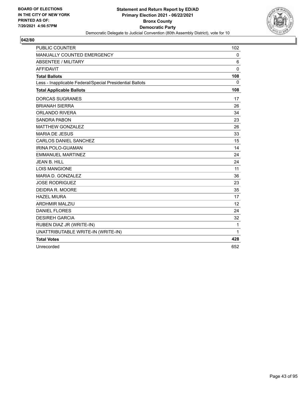

| <b>PUBLIC COUNTER</b>                                    | 102          |
|----------------------------------------------------------|--------------|
| MANUALLY COUNTED EMERGENCY                               | $\mathbf 0$  |
| <b>ABSENTEE / MILITARY</b>                               | 6            |
| <b>AFFIDAVIT</b>                                         | $\mathbf 0$  |
| <b>Total Ballots</b>                                     | 108          |
| Less - Inapplicable Federal/Special Presidential Ballots | $\mathbf{0}$ |
| <b>Total Applicable Ballots</b>                          | 108          |
| <b>DORCAS SUGRANES</b>                                   | 17           |
| <b>BRIANAH SIERRA</b>                                    | 26           |
| <b>ORLANDO RIVERA</b>                                    | 34           |
| <b>SANDRA PABON</b>                                      | 23           |
| <b>MATTHEW GONZALEZ</b>                                  | 26           |
| <b>MARIA DE JESUS</b>                                    | 33           |
| CARLOS DANIEL SANCHEZ                                    | 15           |
| <b>IRINA POLO-GUAMAN</b>                                 | 14           |
| <b>EMMANUEL MARTINEZ</b>                                 | 24           |
| JEAN B. HILL                                             | 24           |
| <b>LOIS MANGIONE</b>                                     | 11           |
| MARIA D. GONZALEZ                                        | 36           |
| <b>JOSE RODRIGUEZ</b>                                    | 23           |
| DEIDRA R. MOORE                                          | 35           |
| <b>HAZEL MIURA</b>                                       | 17           |
| <b>ARDHMIR MALZIU</b>                                    | 12           |
| <b>DANIEL FLORES</b>                                     | 24           |
| <b>DESIREH GARCIA</b>                                    | 32           |
| RUBEN DIAZ JR (WRITE-IN)                                 | 1            |
| UNATTRIBUTABLE WRITE-IN (WRITE-IN)                       | 1            |
| <b>Total Votes</b>                                       | 428          |
| Unrecorded                                               | 652          |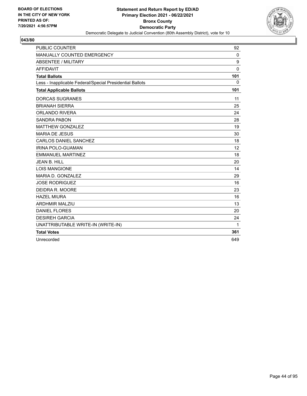

| <b>PUBLIC COUNTER</b>                                    | 92               |
|----------------------------------------------------------|------------------|
| MANUALLY COUNTED EMERGENCY                               | $\mathbf 0$      |
| <b>ABSENTEE / MILITARY</b>                               | $\boldsymbol{9}$ |
| <b>AFFIDAVIT</b>                                         | $\Omega$         |
| <b>Total Ballots</b>                                     | 101              |
| Less - Inapplicable Federal/Special Presidential Ballots | $\Omega$         |
| <b>Total Applicable Ballots</b>                          | 101              |
| <b>DORCAS SUGRANES</b>                                   | 11               |
| <b>BRIANAH SIERRA</b>                                    | 25               |
| <b>ORLANDO RIVERA</b>                                    | 24               |
| <b>SANDRA PABON</b>                                      | 28               |
| <b>MATTHEW GONZALEZ</b>                                  | 19               |
| <b>MARIA DE JESUS</b>                                    | 30               |
| CARLOS DANIEL SANCHEZ                                    | 18               |
| IRINA POLO-GUAMAN                                        | 12               |
| <b>EMMANUEL MARTINEZ</b>                                 | 18               |
| JFAN B. HILL                                             | 20               |
| <b>LOIS MANGIONE</b>                                     | 14               |
| MARIA D. GONZALEZ                                        | 29               |
| <b>JOSE RODRIGUEZ</b>                                    | 16               |
| DEIDRA R. MOORE                                          | 23               |
| <b>HAZEL MIURA</b>                                       | 16               |
| <b>ARDHMIR MALZIU</b>                                    | 13               |
| <b>DANIEL FLORES</b>                                     | 20               |
| <b>DESIREH GARCIA</b>                                    | 24               |
| UNATTRIBUTABLE WRITE-IN (WRITE-IN)                       | 1                |
| <b>Total Votes</b>                                       | 361              |
| Unrecorded                                               | 649              |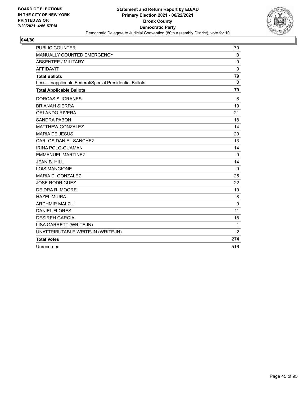

| <b>PUBLIC COUNTER</b>                                    | 70             |
|----------------------------------------------------------|----------------|
| MANUALLY COUNTED EMERGENCY                               | 0              |
| <b>ABSENTEE / MILITARY</b>                               | 9              |
| <b>AFFIDAVIT</b>                                         | $\mathbf 0$    |
| <b>Total Ballots</b>                                     | 79             |
| Less - Inapplicable Federal/Special Presidential Ballots | $\Omega$       |
| <b>Total Applicable Ballots</b>                          | 79             |
| <b>DORCAS SUGRANES</b>                                   | 8              |
| <b>BRIANAH SIERRA</b>                                    | 19             |
| ORLANDO RIVERA                                           | 21             |
| <b>SANDRA PABON</b>                                      | 18             |
| <b>MATTHEW GONZALEZ</b>                                  | 14             |
| <b>MARIA DE JESUS</b>                                    | 20             |
| <b>CARLOS DANIEL SANCHEZ</b>                             | 13             |
| <b>IRINA POLO-GUAMAN</b>                                 | 14             |
| <b>EMMANUEL MARTINEZ</b>                                 | 9              |
| JEAN B. HILL                                             | 14             |
| <b>LOIS MANGIONE</b>                                     | 9              |
| MARIA D. GONZALEZ                                        | 25             |
| <b>JOSE RODRIGUEZ</b>                                    | 22             |
| DEIDRA R. MOORE                                          | 19             |
| <b>HAZEL MIURA</b>                                       | 8              |
| <b>ARDHMIR MALZIU</b>                                    | 9              |
| <b>DANIEL FLORES</b>                                     | 11             |
| <b>DESIREH GARCIA</b>                                    | 18             |
| LISA GARRETT (WRITE-IN)                                  | 1              |
| UNATTRIBUTABLE WRITE-IN (WRITE-IN)                       | $\overline{2}$ |
| <b>Total Votes</b>                                       | 274            |
| Unrecorded                                               | 516            |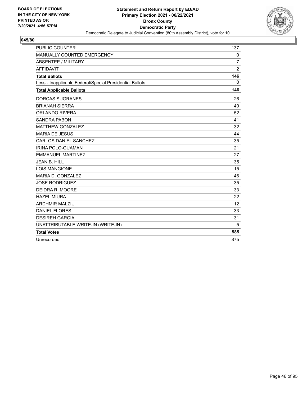

| <b>PUBLIC COUNTER</b>                                    | 137            |
|----------------------------------------------------------|----------------|
| MANUALLY COUNTED EMERGENCY                               | 0              |
| <b>ABSENTEE / MILITARY</b>                               | $\overline{7}$ |
| <b>AFFIDAVIT</b>                                         | $\overline{2}$ |
| <b>Total Ballots</b>                                     | 146            |
| Less - Inapplicable Federal/Special Presidential Ballots | $\Omega$       |
| <b>Total Applicable Ballots</b>                          | 146            |
| <b>DORCAS SUGRANES</b>                                   | 26             |
| <b>BRIANAH SIERRA</b>                                    | 40             |
| <b>ORLANDO RIVERA</b>                                    | 52             |
| <b>SANDRA PABON</b>                                      | 41             |
| <b>MATTHEW GONZALEZ</b>                                  | 32             |
| <b>MARIA DE JESUS</b>                                    | 44             |
| CARLOS DANIEL SANCHEZ                                    | 35             |
| IRINA POLO-GUAMAN                                        | 21             |
| <b>EMMANUEL MARTINEZ</b>                                 | 27             |
| <b>JEAN B. HILL</b>                                      | 35             |
| <b>LOIS MANGIONE</b>                                     | 15             |
| MARIA D. GONZALEZ                                        | 46             |
| <b>JOSE RODRIGUEZ</b>                                    | 35             |
| DEIDRA R. MOORE                                          | 33             |
| <b>HAZEL MIURA</b>                                       | 22             |
| <b>ARDHMIR MALZIU</b>                                    | 12             |
| <b>DANIEL FLORES</b>                                     | 33             |
| <b>DESIREH GARCIA</b>                                    | 31             |
| UNATTRIBUTABLE WRITE-IN (WRITE-IN)                       | 5              |
| <b>Total Votes</b>                                       | 585            |
| Unrecorded                                               | 875            |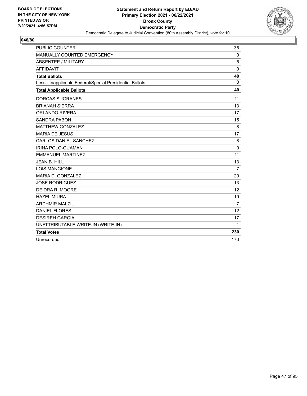

| <b>PUBLIC COUNTER</b>                                    | 35             |
|----------------------------------------------------------|----------------|
| MANUALLY COUNTED EMERGENCY                               | $\mathbf 0$    |
| <b>ABSENTEE / MILITARY</b>                               | 5              |
| <b>AFFIDAVIT</b>                                         | $\Omega$       |
| <b>Total Ballots</b>                                     | 40             |
| Less - Inapplicable Federal/Special Presidential Ballots | $\Omega$       |
| <b>Total Applicable Ballots</b>                          | 40             |
| <b>DORCAS SUGRANES</b>                                   | 11             |
| <b>BRIANAH SIERRA</b>                                    | 13             |
| <b>ORLANDO RIVERA</b>                                    | 17             |
| <b>SANDRA PABON</b>                                      | 15             |
| <b>MATTHEW GONZALEZ</b>                                  | 8              |
| <b>MARIA DE JESUS</b>                                    | 17             |
| <b>CARLOS DANIEL SANCHEZ</b>                             | 8              |
| IRINA POLO-GUAMAN                                        | 9              |
| <b>EMMANUEL MARTINEZ</b>                                 | 11             |
| JEAN B. HILL                                             | 13             |
| <b>LOIS MANGIONE</b>                                     | $\overline{7}$ |
| MARIA D. GONZALEZ                                        | 20             |
| <b>JOSE RODRIGUEZ</b>                                    | 13             |
| DEIDRA R. MOORE                                          | 12             |
| <b>HAZEL MIURA</b>                                       | 19             |
| <b>ARDHMIR MALZIU</b>                                    | 7              |
| <b>DANIEL FLORES</b>                                     | 12             |
| <b>DESIREH GARCIA</b>                                    | 17             |
| UNATTRIBUTABLE WRITE-IN (WRITE-IN)                       | 1              |
| <b>Total Votes</b>                                       | 230            |
| Unrecorded                                               | 170            |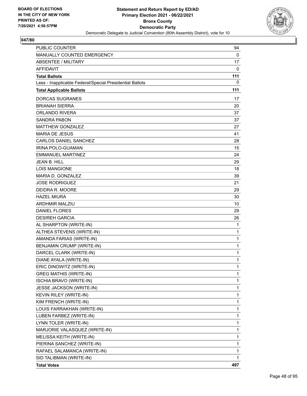

| <b>PUBLIC COUNTER</b>                                    | 94           |
|----------------------------------------------------------|--------------|
| MANUALLY COUNTED EMERGENCY                               | 0            |
| <b>ABSENTEE / MILITARY</b>                               | 17           |
| <b>AFFIDAVIT</b>                                         | 0            |
| <b>Total Ballots</b>                                     | 111          |
| Less - Inapplicable Federal/Special Presidential Ballots | 0            |
| <b>Total Applicable Ballots</b>                          | 111          |
| <b>DORCAS SUGRANES</b>                                   | 17           |
| <b>BRIANAH SIERRA</b>                                    | 20           |
| ORLANDO RIVERA                                           | 37           |
| <b>SANDRA PABON</b>                                      | 37           |
| <b>MATTHEW GONZALEZ</b>                                  | 27           |
| <b>MARIA DE JESUS</b>                                    | 41           |
| <b>CARLOS DANIEL SANCHEZ</b>                             | 28           |
| <b>IRINA POLO-GUAMAN</b>                                 | 15           |
| <b>EMMANUEL MARTINEZ</b>                                 | 24           |
| JEAN B. HILL                                             | 29           |
| <b>LOIS MANGIONE</b>                                     | 18           |
| MARIA D. GONZALEZ                                        | 39           |
| <b>JOSE RODRIGUEZ</b>                                    | 21           |
| DEIDRA R. MOORE                                          | 29           |
| <b>HAZEL MIURA</b>                                       | 30           |
| <b>ARDHMIR MALZIU</b>                                    | 10           |
| <b>DANIEL FLORES</b>                                     | 29           |
| <b>DESIREH GARCIA</b>                                    | 26           |
| AL SHARPTON (WRITE-IN)                                   | 1            |
| ALTHEA STEVENS (WRITE-IN)                                | $\mathbf{1}$ |
| AMANDA FARIAS (WRITE-IN)                                 | 1            |
| BENJAMIN CRUMP (WRITE-IN)                                | $\mathbf{1}$ |
| DARCEL CLARK (WRITE-IN)                                  | $\mathbf 1$  |
| DIANE AYALA (WRITE-IN)                                   | 1            |
| ERIC DINOWITZ (WRITE-IN)                                 | 1            |
| <b>GREG MATHIS (WRITE-IN)</b>                            | $\mathbf{1}$ |
| ISCHIA BRAVO (WRITE-IN)                                  | 1            |
| <b>JESSE JACKSON (WRITE-IN)</b>                          | 1            |
| KEVIN RILEY (WRITE-IN)                                   | 1            |
| KIM FRENCH (WRITE-IN)                                    | 1            |
| LOUIS FARRAKHAN (WRITE-IN)                               | 1            |
| LUBEN FARBEZ (WRITE-IN)                                  | 1            |
| LYNN TOLER (WRITE-IN)                                    | 1            |
| MARJORIE VALASQUEZ (WRITE-IN)                            | 1            |
| MELISSA KEITH (WRITE-IN)                                 | 1            |
| PIERINA SANCHEZ (WRITE-IN)                               | 1            |
| RAFAEL SALAMANCA (WRITE-IN)                              | 1            |
| SID TALIBMAN (WRITE-IN)                                  | 1            |
| <b>Total Votes</b>                                       | 497          |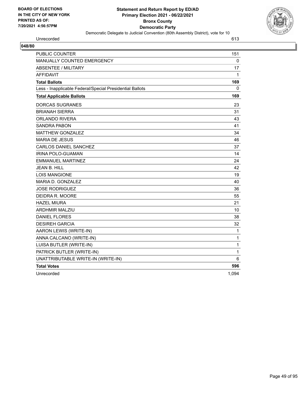

| Democratic Delegate to addition convention (over Assembly District), |              |
|----------------------------------------------------------------------|--------------|
| Unrecorded                                                           | 613          |
| 048/80                                                               |              |
| PUBLIC COUNTER                                                       | 151          |
| MANUALLY COUNTED EMERGENCY                                           | $\mathbf{0}$ |
| ABSENTEE / MILITARY                                                  | 17           |
| <b>AFFIDAVIT</b>                                                     | 1            |
| <b>Total Ballots</b>                                                 | 169          |
| Less - Inapplicable Federal/Special Presidential Ballots             | $\Omega$     |
| <b>Total Applicable Ballots</b>                                      | 169          |
| <b>DORCAS SUGRANES</b>                                               | 23           |
| <b>BRIANAH SIERRA</b>                                                | 31           |
| <b>ORLANDO RIVERA</b>                                                | 43           |
| <b>SANDRA PABON</b>                                                  | 41           |
| <b>MATTHEW GONZALEZ</b>                                              | 34           |
| <b>MARIA DE JESUS</b>                                                | 46           |
| CARLOS DANIEL SANCHEZ                                                | 37           |
| IRINA POLO-GUAMAN                                                    | 14           |
| <b>EMMANUEL MARTINEZ</b>                                             | 24           |
| <b>JEAN B. HILL</b>                                                  | 42           |
| <b>LOIS MANGIONE</b>                                                 | 19           |
| MARIA D. GONZALEZ                                                    | 40           |
| <b>JOSE RODRIGUEZ</b>                                                | 36           |
| DEIDRA R. MOORE                                                      | 55           |
| <b>HAZEL MIURA</b>                                                   | 21           |
| <b>ARDHMIR MALZIU</b>                                                | 10           |
| <b>DANIEL FLORES</b>                                                 | 38           |
| <b>DESIREH GARCIA</b>                                                | 32           |
| AARON LEWIS (WRITE-IN)                                               | 1            |
| ANNA CALCANO (WRITE-IN)                                              | 1            |
| LUISA BUTLER (WRITE-IN)                                              | 1            |

PATRICK BUTLER (WRITE-IN) 1 UNATTRIBUTABLE WRITE-IN (WRITE-IN) 6 **Total Votes 596 596**  Unrecorded 1,094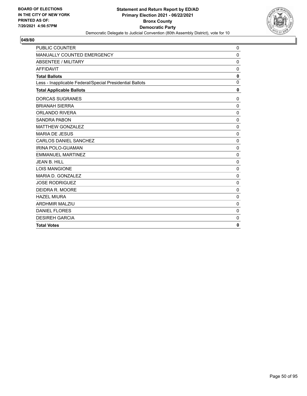

| <b>PUBLIC COUNTER</b>                                    | 0            |
|----------------------------------------------------------|--------------|
| MANUALLY COUNTED EMERGENCY                               | 0            |
| <b>ABSENTEE / MILITARY</b>                               | 0            |
| <b>AFFIDAVIT</b>                                         | $\mathbf 0$  |
| <b>Total Ballots</b>                                     | $\mathbf 0$  |
| Less - Inapplicable Federal/Special Presidential Ballots | $\mathbf 0$  |
| <b>Total Applicable Ballots</b>                          | $\mathbf{0}$ |
| <b>DORCAS SUGRANES</b>                                   | 0            |
| <b>BRIANAH SIERRA</b>                                    | 0            |
| <b>ORLANDO RIVERA</b>                                    | $\mathbf 0$  |
| <b>SANDRA PABON</b>                                      | $\mathbf 0$  |
| <b>MATTHEW GONZALEZ</b>                                  | $\mathbf 0$  |
| <b>MARIA DE JESUS</b>                                    | $\mathbf 0$  |
| <b>CARLOS DANIEL SANCHEZ</b>                             | $\mathbf 0$  |
| <b>IRINA POLO-GUAMAN</b>                                 | 0            |
| <b>EMMANUEL MARTINEZ</b>                                 | 0            |
| <b>JEAN B. HILL</b>                                      | $\mathbf 0$  |
| <b>LOIS MANGIONE</b>                                     | 0            |
| MARIA D. GONZALEZ                                        | $\mathbf 0$  |
| <b>JOSE RODRIGUEZ</b>                                    | 0            |
| DEIDRA R. MOORE                                          | 0            |
| <b>HAZEL MIURA</b>                                       | $\mathbf 0$  |
| <b>ARDHMIR MALZIU</b>                                    | $\mathbf 0$  |
| <b>DANIEL FLORES</b>                                     | $\mathbf 0$  |
| <b>DESIREH GARCIA</b>                                    | $\mathbf 0$  |
| <b>Total Votes</b>                                       | 0            |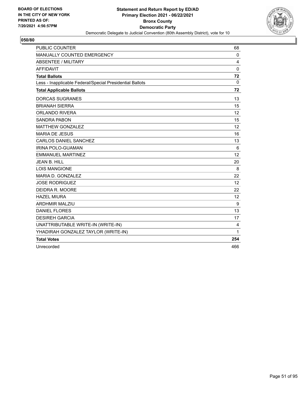

| <b>PUBLIC COUNTER</b>                                    | 68                |
|----------------------------------------------------------|-------------------|
| MANUALLY COUNTED EMERGENCY                               | $\mathbf 0$       |
| ABSENTEE / MILITARY                                      | 4                 |
| <b>AFFIDAVIT</b>                                         | $\Omega$          |
| <b>Total Ballots</b>                                     | 72                |
| Less - Inapplicable Federal/Special Presidential Ballots | $\mathbf 0$       |
| <b>Total Applicable Ballots</b>                          | 72                |
| <b>DORCAS SUGRANES</b>                                   | 13                |
| <b>BRIANAH SIERRA</b>                                    | 15                |
| ORLANDO RIVERA                                           | $12 \overline{ }$ |
| <b>SANDRA PABON</b>                                      | 15                |
| <b>MATTHEW GONZALEZ</b>                                  | 12                |
| <b>MARIA DE JESUS</b>                                    | 16                |
| CARLOS DANIEL SANCHEZ                                    | 13                |
| <b>IRINA POLO-GUAMAN</b>                                 | 6                 |
| <b>EMMANUEL MARTINEZ</b>                                 | 12                |
| JEAN B. HILL                                             | 20                |
| <b>LOIS MANGIONE</b>                                     | 8                 |
| MARIA D. GONZALEZ                                        | 22                |
| <b>JOSE RODRIGUEZ</b>                                    | 12                |
| DEIDRA R. MOORE                                          | 22                |
| <b>HAZEL MIURA</b>                                       | 12                |
| <b>ARDHMIR MALZIU</b>                                    | 9                 |
| <b>DANIEL FLORES</b>                                     | 13                |
| <b>DESIREH GARCIA</b>                                    | 17                |
| UNATTRIBUTABLE WRITE-IN (WRITE-IN)                       | 4                 |
| YHADIRAH GONZALEZ TAYLOR (WRITE-IN)                      | 1                 |
| <b>Total Votes</b>                                       | 254               |
| Unrecorded                                               | 466               |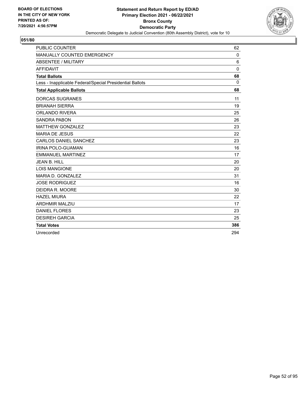

| <b>PUBLIC COUNTER</b>                                    | 62       |
|----------------------------------------------------------|----------|
| MANUALLY COUNTED EMERGENCY                               | 0        |
| <b>ABSENTEE / MILITARY</b>                               | 6        |
| <b>AFFIDAVIT</b>                                         | $\Omega$ |
| <b>Total Ballots</b>                                     | 68       |
| Less - Inapplicable Federal/Special Presidential Ballots | $\Omega$ |
| <b>Total Applicable Ballots</b>                          | 68       |
| <b>DORCAS SUGRANES</b>                                   | 11       |
| <b>BRIANAH SIERRA</b>                                    | 19       |
| <b>ORLANDO RIVERA</b>                                    | 25       |
| <b>SANDRA PABON</b>                                      | 26       |
| <b>MATTHEW GONZALEZ</b>                                  | 23       |
| <b>MARIA DE JESUS</b>                                    | 22       |
| CARLOS DANIEL SANCHEZ                                    | 23       |
| <b>IRINA POLO-GUAMAN</b>                                 | 16       |
| <b>EMMANUEL MARTINEZ</b>                                 | 17       |
| <b>JEAN B. HILL</b>                                      | 20       |
| <b>LOIS MANGIONE</b>                                     | 20       |
| MARIA D. GONZALEZ                                        | 31       |
| <b>JOSE RODRIGUEZ</b>                                    | 16       |
| DEIDRA R. MOORE                                          | 30       |
| <b>HAZEL MIURA</b>                                       | 22       |
| <b>ARDHMIR MALZIU</b>                                    | 17       |
| <b>DANIEL FLORES</b>                                     | 23       |
| <b>DESIREH GARCIA</b>                                    | 25       |
| <b>Total Votes</b>                                       | 386      |
| Unrecorded                                               | 294      |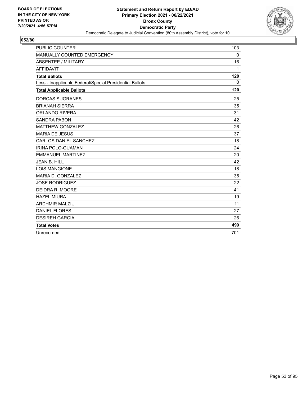

| <b>PUBLIC COUNTER</b>                                    | 103          |
|----------------------------------------------------------|--------------|
| MANUALLY COUNTED EMERGENCY                               | 0            |
| <b>ABSENTEE / MILITARY</b>                               | 16           |
| <b>AFFIDAVIT</b>                                         | 1            |
| <b>Total Ballots</b>                                     | 120          |
| Less - Inapplicable Federal/Special Presidential Ballots | $\mathbf{0}$ |
| <b>Total Applicable Ballots</b>                          | 120          |
| <b>DORCAS SUGRANES</b>                                   | 25           |
| <b>BRIANAH SIERRA</b>                                    | 35           |
| <b>ORLANDO RIVERA</b>                                    | 31           |
| <b>SANDRA PABON</b>                                      | 42           |
| <b>MATTHEW GONZALEZ</b>                                  | 26           |
| <b>MARIA DE JESUS</b>                                    | 37           |
| <b>CARLOS DANIEL SANCHEZ</b>                             | 18           |
| <b>IRINA POLO-GUAMAN</b>                                 | 24           |
| <b>EMMANUEL MARTINEZ</b>                                 | 20           |
| <b>JEAN B. HILL</b>                                      | 42           |
| <b>LOIS MANGIONE</b>                                     | 18           |
| MARIA D. GONZALEZ                                        | 35           |
| <b>JOSE RODRIGUEZ</b>                                    | 22           |
| DEIDRA R. MOORE                                          | 41           |
| <b>HAZEL MIURA</b>                                       | 19           |
| <b>ARDHMIR MALZIU</b>                                    | 11           |
| <b>DANIEL FLORES</b>                                     | 27           |
| <b>DESIREH GARCIA</b>                                    | 26           |
| <b>Total Votes</b>                                       | 499          |
| Unrecorded                                               | 701          |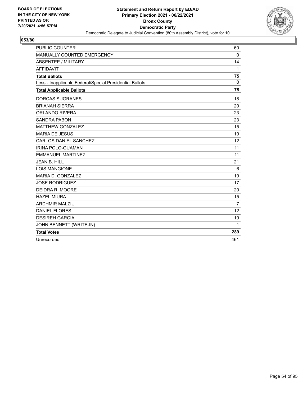

| <b>PUBLIC COUNTER</b>                                    | 60             |
|----------------------------------------------------------|----------------|
| MANUALLY COUNTED EMERGENCY                               | 0              |
| <b>ABSENTEE / MILITARY</b>                               | 14             |
| <b>AFFIDAVIT</b>                                         | 1              |
| <b>Total Ballots</b>                                     | 75             |
| Less - Inapplicable Federal/Special Presidential Ballots | 0              |
| <b>Total Applicable Ballots</b>                          | 75             |
| <b>DORCAS SUGRANES</b>                                   | 18             |
| <b>BRIANAH SIERRA</b>                                    | 20             |
| <b>ORLANDO RIVERA</b>                                    | 23             |
| <b>SANDRA PABON</b>                                      | 23             |
| <b>MATTHEW GONZALEZ</b>                                  | 15             |
| <b>MARIA DE JESUS</b>                                    | 19             |
| <b>CARLOS DANIEL SANCHEZ</b>                             | 12             |
| IRINA POLO-GUAMAN                                        | 11             |
| <b>EMMANUEL MARTINEZ</b>                                 | 11             |
| <b>JEAN B. HILL</b>                                      | 21             |
| <b>LOIS MANGIONE</b>                                     | 6              |
| MARIA D. GONZALEZ                                        | 19             |
| <b>JOSE RODRIGUEZ</b>                                    | 17             |
| DEIDRA R. MOORE                                          | 20             |
| <b>HAZEL MIURA</b>                                       | 15             |
| <b>ARDHMIR MALZIU</b>                                    | $\overline{7}$ |
| <b>DANIEL FLORES</b>                                     | 12             |
| <b>DESIREH GARCIA</b>                                    | 19             |
| JOHN BENNETT (WRITE-IN)                                  | 1              |
| <b>Total Votes</b>                                       | 289            |
| Unrecorded                                               | 461            |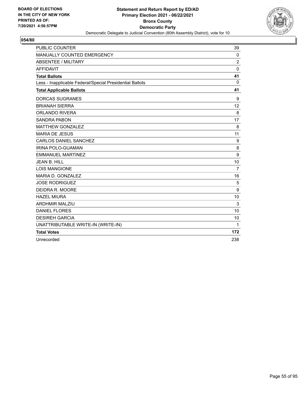

| <b>PUBLIC COUNTER</b>                                    | 39             |
|----------------------------------------------------------|----------------|
| MANUALLY COUNTED EMERGENCY                               | $\mathbf 0$    |
| <b>ABSENTEE / MILITARY</b>                               | $\overline{2}$ |
| <b>AFFIDAVIT</b>                                         | $\mathbf 0$    |
| <b>Total Ballots</b>                                     | 41             |
| Less - Inapplicable Federal/Special Presidential Ballots | 0              |
| <b>Total Applicable Ballots</b>                          | 41             |
| <b>DORCAS SUGRANES</b>                                   | 9              |
| <b>BRIANAH SIERRA</b>                                    | 12             |
| <b>ORLANDO RIVERA</b>                                    | 8              |
| <b>SANDRA PABON</b>                                      | 17             |
| <b>MATTHEW GONZALEZ</b>                                  | 8              |
| <b>MARIA DE JESUS</b>                                    | 11             |
| CARLOS DANIEL SANCHEZ                                    | 9              |
| <b>IRINA POLO-GUAMAN</b>                                 | 8              |
| <b>EMMANUEL MARTINEZ</b>                                 | 9              |
| <b>JEAN B. HILL</b>                                      | 10             |
| <b>LOIS MANGIONE</b>                                     | $\overline{7}$ |
| MARIA D. GONZALEZ                                        | 16             |
| <b>JOSE RODRIGUEZ</b>                                    | 5              |
| DEIDRA R. MOORE                                          | 9              |
| <b>HAZEL MIURA</b>                                       | 10             |
| <b>ARDHMIR MALZIU</b>                                    | 3              |
| <b>DANIEL FLORES</b>                                     | 10             |
| <b>DESIREH GARCIA</b>                                    | 10             |
| UNATTRIBUTABLE WRITE-IN (WRITE-IN)                       | $\mathbf{1}$   |
| <b>Total Votes</b>                                       | 172            |
| Unrecorded                                               | 238            |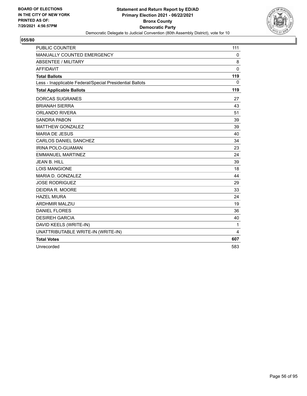

| <b>PUBLIC COUNTER</b>                                    | 111          |
|----------------------------------------------------------|--------------|
| MANUALLY COUNTED EMERGENCY                               | 0            |
| <b>ABSENTEE / MILITARY</b>                               | 8            |
| <b>AFFIDAVIT</b>                                         | $\mathbf 0$  |
| <b>Total Ballots</b>                                     | 119          |
| Less - Inapplicable Federal/Special Presidential Ballots | $\mathbf{0}$ |
| <b>Total Applicable Ballots</b>                          | 119          |
| <b>DORCAS SUGRANES</b>                                   | 27           |
| <b>BRIANAH SIERRA</b>                                    | 43           |
| <b>ORLANDO RIVERA</b>                                    | 51           |
| <b>SANDRA PABON</b>                                      | 39           |
| <b>MATTHEW GONZALEZ</b>                                  | 39           |
| <b>MARIA DE JESUS</b>                                    | 40           |
| <b>CARLOS DANIEL SANCHEZ</b>                             | 34           |
| <b>IRINA POLO-GUAMAN</b>                                 | 23           |
| <b>EMMANUEL MARTINEZ</b>                                 | 24           |
| <b>JEAN B. HILL</b>                                      | 39           |
| <b>LOIS MANGIONE</b>                                     | 18           |
| MARIA D. GONZALEZ                                        | 44           |
| <b>JOSE RODRIGUEZ</b>                                    | 29           |
| DEIDRA R. MOORE                                          | 33           |
| <b>HAZEL MIURA</b>                                       | 24           |
| <b>ARDHMIR MALZIU</b>                                    | 19           |
| <b>DANIEL FLORES</b>                                     | 36           |
| <b>DESIREH GARCIA</b>                                    | 40           |
| DAVID KEELS (WRITE-IN)                                   | 1            |
| UNATTRIBUTABLE WRITE-IN (WRITE-IN)                       | 4            |
| <b>Total Votes</b>                                       | 607          |
| Unrecorded                                               | 583          |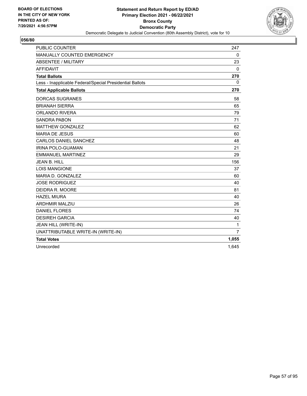

| <b>PUBLIC COUNTER</b>                                    | 247            |
|----------------------------------------------------------|----------------|
| MANUALLY COUNTED EMERGENCY                               | $\mathbf 0$    |
| <b>ABSENTEE / MILITARY</b>                               | 23             |
| <b>AFFIDAVIT</b>                                         | $\mathbf 0$    |
| <b>Total Ballots</b>                                     | 270            |
| Less - Inapplicable Federal/Special Presidential Ballots | 0              |
| <b>Total Applicable Ballots</b>                          | 270            |
| <b>DORCAS SUGRANES</b>                                   | 58             |
| <b>BRIANAH SIERRA</b>                                    | 65             |
| <b>ORLANDO RIVERA</b>                                    | 79             |
| <b>SANDRA PABON</b>                                      | 71             |
| <b>MATTHEW GONZALEZ</b>                                  | 62             |
| <b>MARIA DE JESUS</b>                                    | 60             |
| <b>CARLOS DANIEL SANCHEZ</b>                             | 48             |
| <b>IRINA POLO-GUAMAN</b>                                 | 21             |
| <b>EMMANUEL MARTINEZ</b>                                 | 29             |
| <b>JEAN B. HILL</b>                                      | 156            |
| <b>LOIS MANGIONE</b>                                     | 37             |
| MARIA D. GONZALEZ                                        | 60             |
| <b>JOSE RODRIGUEZ</b>                                    | 40             |
| DEIDRA R. MOORE                                          | 81             |
| <b>HAZEL MIURA</b>                                       | 40             |
| <b>ARDHMIR MALZIU</b>                                    | 26             |
| <b>DANIEL FLORES</b>                                     | 74             |
| <b>DESIREH GARCIA</b>                                    | 40             |
| JEAN HILL (WRITE-IN)                                     | 1              |
| UNATTRIBUTABLE WRITE-IN (WRITE-IN)                       | $\overline{7}$ |
| <b>Total Votes</b>                                       | 1,055          |
| Unrecorded                                               | 1,645          |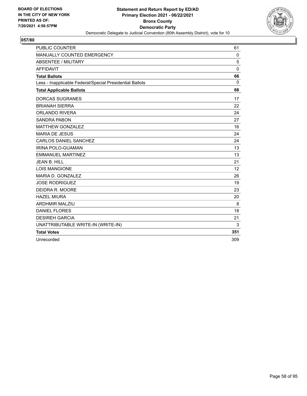

| <b>PUBLIC COUNTER</b>                                    | 61          |
|----------------------------------------------------------|-------------|
| MANUALLY COUNTED EMERGENCY                               | $\mathbf 0$ |
| <b>ABSENTEE / MILITARY</b>                               | 5           |
| <b>AFFIDAVIT</b>                                         | 0           |
| <b>Total Ballots</b>                                     | 66          |
| Less - Inapplicable Federal/Special Presidential Ballots | 0           |
| <b>Total Applicable Ballots</b>                          | 66          |
| <b>DORCAS SUGRANES</b>                                   | 17          |
| <b>BRIANAH SIERRA</b>                                    | 22          |
| <b>ORLANDO RIVERA</b>                                    | 24          |
| <b>SANDRA PABON</b>                                      | 27          |
| <b>MATTHEW GONZALEZ</b>                                  | 16          |
| <b>MARIA DE JESUS</b>                                    | 24          |
| <b>CARLOS DANIEL SANCHEZ</b>                             | 24          |
| <b>IRINA POLO-GUAMAN</b>                                 | 13          |
| <b>EMMANUEL MARTINEZ</b>                                 | 13          |
| <b>JEAN B. HILL</b>                                      | 21          |
| <b>LOIS MANGIONE</b>                                     | 12          |
| MARIA D. GONZALEZ                                        | 26          |
| <b>JOSE RODRIGUEZ</b>                                    | 19          |
| DEIDRA R. MOORE                                          | 23          |
| <b>HAZEL MIURA</b>                                       | 20          |
| <b>ARDHMIR MALZIU</b>                                    | 8           |
| <b>DANIEL FLORES</b>                                     | 18          |
| <b>DESIREH GARCIA</b>                                    | 21          |
| UNATTRIBUTABLE WRITE-IN (WRITE-IN)                       | 3           |
| <b>Total Votes</b>                                       | 351         |
| Unrecorded                                               | 309         |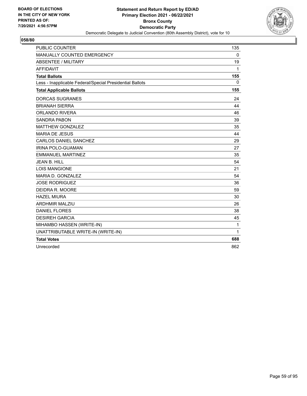

| <b>PUBLIC COUNTER</b>                                    | 135          |
|----------------------------------------------------------|--------------|
| MANUALLY COUNTED EMERGENCY                               | 0            |
| ABSENTEE / MILITARY                                      | 19           |
| <b>AFFIDAVIT</b>                                         | $\mathbf{1}$ |
| <b>Total Ballots</b>                                     | 155          |
| Less - Inapplicable Federal/Special Presidential Ballots | 0            |
| <b>Total Applicable Ballots</b>                          | 155          |
| <b>DORCAS SUGRANES</b>                                   | 24           |
| <b>BRIANAH SIERRA</b>                                    | 44           |
| ORLANDO RIVERA                                           | 46           |
| <b>SANDRA PABON</b>                                      | 39           |
| <b>MATTHEW GONZALEZ</b>                                  | 35           |
| <b>MARIA DE JESUS</b>                                    | 44           |
| CARLOS DANIEL SANCHEZ                                    | 29           |
| <b>IRINA POLO-GUAMAN</b>                                 | 27           |
| <b>EMMANUEL MARTINEZ</b>                                 | 35           |
| JEAN B. HILL                                             | 54           |
| <b>LOIS MANGIONE</b>                                     | 21           |
| MARIA D. GONZALEZ                                        | 54           |
| <b>JOSE RODRIGUEZ</b>                                    | 36           |
| DEIDRA R. MOORE                                          | 59           |
| <b>HAZEL MIURA</b>                                       | 30           |
| <b>ARDHMIR MALZIU</b>                                    | 26           |
| <b>DANIEL FLORES</b>                                     | 38           |
| <b>DESIREH GARCIA</b>                                    | 45           |
| MIHAMBO HASSEN (WRITE-IN)                                | $\mathbf{1}$ |
| UNATTRIBUTABLE WRITE-IN (WRITE-IN)                       | 1            |
| <b>Total Votes</b>                                       | 688          |
| Unrecorded                                               | 862          |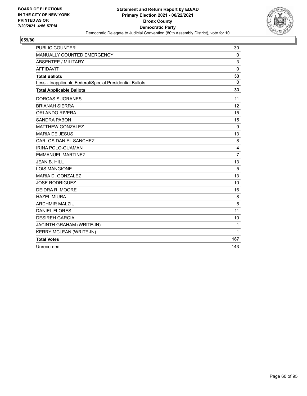

| <b>PUBLIC COUNTER</b>                                    | 30             |
|----------------------------------------------------------|----------------|
| MANUALLY COUNTED EMERGENCY                               | 0              |
| <b>ABSENTEE / MILITARY</b>                               | 3              |
| <b>AFFIDAVIT</b>                                         | $\mathbf 0$    |
| <b>Total Ballots</b>                                     | 33             |
| Less - Inapplicable Federal/Special Presidential Ballots | $\mathbf{0}$   |
| <b>Total Applicable Ballots</b>                          | 33             |
| <b>DORCAS SUGRANES</b>                                   | 11             |
| <b>BRIANAH SIERRA</b>                                    | 12             |
| <b>ORLANDO RIVERA</b>                                    | 15             |
| <b>SANDRA PABON</b>                                      | 15             |
| <b>MATTHEW GONZALEZ</b>                                  | 9              |
| <b>MARIA DE JESUS</b>                                    | 13             |
| <b>CARLOS DANIEL SANCHEZ</b>                             | 8              |
| <b>IRINA POLO-GUAMAN</b>                                 | 4              |
| <b>EMMANUEL MARTINEZ</b>                                 | $\overline{7}$ |
| <b>JEAN B. HILL</b>                                      | 13             |
| <b>LOIS MANGIONE</b>                                     | 5              |
| MARIA D. GONZALEZ                                        | 13             |
| <b>JOSE RODRIGUEZ</b>                                    | 10             |
| DEIDRA R. MOORE                                          | 16             |
| <b>HAZEL MIURA</b>                                       | 8              |
| <b>ARDHMIR MALZIU</b>                                    | 5              |
| <b>DANIEL FLORES</b>                                     | 11             |
| <b>DESIREH GARCIA</b>                                    | 10             |
| JACINTH GRAHAM (WRITE-IN)                                | 1              |
| <b>KERRY MCLEAN (WRITE-IN)</b>                           | 1              |
| <b>Total Votes</b>                                       | 187            |
| Unrecorded                                               | 143            |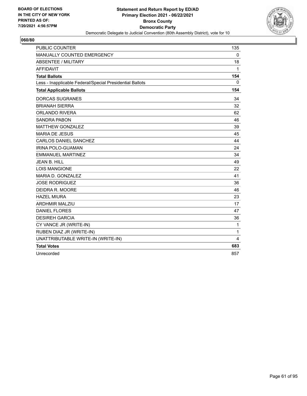

| <b>PUBLIC COUNTER</b>                                    | 135          |
|----------------------------------------------------------|--------------|
| MANUALLY COUNTED EMERGENCY                               | $\mathbf 0$  |
| <b>ABSENTEE / MILITARY</b>                               | 18           |
| <b>AFFIDAVIT</b>                                         | $\mathbf{1}$ |
| <b>Total Ballots</b>                                     | 154          |
| Less - Inapplicable Federal/Special Presidential Ballots | 0            |
| <b>Total Applicable Ballots</b>                          | 154          |
| <b>DORCAS SUGRANES</b>                                   | 34           |
| <b>BRIANAH SIERRA</b>                                    | 32           |
| <b>ORLANDO RIVERA</b>                                    | 62           |
| <b>SANDRA PABON</b>                                      | 46           |
| <b>MATTHEW GONZALEZ</b>                                  | 39           |
| <b>MARIA DE JESUS</b>                                    | 45           |
| <b>CARLOS DANIEL SANCHEZ</b>                             | 44           |
| <b>IRINA POLO-GUAMAN</b>                                 | 24           |
| <b>EMMANUEL MARTINEZ</b>                                 | 34           |
| <b>JEAN B. HILL</b>                                      | 49           |
| <b>LOIS MANGIONE</b>                                     | 22           |
| MARIA D. GONZALEZ                                        | 41           |
| <b>JOSE RODRIGUEZ</b>                                    | 36           |
| DEIDRA R. MOORE                                          | 46           |
| <b>HAZEL MIURA</b>                                       | 23           |
| <b>ARDHMIR MALZIU</b>                                    | 17           |
| <b>DANIEL FLORES</b>                                     | 47           |
| <b>DESIREH GARCIA</b>                                    | 36           |
| CY VANCE JR (WRITE-IN)                                   | 1            |
| RUBEN DIAZ JR (WRITE-IN)                                 | 1            |
| UNATTRIBUTABLE WRITE-IN (WRITE-IN)                       | 4            |
| <b>Total Votes</b>                                       | 683          |
| Unrecorded                                               | 857          |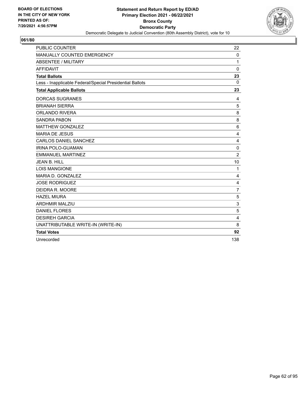

| <b>PUBLIC COUNTER</b>                                    | 22             |
|----------------------------------------------------------|----------------|
| MANUALLY COUNTED EMERGENCY                               | $\mathbf 0$    |
| <b>ABSENTEE / MILITARY</b>                               | 1              |
| <b>AFFIDAVIT</b>                                         | 0              |
| <b>Total Ballots</b>                                     | 23             |
| Less - Inapplicable Federal/Special Presidential Ballots | $\Omega$       |
| <b>Total Applicable Ballots</b>                          | 23             |
| <b>DORCAS SUGRANES</b>                                   | 4              |
| <b>BRIANAH SIERRA</b>                                    | 5              |
| <b>ORLANDO RIVERA</b>                                    | 8              |
| <b>SANDRA PABON</b>                                      | 8              |
| <b>MATTHEW GONZALEZ</b>                                  | 6              |
| <b>MARIA DE JESUS</b>                                    | 4              |
| CARLOS DANIEL SANCHEZ                                    | $\overline{4}$ |
| IRINA POLO-GUAMAN                                        | $\mathbf 0$    |
| <b>EMMANUEL MARTINEZ</b>                                 | $\overline{2}$ |
| JFAN B. HILL                                             | 10             |
| <b>LOIS MANGIONE</b>                                     | 1              |
| MARIA D. GONZALEZ                                        | 4              |
| <b>JOSE RODRIGUEZ</b>                                    | 4              |
| DEIDRA R. MOORE                                          | $\overline{7}$ |
| <b>HAZEL MIURA</b>                                       | 5              |
| <b>ARDHMIR MALZIU</b>                                    | 3              |
| <b>DANIEL FLORES</b>                                     | 5              |
| <b>DESIREH GARCIA</b>                                    | $\overline{4}$ |
| UNATTRIBUTABLE WRITE-IN (WRITE-IN)                       | 8              |
| <b>Total Votes</b>                                       | 92             |
| Unrecorded                                               | 138            |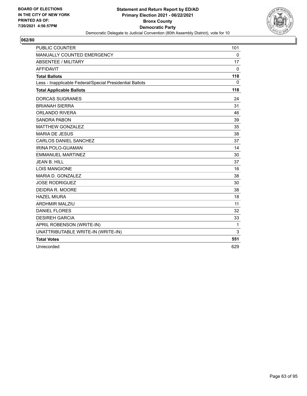

| <b>PUBLIC COUNTER</b>                                    | 101          |
|----------------------------------------------------------|--------------|
| MANUALLY COUNTED EMERGENCY                               | $\mathbf 0$  |
| <b>ABSENTEE / MILITARY</b>                               | 17           |
| <b>AFFIDAVIT</b>                                         | $\mathbf{0}$ |
| <b>Total Ballots</b>                                     | 118          |
| Less - Inapplicable Federal/Special Presidential Ballots | $\mathbf{0}$ |
| <b>Total Applicable Ballots</b>                          | 118          |
| <b>DORCAS SUGRANES</b>                                   | 24           |
| <b>BRIANAH SIERRA</b>                                    | 31           |
| <b>ORLANDO RIVERA</b>                                    | 46           |
| <b>SANDRA PABON</b>                                      | 39           |
| <b>MATTHEW GONZALEZ</b>                                  | 35           |
| <b>MARIA DE JESUS</b>                                    | 38           |
| <b>CARLOS DANIEL SANCHEZ</b>                             | 37           |
| <b>IRINA POLO-GUAMAN</b>                                 | 14           |
| <b>EMMANUEL MARTINEZ</b>                                 | 30           |
| <b>JEAN B. HILL</b>                                      | 37           |
| <b>LOIS MANGIONE</b>                                     | 16           |
| MARIA D. GONZALEZ                                        | 38           |
| <b>JOSE RODRIGUEZ</b>                                    | 30           |
| DEIDRA R. MOORE                                          | 38           |
| <b>HAZEL MIURA</b>                                       | 18           |
| <b>ARDHMIR MALZIU</b>                                    | 11           |
| <b>DANIEL FLORES</b>                                     | 32           |
| <b>DESIREH GARCIA</b>                                    | 33           |
| APRIL ROBENSON (WRITE-IN)                                | 1            |
| UNATTRIBUTABLE WRITE-IN (WRITE-IN)                       | 3            |
| <b>Total Votes</b>                                       | 551          |
| Unrecorded                                               | 629          |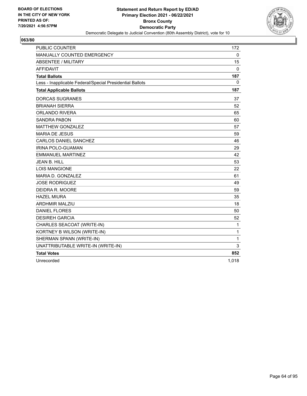

| <b>PUBLIC COUNTER</b>                                    | 172          |
|----------------------------------------------------------|--------------|
| MANUALLY COUNTED EMERGENCY                               | $\mathbf 0$  |
| <b>ABSENTEE / MILITARY</b>                               | 15           |
| <b>AFFIDAVIT</b>                                         | $\mathbf 0$  |
| <b>Total Ballots</b>                                     | 187          |
| Less - Inapplicable Federal/Special Presidential Ballots | 0            |
| <b>Total Applicable Ballots</b>                          | 187          |
| <b>DORCAS SUGRANES</b>                                   | 37           |
| <b>BRIANAH SIERRA</b>                                    | 52           |
| ORLANDO RIVERA                                           | 65           |
| <b>SANDRA PABON</b>                                      | 60           |
| <b>MATTHEW GONZALEZ</b>                                  | 57           |
| <b>MARIA DE JESUS</b>                                    | 59           |
| CARLOS DANIEL SANCHEZ                                    | 46           |
| <b>IRINA POLO-GUAMAN</b>                                 | 29           |
| <b>EMMANUEL MARTINEZ</b>                                 | 42           |
| <b>JEAN B. HILL</b>                                      | 53           |
| <b>LOIS MANGIONE</b>                                     | 22           |
| MARIA D. GONZALEZ                                        | 61           |
| <b>JOSE RODRIGUEZ</b>                                    | 49           |
| DEIDRA R. MOORE                                          | 59           |
| <b>HAZEL MIURA</b>                                       | 35           |
| <b>ARDHMIR MALZIU</b>                                    | 18           |
| <b>DANIEL FLORES</b>                                     | 50           |
| <b>DESIREH GARCIA</b>                                    | 52           |
| CHARLES SEACOAT (WRITE-IN)                               | 1            |
| KORTNEY B WILSON (WRITE-IN)                              | $\mathbf{1}$ |
| SHERMAN SPANN (WRITE-IN)                                 | $\mathbf{1}$ |
| UNATTRIBUTABLE WRITE-IN (WRITE-IN)                       | 3            |
| <b>Total Votes</b>                                       | 852          |
| Unrecorded                                               | 1,018        |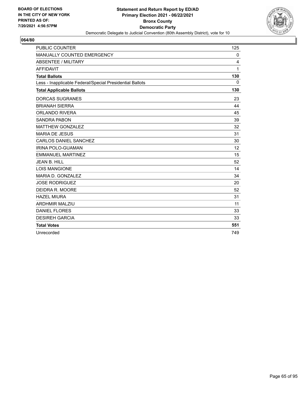

| <b>PUBLIC COUNTER</b>                                    | 125          |
|----------------------------------------------------------|--------------|
| MANUALLY COUNTED EMERGENCY                               | 0            |
| <b>ABSENTEE / MILITARY</b>                               | 4            |
| <b>AFFIDAVIT</b>                                         | $\mathbf{1}$ |
| <b>Total Ballots</b>                                     | 130          |
| Less - Inapplicable Federal/Special Presidential Ballots | $\mathbf{0}$ |
| <b>Total Applicable Ballots</b>                          | 130          |
| <b>DORCAS SUGRANES</b>                                   | 23           |
| <b>BRIANAH SIERRA</b>                                    | 44           |
| <b>ORLANDO RIVERA</b>                                    | 45           |
| <b>SANDRA PABON</b>                                      | 39           |
| <b>MATTHEW GONZALEZ</b>                                  | 32           |
| <b>MARIA DE JESUS</b>                                    | 31           |
| <b>CARLOS DANIEL SANCHEZ</b>                             | 30           |
| IRINA POLO-GUAMAN                                        | 12           |
| <b>EMMANUEL MARTINEZ</b>                                 | 15           |
| <b>JEAN B. HILL</b>                                      | 52           |
| <b>LOIS MANGIONE</b>                                     | 14           |
| MARIA D. GONZALEZ                                        | 34           |
| <b>JOSE RODRIGUEZ</b>                                    | 20           |
| DEIDRA R. MOORE                                          | 52           |
| <b>HAZEL MIURA</b>                                       | 31           |
| <b>ARDHMIR MALZIU</b>                                    | 11           |
| <b>DANIEL FLORES</b>                                     | 33           |
| <b>DESIREH GARCIA</b>                                    | 33           |
| <b>Total Votes</b>                                       | 551          |
| Unrecorded                                               | 749          |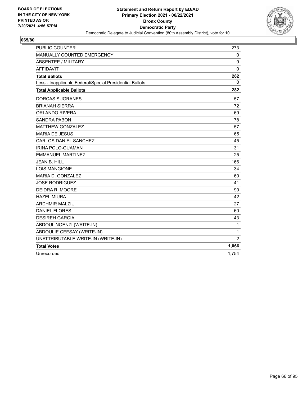

| <b>PUBLIC COUNTER</b>                                    | 273            |
|----------------------------------------------------------|----------------|
| MANUALLY COUNTED EMERGENCY                               | 0              |
| <b>ABSENTEE / MILITARY</b>                               | 9              |
| <b>AFFIDAVIT</b>                                         | $\Omega$       |
| <b>Total Ballots</b>                                     | 282            |
| Less - Inapplicable Federal/Special Presidential Ballots | 0              |
| <b>Total Applicable Ballots</b>                          | 282            |
| <b>DORCAS SUGRANES</b>                                   | 57             |
| <b>BRIANAH SIERRA</b>                                    | 72             |
| <b>ORLANDO RIVERA</b>                                    | 69             |
| <b>SANDRA PABON</b>                                      | 78             |
| <b>MATTHEW GONZALEZ</b>                                  | 57             |
| <b>MARIA DE JESUS</b>                                    | 65             |
| <b>CARLOS DANIEL SANCHEZ</b>                             | 45             |
| <b>IRINA POLO-GUAMAN</b>                                 | 31             |
| <b>EMMANUEL MARTINEZ</b>                                 | 25             |
| <b>JEAN B. HILL</b>                                      | 166            |
| <b>LOIS MANGIONE</b>                                     | 34             |
| MARIA D. GONZALEZ                                        | 60             |
| <b>JOSE RODRIGUEZ</b>                                    | 41             |
| DEIDRA R. MOORE                                          | 90             |
| <b>HAZEL MIURA</b>                                       | 42             |
| <b>ARDHMIR MALZIU</b>                                    | 27             |
| <b>DANIEL FLORES</b>                                     | 60             |
| <b>DESIREH GARCIA</b>                                    | 43             |
| ABDOUL NOENZI (WRITE-IN)                                 | $\mathbf{1}$   |
| ABDOULIE CEESAY (WRITE-IN)                               | $\mathbf{1}$   |
| UNATTRIBUTABLE WRITE-IN (WRITE-IN)                       | $\overline{2}$ |
| <b>Total Votes</b>                                       | 1,066          |
| Unrecorded                                               | 1,754          |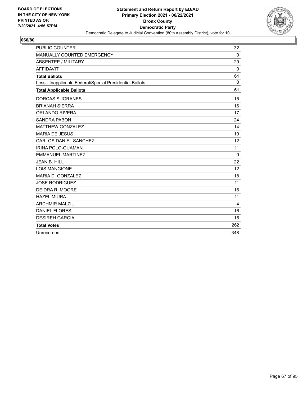

| <b>PUBLIC COUNTER</b>                                    | 32       |
|----------------------------------------------------------|----------|
| MANUALLY COUNTED EMERGENCY                               | 0        |
| <b>ABSENTEE / MILITARY</b>                               | 29       |
| <b>AFFIDAVIT</b>                                         | $\Omega$ |
| <b>Total Ballots</b>                                     | 61       |
| Less - Inapplicable Federal/Special Presidential Ballots | $\Omega$ |
| <b>Total Applicable Ballots</b>                          | 61       |
| <b>DORCAS SUGRANES</b>                                   | 15       |
| <b>BRIANAH SIERRA</b>                                    | 16       |
| <b>ORLANDO RIVERA</b>                                    | 17       |
| <b>SANDRA PABON</b>                                      | 24       |
| <b>MATTHEW GONZALEZ</b>                                  | 14       |
| <b>MARIA DE JESUS</b>                                    | 19       |
| <b>CARLOS DANIEL SANCHEZ</b>                             | 12       |
| IRINA POLO-GUAMAN                                        | 11       |
| <b>EMMANUEL MARTINEZ</b>                                 | 9        |
| <b>JEAN B. HILL</b>                                      | 22       |
| <b>LOIS MANGIONE</b>                                     | 12       |
| MARIA D. GONZALEZ                                        | 18       |
| <b>JOSE RODRIGUEZ</b>                                    | 11       |
| DEIDRA R. MOORE                                          | 16       |
| <b>HAZEL MIURA</b>                                       | 11       |
| <b>ARDHMIR MALZIU</b>                                    | 4        |
| <b>DANIEL FLORES</b>                                     | 16       |
| <b>DESIREH GARCIA</b>                                    | 15       |
| <b>Total Votes</b>                                       | 262      |
| Unrecorded                                               | 348      |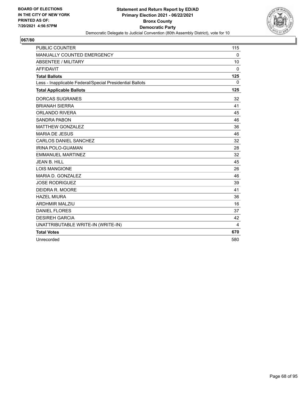

| <b>PUBLIC COUNTER</b>                                    | 115          |
|----------------------------------------------------------|--------------|
| MANUALLY COUNTED EMERGENCY                               | $\mathbf 0$  |
| <b>ABSENTEE / MILITARY</b>                               | 10           |
| <b>AFFIDAVIT</b>                                         | $\mathbf{0}$ |
| <b>Total Ballots</b>                                     | 125          |
| Less - Inapplicable Federal/Special Presidential Ballots | $\mathbf{0}$ |
| <b>Total Applicable Ballots</b>                          | 125          |
| <b>DORCAS SUGRANES</b>                                   | 32           |
| <b>BRIANAH SIERRA</b>                                    | 41           |
| <b>ORLANDO RIVERA</b>                                    | 45           |
| <b>SANDRA PABON</b>                                      | 46           |
| <b>MATTHEW GONZALEZ</b>                                  | 36           |
| <b>MARIA DE JESUS</b>                                    | 46           |
| CARLOS DANIEL SANCHEZ                                    | 32           |
| IRINA POLO-GUAMAN                                        | 28           |
| <b>EMMANUEL MARTINEZ</b>                                 | 32           |
| JFAN B. HILL                                             | 45           |
| <b>LOIS MANGIONE</b>                                     | 26           |
| MARIA D. GONZALEZ                                        | 46           |
| <b>JOSE RODRIGUEZ</b>                                    | 39           |
| DEIDRA R. MOORE                                          | 41           |
| <b>HAZEL MIURA</b>                                       | 36           |
| <b>ARDHMIR MALZIU</b>                                    | 16           |
| <b>DANIEL FLORES</b>                                     | 37           |
| <b>DESIREH GARCIA</b>                                    | 42           |
| UNATTRIBUTABLE WRITE-IN (WRITE-IN)                       | 4            |
| <b>Total Votes</b>                                       | 670          |
| Unrecorded                                               | 580          |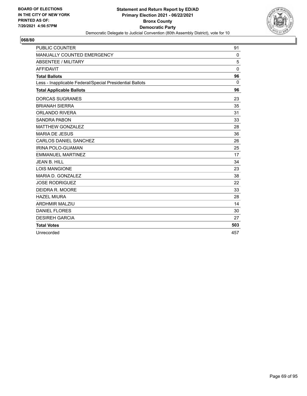

| <b>PUBLIC COUNTER</b>                                    | 91       |
|----------------------------------------------------------|----------|
| MANUALLY COUNTED EMERGENCY                               | 0        |
| <b>ABSENTEE / MILITARY</b>                               | 5        |
| <b>AFFIDAVIT</b>                                         | $\Omega$ |
| <b>Total Ballots</b>                                     | 96       |
| Less - Inapplicable Federal/Special Presidential Ballots | $\Omega$ |
| <b>Total Applicable Ballots</b>                          | 96       |
| <b>DORCAS SUGRANES</b>                                   | 23       |
| <b>BRIANAH SIERRA</b>                                    | 35       |
| <b>ORLANDO RIVERA</b>                                    | 31       |
| <b>SANDRA PABON</b>                                      | 33       |
| <b>MATTHEW GONZALEZ</b>                                  | 28       |
| <b>MARIA DE JESUS</b>                                    | 36       |
| <b>CARLOS DANIEL SANCHEZ</b>                             | 26       |
| IRINA POLO-GUAMAN                                        | 25       |
| <b>EMMANUEL MARTINEZ</b>                                 | 17       |
| <b>JEAN B. HILL</b>                                      | 34       |
| <b>LOIS MANGIONE</b>                                     | 23       |
| MARIA D. GONZALEZ                                        | 38       |
| <b>JOSE RODRIGUEZ</b>                                    | 22       |
| DEIDRA R. MOORE                                          | 33       |
| <b>HAZEL MIURA</b>                                       | 28       |
| <b>ARDHMIR MALZIU</b>                                    | 14       |
| <b>DANIEL FLORES</b>                                     | 30       |
| <b>DESIREH GARCIA</b>                                    | 27       |
| <b>Total Votes</b>                                       | 503      |
| Unrecorded                                               | 457      |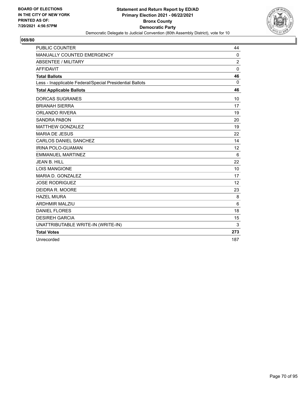

| <b>PUBLIC COUNTER</b>                                    | 44             |
|----------------------------------------------------------|----------------|
| MANUALLY COUNTED EMERGENCY                               | $\mathbf 0$    |
| <b>ABSENTEE / MILITARY</b>                               | $\overline{c}$ |
| <b>AFFIDAVIT</b>                                         | 0              |
| <b>Total Ballots</b>                                     | 46             |
| Less - Inapplicable Federal/Special Presidential Ballots | 0              |
| <b>Total Applicable Ballots</b>                          | 46             |
| <b>DORCAS SUGRANES</b>                                   | 10             |
| <b>BRIANAH SIERRA</b>                                    | 17             |
| <b>ORLANDO RIVERA</b>                                    | 19             |
| <b>SANDRA PABON</b>                                      | 20             |
| <b>MATTHEW GONZALEZ</b>                                  | 19             |
| <b>MARIA DE JESUS</b>                                    | 22             |
| <b>CARLOS DANIEL SANCHEZ</b>                             | 14             |
| <b>IRINA POLO-GUAMAN</b>                                 | 12             |
| <b>EMMANUEL MARTINEZ</b>                                 | 6              |
| <b>JEAN B. HILL</b>                                      | 22             |
| <b>LOIS MANGIONE</b>                                     | 10             |
| MARIA D. GONZALEZ                                        | 17             |
| <b>JOSE RODRIGUEZ</b>                                    | 12             |
| DEIDRA R. MOORE                                          | 23             |
| <b>HAZEL MIURA</b>                                       | 8              |
| <b>ARDHMIR MALZIU</b>                                    | 6              |
| <b>DANIEL FLORES</b>                                     | 18             |
| <b>DESIREH GARCIA</b>                                    | 15             |
| UNATTRIBUTABLE WRITE-IN (WRITE-IN)                       | 3              |
| <b>Total Votes</b>                                       | 273            |
| Unrecorded                                               | 187            |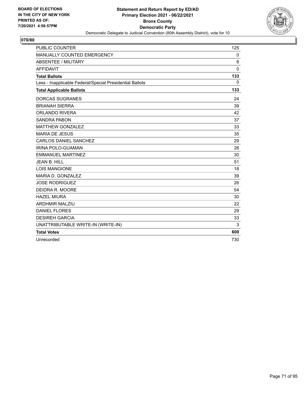

| <b>PUBLIC COUNTER</b>                                    | 125          |
|----------------------------------------------------------|--------------|
| MANUALLY COUNTED EMERGENCY                               | $\mathbf 0$  |
| <b>ABSENTEE / MILITARY</b>                               | 8            |
| <b>AFFIDAVIT</b>                                         | $\mathbf{0}$ |
| <b>Total Ballots</b>                                     | 133          |
| Less - Inapplicable Federal/Special Presidential Ballots | $\mathbf{0}$ |
| <b>Total Applicable Ballots</b>                          | 133          |
| <b>DORCAS SUGRANES</b>                                   | 24           |
| <b>BRIANAH SIERRA</b>                                    | 39           |
| <b>ORLANDO RIVERA</b>                                    | 42           |
| <b>SANDRA PABON</b>                                      | 37           |
| <b>MATTHEW GONZALEZ</b>                                  | 33           |
| <b>MARIA DE JESUS</b>                                    | 35           |
| CARLOS DANIEL SANCHEZ                                    | 29           |
| IRINA POLO-GUAMAN                                        | 26           |
| <b>EMMANUEL MARTINEZ</b>                                 | 30           |
| JFAN B. HILL                                             | 51           |
| <b>LOIS MANGIONE</b>                                     | 18           |
| MARIA D. GONZALEZ                                        | 39           |
| <b>JOSE RODRIGUEZ</b>                                    | 26           |
| DEIDRA R. MOORE                                          | 54           |
| <b>HAZEL MIURA</b>                                       | 30           |
| <b>ARDHMIR MALZIU</b>                                    | 22           |
| <b>DANIEL FLORES</b>                                     | 29           |
| <b>DESIREH GARCIA</b>                                    | 33           |
| UNATTRIBUTABLE WRITE-IN (WRITE-IN)                       | 3            |
| <b>Total Votes</b>                                       | 600          |
| Unrecorded                                               | 730          |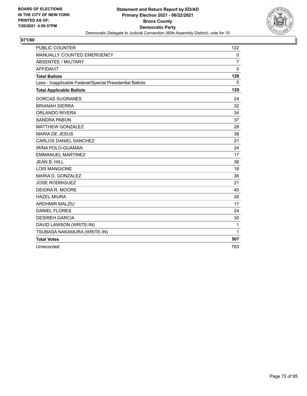

| <b>PUBLIC COUNTER</b>                                    | 122          |
|----------------------------------------------------------|--------------|
| MANUALLY COUNTED EMERGENCY                               | 0            |
| ABSENTEE / MILITARY                                      | 7            |
| <b>AFFIDAVIT</b>                                         | $\mathbf{0}$ |
| <b>Total Ballots</b>                                     | 129          |
| Less - Inapplicable Federal/Special Presidential Ballots | 0            |
| <b>Total Applicable Ballots</b>                          | 129          |
| <b>DORCAS SUGRANES</b>                                   | 24           |
| <b>BRIANAH SIERRA</b>                                    | 32           |
| <b>ORLANDO RIVERA</b>                                    | 34           |
| <b>SANDRA PABON</b>                                      | 37           |
| <b>MATTHEW GONZALEZ</b>                                  | 28           |
| <b>MARIA DE JESUS</b>                                    | 38           |
| <b>CARLOS DANIEL SANCHEZ</b>                             | 21           |
| <b>IRINA POLO-GUAMAN</b>                                 | 24           |
| <b>EMMANUEL MARTINEZ</b>                                 | 17           |
| <b>JEAN B. HILL</b>                                      | 38           |
| <b>LOIS MANGIONE</b>                                     | 18           |
| MARIA D. GONZALEZ                                        | 36           |
| <b>JOSE RODRIGUEZ</b>                                    | 21           |
| DEIDRA R. MOORE                                          | 40           |
| <b>HAZEL MIURA</b>                                       | 26           |
| <b>ARDHMIR MALZIU</b>                                    | 17           |
| <b>DANIEL FLORES</b>                                     | 24           |
| <b>DESIREH GARCIA</b>                                    | 30           |
| DAVID LAWSON (WRITE-IN)                                  | $\mathbf{1}$ |
| TSUBASA NAKAMURA (WRITE-IN)                              | $\mathbf{1}$ |
| <b>Total Votes</b>                                       | 507          |
| Unrecorded                                               | 783          |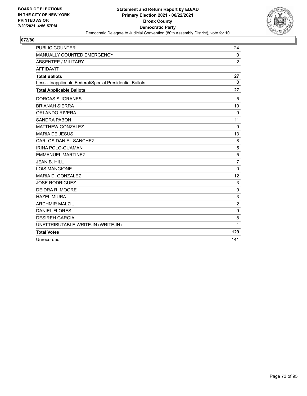

| <b>PUBLIC COUNTER</b>                                    | 24               |
|----------------------------------------------------------|------------------|
| MANUALLY COUNTED EMERGENCY                               | $\mathbf 0$      |
| <b>ABSENTEE / MILITARY</b>                               | $\overline{2}$   |
| <b>AFFIDAVIT</b>                                         | 1                |
| <b>Total Ballots</b>                                     | 27               |
| Less - Inapplicable Federal/Special Presidential Ballots | 0                |
| <b>Total Applicable Ballots</b>                          | 27               |
| <b>DORCAS SUGRANES</b>                                   | 5                |
| <b>BRIANAH SIERRA</b>                                    | 10               |
| <b>ORLANDO RIVERA</b>                                    | 9                |
| <b>SANDRA PABON</b>                                      | 11               |
| <b>MATTHEW GONZALEZ</b>                                  | 9                |
| <b>MARIA DE JESUS</b>                                    | 13               |
| <b>CARLOS DANIEL SANCHEZ</b>                             | 8                |
| <b>IRINA POLO-GUAMAN</b>                                 | 5                |
| <b>EMMANUEL MARTINEZ</b>                                 | 5                |
| <b>JEAN B. HILL</b>                                      | $\overline{7}$   |
| <b>LOIS MANGIONE</b>                                     | $\Omega$         |
| MARIA D. GONZALEZ                                        | 12               |
| <b>JOSE RODRIGUEZ</b>                                    | 3                |
| DEIDRA R. MOORE                                          | 9                |
| <b>HAZEL MIURA</b>                                       | 3                |
| <b>ARDHMIR MALZIU</b>                                    | $\boldsymbol{2}$ |
| <b>DANIEL FLORES</b>                                     | $\boldsymbol{9}$ |
| <b>DESIREH GARCIA</b>                                    | 8                |
| UNATTRIBUTABLE WRITE-IN (WRITE-IN)                       | 1                |
| <b>Total Votes</b>                                       | 129              |
| Unrecorded                                               | 141              |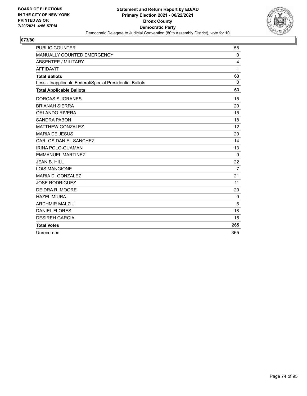

| <b>PUBLIC COUNTER</b>                                    | 58             |
|----------------------------------------------------------|----------------|
| MANUALLY COUNTED EMERGENCY                               | 0              |
| <b>ABSENTEE / MILITARY</b>                               | 4              |
| <b>AFFIDAVIT</b>                                         | 1              |
| <b>Total Ballots</b>                                     | 63             |
| Less - Inapplicable Federal/Special Presidential Ballots | $\Omega$       |
| <b>Total Applicable Ballots</b>                          | 63             |
| <b>DORCAS SUGRANES</b>                                   | 15             |
| <b>BRIANAH SIERRA</b>                                    | 20             |
| <b>ORLANDO RIVERA</b>                                    | 15             |
| <b>SANDRA PABON</b>                                      | 18             |
| <b>MATTHEW GONZALEZ</b>                                  | 12             |
| <b>MARIA DE JESUS</b>                                    | 20             |
| <b>CARLOS DANIEL SANCHEZ</b>                             | 14             |
| IRINA POLO-GUAMAN                                        | 13             |
| <b>EMMANUEL MARTINEZ</b>                                 | 9              |
| <b>JEAN B. HILL</b>                                      | 22             |
| <b>LOIS MANGIONE</b>                                     | $\overline{7}$ |
| MARIA D. GONZALEZ                                        | 21             |
| <b>JOSE RODRIGUEZ</b>                                    | 11             |
| DEIDRA R. MOORE                                          | 20             |
| <b>HAZEL MIURA</b>                                       | 9              |
| <b>ARDHMIR MALZIU</b>                                    | 6              |
| <b>DANIEL FLORES</b>                                     | 18             |
| <b>DESIREH GARCIA</b>                                    | 15             |
| <b>Total Votes</b>                                       | 265            |
| Unrecorded                                               | 365            |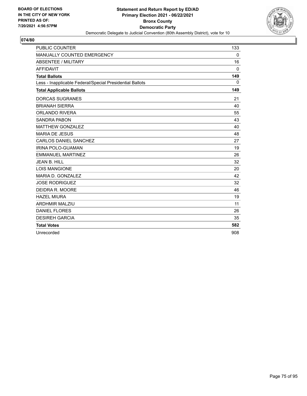

| <b>PUBLIC COUNTER</b>                                    | 133          |
|----------------------------------------------------------|--------------|
| MANUALLY COUNTED EMERGENCY                               | 0            |
| <b>ABSENTEE / MILITARY</b>                               | 16           |
| <b>AFFIDAVIT</b>                                         | $\Omega$     |
| <b>Total Ballots</b>                                     | 149          |
| Less - Inapplicable Federal/Special Presidential Ballots | $\mathbf{0}$ |
| <b>Total Applicable Ballots</b>                          | 149          |
| <b>DORCAS SUGRANES</b>                                   | 21           |
| <b>BRIANAH SIERRA</b>                                    | 40           |
| <b>ORLANDO RIVERA</b>                                    | 55           |
| <b>SANDRA PABON</b>                                      | 43           |
| <b>MATTHEW GONZALEZ</b>                                  | 40           |
| <b>MARIA DE JESUS</b>                                    | 48           |
| <b>CARLOS DANIEL SANCHEZ</b>                             | 27           |
| <b>IRINA POLO-GUAMAN</b>                                 | 19           |
| <b>EMMANUEL MARTINEZ</b>                                 | 26           |
| <b>JEAN B. HILL</b>                                      | 32           |
| <b>LOIS MANGIONE</b>                                     | 20           |
| MARIA D. GONZALEZ                                        | 42           |
| <b>JOSE RODRIGUEZ</b>                                    | 32           |
| DEIDRA R. MOORE                                          | 46           |
| <b>HAZEL MIURA</b>                                       | 19           |
| <b>ARDHMIR MALZIU</b>                                    | 11           |
| <b>DANIEL FLORES</b>                                     | 26           |
| <b>DESIREH GARCIA</b>                                    | 35           |
| <b>Total Votes</b>                                       | 582          |
| Unrecorded                                               | 908          |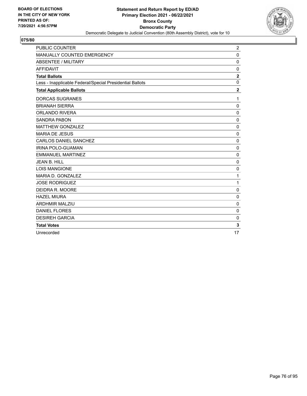

| <b>PUBLIC COUNTER</b>                                    | $\overline{2}$ |
|----------------------------------------------------------|----------------|
| MANUALLY COUNTED EMERGENCY                               | $\mathbf 0$    |
| ABSENTEE / MILITARY                                      | $\mathbf 0$    |
| <b>AFFIDAVIT</b>                                         | $\Omega$       |
| <b>Total Ballots</b>                                     | $\overline{2}$ |
| Less - Inapplicable Federal/Special Presidential Ballots | $\mathbf 0$    |
| <b>Total Applicable Ballots</b>                          | $\mathbf 2$    |
| <b>DORCAS SUGRANES</b>                                   | 1              |
| <b>BRIANAH SIERRA</b>                                    | $\mathbf 0$    |
| <b>ORLANDO RIVERA</b>                                    | $\mathbf 0$    |
| <b>SANDRA PABON</b>                                      | $\mathbf 0$    |
| <b>MATTHEW GONZALEZ</b>                                  | $\mathbf 0$    |
| <b>MARIA DE JESUS</b>                                    | $\mathbf 0$    |
| <b>CARLOS DANIEL SANCHEZ</b>                             | $\mathbf 0$    |
| IRINA POLO-GUAMAN                                        | $\mathbf 0$    |
| <b>EMMANUEL MARTINEZ</b>                                 | $\mathbf 0$    |
| JEAN B. HILL                                             | 0              |
| <b>LOIS MANGIONE</b>                                     | 0              |
| MARIA D. GONZALEZ                                        | 1              |
| <b>JOSE RODRIGUEZ</b>                                    | 1              |
| DEIDRA R. MOORE                                          | 0              |
| <b>HAZEL MIURA</b>                                       | $\mathbf 0$    |
| <b>ARDHMIR MALZIU</b>                                    | 0              |
| <b>DANIEL FLORES</b>                                     | 0              |
| <b>DESIREH GARCIA</b>                                    | 0              |
| <b>Total Votes</b>                                       | 3              |
| Unrecorded                                               | 17             |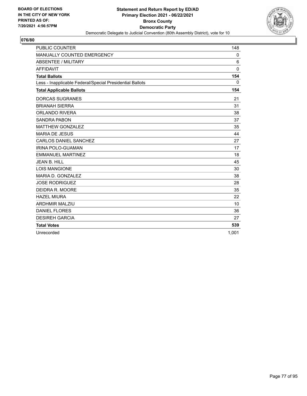

| <b>PUBLIC COUNTER</b>                                    | 148          |
|----------------------------------------------------------|--------------|
| MANUALLY COUNTED EMERGENCY                               | 0            |
| <b>ABSENTEE / MILITARY</b>                               | 6            |
| <b>AFFIDAVIT</b>                                         | $\mathbf{0}$ |
| <b>Total Ballots</b>                                     | 154          |
| Less - Inapplicable Federal/Special Presidential Ballots | $\mathbf{0}$ |
| <b>Total Applicable Ballots</b>                          | 154          |
| <b>DORCAS SUGRANES</b>                                   | 21           |
| <b>BRIANAH SIERRA</b>                                    | 31           |
| <b>ORLANDO RIVERA</b>                                    | 38           |
| <b>SANDRA PABON</b>                                      | 37           |
| <b>MATTHEW GONZALEZ</b>                                  | 35           |
| <b>MARIA DE JESUS</b>                                    | 44           |
| <b>CARLOS DANIEL SANCHEZ</b>                             | 27           |
| <b>IRINA POLO-GUAMAN</b>                                 | 17           |
| <b>EMMANUEL MARTINEZ</b>                                 | 18           |
| <b>JEAN B. HILL</b>                                      | 45           |
| <b>LOIS MANGIONE</b>                                     | 30           |
| MARIA D. GONZALEZ                                        | 38           |
| <b>JOSE RODRIGUEZ</b>                                    | 28           |
| DEIDRA R. MOORE                                          | 35           |
| <b>HAZEL MIURA</b>                                       | 22           |
| <b>ARDHMIR MALZIU</b>                                    | 10           |
| <b>DANIEL FLORES</b>                                     | 36           |
| <b>DESIREH GARCIA</b>                                    | 27           |
| <b>Total Votes</b>                                       | 539          |
| Unrecorded                                               | 1.001        |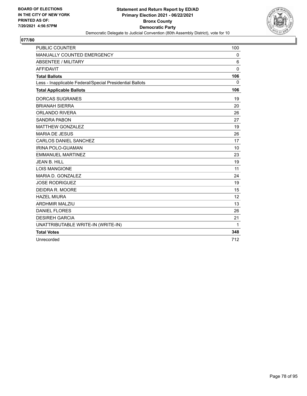

| <b>PUBLIC COUNTER</b>                                    | 100 |
|----------------------------------------------------------|-----|
| MANUALLY COUNTED EMERGENCY                               | 0   |
| ABSENTEE / MILITARY                                      | 6   |
| <b>AFFIDAVIT</b>                                         | 0   |
| <b>Total Ballots</b>                                     | 106 |
| Less - Inapplicable Federal/Special Presidential Ballots | 0   |
| <b>Total Applicable Ballots</b>                          | 106 |
| <b>DORCAS SUGRANES</b>                                   | 19  |
| <b>BRIANAH SIERRA</b>                                    | 20  |
| ORLANDO RIVERA                                           | 26  |
| <b>SANDRA PABON</b>                                      | 27  |
| <b>MATTHEW GONZALEZ</b>                                  | 19  |
| <b>MARIA DE JESUS</b>                                    | 26  |
| <b>CARLOS DANIEL SANCHEZ</b>                             | 17  |
| IRINA POLO-GUAMAN                                        | 10  |
| <b>EMMANUEL MARTINEZ</b>                                 | 23  |
| <b>JEAN B. HILL</b>                                      | 19  |
| <b>LOIS MANGIONE</b>                                     | 11  |
| MARIA D. GONZALEZ                                        | 24  |
| <b>JOSE RODRIGUEZ</b>                                    | 19  |
| DEIDRA R. MOORE                                          | 15  |
| <b>HAZEL MIURA</b>                                       | 12  |
| <b>ARDHMIR MALZIU</b>                                    | 13  |
| <b>DANIEL FLORES</b>                                     | 26  |
| <b>DESIREH GARCIA</b>                                    | 21  |
| UNATTRIBUTABLE WRITE-IN (WRITE-IN)                       | 1   |
| <b>Total Votes</b>                                       | 348 |
| Unrecorded                                               | 712 |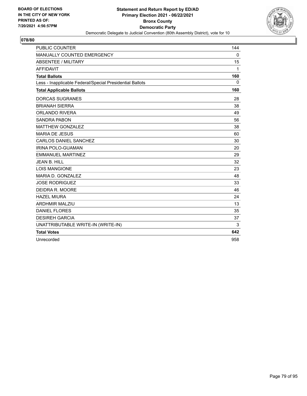

| <b>PUBLIC COUNTER</b>                                    | 144         |
|----------------------------------------------------------|-------------|
| MANUALLY COUNTED EMERGENCY                               | $\mathbf 0$ |
| <b>ABSENTEE / MILITARY</b>                               | 15          |
| <b>AFFIDAVIT</b>                                         | 1           |
| <b>Total Ballots</b>                                     | 160         |
| Less - Inapplicable Federal/Special Presidential Ballots | $\Omega$    |
| <b>Total Applicable Ballots</b>                          | 160         |
| <b>DORCAS SUGRANES</b>                                   | 28          |
| <b>BRIANAH SIERRA</b>                                    | 38          |
| <b>ORLANDO RIVERA</b>                                    | 49          |
| <b>SANDRA PABON</b>                                      | 56          |
| <b>MATTHEW GONZALEZ</b>                                  | 38          |
| <b>MARIA DE JESUS</b>                                    | 60          |
| CARLOS DANIEL SANCHEZ                                    | 30          |
| IRINA POLO-GUAMAN                                        | 20          |
| <b>EMMANUEL MARTINEZ</b>                                 | 29          |
| JFAN B. HILL                                             | 32          |
| <b>LOIS MANGIONE</b>                                     | 23          |
| MARIA D. GONZALEZ                                        | 48          |
| <b>JOSE RODRIGUEZ</b>                                    | 33          |
| DEIDRA R. MOORE                                          | 46          |
| <b>HAZEL MIURA</b>                                       | 24          |
| <b>ARDHMIR MALZIU</b>                                    | 13          |
| <b>DANIEL FLORES</b>                                     | 35          |
| <b>DESIREH GARCIA</b>                                    | 37          |
| UNATTRIBUTABLE WRITE-IN (WRITE-IN)                       | 3           |
| <b>Total Votes</b>                                       | 642         |
| Unrecorded                                               | 958         |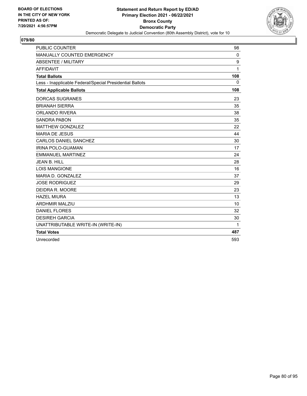

| <b>PUBLIC COUNTER</b>                                    | 98               |
|----------------------------------------------------------|------------------|
| MANUALLY COUNTED EMERGENCY                               | $\mathbf 0$      |
| <b>ABSENTEE / MILITARY</b>                               | $\boldsymbol{9}$ |
| <b>AFFIDAVIT</b>                                         | 1                |
| <b>Total Ballots</b>                                     | 108              |
| Less - Inapplicable Federal/Special Presidential Ballots | 0                |
| <b>Total Applicable Ballots</b>                          | 108              |
| <b>DORCAS SUGRANES</b>                                   | 23               |
| <b>BRIANAH SIERRA</b>                                    | 35               |
| <b>ORLANDO RIVERA</b>                                    | 38               |
| <b>SANDRA PABON</b>                                      | 35               |
| <b>MATTHEW GONZALEZ</b>                                  | 22               |
| <b>MARIA DE JESUS</b>                                    | 44               |
| CARLOS DANIEL SANCHEZ                                    | 30               |
| IRINA POLO-GUAMAN                                        | 17               |
| <b>EMMANUEL MARTINEZ</b>                                 | 24               |
| JFAN B. HILL                                             | 28               |
| <b>LOIS MANGIONE</b>                                     | 16               |
| MARIA D. GONZALEZ                                        | 37               |
| <b>JOSE RODRIGUEZ</b>                                    | 29               |
| DEIDRA R. MOORE                                          | 23               |
| <b>HAZEL MIURA</b>                                       | 13               |
| <b>ARDHMIR MALZIU</b>                                    | 10               |
| <b>DANIEL FLORES</b>                                     | 32               |
| <b>DESIREH GARCIA</b>                                    | 30               |
| UNATTRIBUTABLE WRITE-IN (WRITE-IN)                       | 1                |
| <b>Total Votes</b>                                       | 487              |
| Unrecorded                                               | 593              |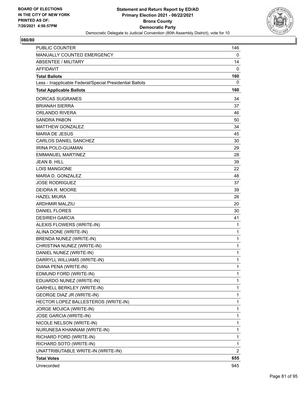

| <b>PUBLIC COUNTER</b>                                    | 146 |
|----------------------------------------------------------|-----|
| MANUALLY COUNTED EMERGENCY                               | 0   |
| <b>ABSENTEE / MILITARY</b>                               | 14  |
| <b>AFFIDAVIT</b>                                         | 0   |
| <b>Total Ballots</b>                                     | 160 |
| Less - Inapplicable Federal/Special Presidential Ballots | 0   |
| <b>Total Applicable Ballots</b>                          | 160 |
| <b>DORCAS SUGRANES</b>                                   | 34  |
| <b>BRIANAH SIERRA</b>                                    | 37  |
| ORLANDO RIVERA                                           | 46  |
| SANDRA PABON                                             | 50  |
| <b>MATTHEW GONZALEZ</b>                                  | 34  |
| <b>MARIA DE JESUS</b>                                    | 45  |
| <b>CARLOS DANIEL SANCHEZ</b>                             | 30  |
| IRINA POLO-GUAMAN                                        | 29  |
| <b>EMMANUEL MARTINEZ</b>                                 | 28  |
| <b>JEAN B. HILL</b>                                      | 39  |
| <b>LOIS MANGIONE</b>                                     | 22  |
| MARIA D. GONZALEZ                                        | 48  |
| <b>JOSE RODRIGUEZ</b>                                    | 37  |
| DEIDRA R. MOORE                                          | 39  |
| <b>HAZEL MIURA</b>                                       | 26  |
| <b>ARDHMIR MALZIU</b>                                    | 20  |
| <b>DANIEL FLORES</b>                                     | 30  |
| <b>DESIREH GARCIA</b>                                    | 41  |
| ALEXIS FLOWERS (WRITE-IN)                                | 1   |
| ALINA DONE (WRITE-IN)                                    | 1   |
| BRENDA NUNEZ (WRITE-IN)                                  | 1   |
| CHRISTINA NUNEZ (WRITE-IN)                               | 1   |
| DANIEL NUNEZ (WRITE-IN)                                  | 1   |
| DARRYLL WILLIAMS (WRITE-IN)                              | 1   |
| DIANA PENA (WRITE-IN)                                    | 1   |
| EDMUND FORD (WRITE-IN)                                   | 1   |
| EDUARDO NUNEZ (WRITE-IN)                                 | 1   |
| GARHELL BERKLEY (WRITE-IN)                               | 1   |
| GEORGE DIAZ JR (WRITE-IN)                                | 1   |
| HECTOR LOPEZ BALLESTEROS (WRITE-IN)                      | 1   |
| <b>JORGE MOJICA (WRITE-IN)</b>                           | 1   |
| JOSE GARCIA (WRITE-IN)                                   | 1   |
| NICOLE NELSON (WRITE-IN)                                 | 1   |
| NURUNESA KHANNAM (WRITE-IN)                              | 1   |
| RICHARD FORD (WRITE-IN)                                  | 1   |
| RICHARD SOTO (WRITE-IN)                                  | 1   |
| UNATTRIBUTABLE WRITE-IN (WRITE-IN)                       | 2   |
| <b>Total Votes</b>                                       | 655 |
| Unrecorded                                               | 945 |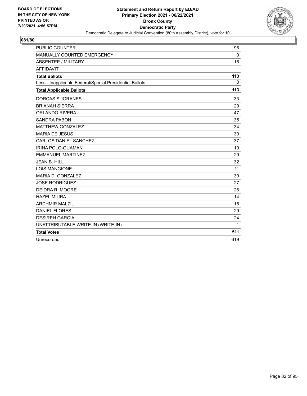

| <b>PUBLIC COUNTER</b>                                    | 96          |
|----------------------------------------------------------|-------------|
| MANUALLY COUNTED EMERGENCY                               | $\mathbf 0$ |
| <b>ABSENTEE / MILITARY</b>                               | 16          |
| <b>AFFIDAVIT</b>                                         | 1           |
| <b>Total Ballots</b>                                     | 113         |
| Less - Inapplicable Federal/Special Presidential Ballots | $\mathbf 0$ |
| <b>Total Applicable Ballots</b>                          | 113         |
| <b>DORCAS SUGRANES</b>                                   | 33          |
| <b>BRIANAH SIERRA</b>                                    | 29          |
| <b>ORLANDO RIVERA</b>                                    | 47          |
| <b>SANDRA PABON</b>                                      | 35          |
| <b>MATTHEW GONZALEZ</b>                                  | 34          |
| <b>MARIA DE JESUS</b>                                    | 30          |
| CARLOS DANIEL SANCHEZ                                    | 37          |
| <b>IRINA POLO-GUAMAN</b>                                 | 19          |
| <b>EMMANUEL MARTINEZ</b>                                 | 29          |
| JEAN B. HILL                                             | 32          |
| <b>LOIS MANGIONE</b>                                     | 11          |
| MARIA D. GONZALEZ                                        | 39          |
| <b>JOSE RODRIGUEZ</b>                                    | 27          |
| DEIDRA R. MOORE                                          | 26          |
| <b>HAZEL MIURA</b>                                       | 14          |
| <b>ARDHMIR MALZIU</b>                                    | 15          |
| <b>DANIEL FLORES</b>                                     | 29          |
| <b>DESIREH GARCIA</b>                                    | 24          |
| UNATTRIBUTABLE WRITE-IN (WRITE-IN)                       | 1           |
| <b>Total Votes</b>                                       | 511         |
| Unrecorded                                               | 619         |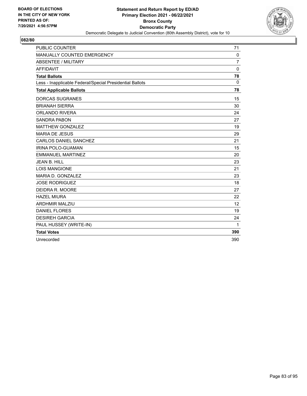

| <b>PUBLIC COUNTER</b>                                    | 71             |
|----------------------------------------------------------|----------------|
| MANUALLY COUNTED EMERGENCY                               | 0              |
| <b>ABSENTEE / MILITARY</b>                               | $\overline{7}$ |
| <b>AFFIDAVIT</b>                                         | $\Omega$       |
| <b>Total Ballots</b>                                     | 78             |
| Less - Inapplicable Federal/Special Presidential Ballots | $\Omega$       |
| <b>Total Applicable Ballots</b>                          | 78             |
| <b>DORCAS SUGRANES</b>                                   | 15             |
| <b>BRIANAH SIERRA</b>                                    | 30             |
| <b>ORLANDO RIVERA</b>                                    | 24             |
| <b>SANDRA PABON</b>                                      | 27             |
| <b>MATTHEW GONZALEZ</b>                                  | 19             |
| <b>MARIA DE JESUS</b>                                    | 29             |
| <b>CARLOS DANIEL SANCHEZ</b>                             | 21             |
| IRINA POLO-GUAMAN                                        | 15             |
| <b>EMMANUEL MARTINEZ</b>                                 | 20             |
| <b>JEAN B. HILL</b>                                      | 23             |
| <b>LOIS MANGIONE</b>                                     | 21             |
| MARIA D. GONZALEZ                                        | 23             |
| <b>JOSE RODRIGUEZ</b>                                    | 18             |
| DEIDRA R. MOORE                                          | 27             |
| <b>HAZEL MIURA</b>                                       | 22             |
| <b>ARDHMIR MALZIU</b>                                    | 12             |
| <b>DANIEL FLORES</b>                                     | 19             |
| <b>DESIREH GARCIA</b>                                    | 24             |
| PAUL HUSSEY (WRITE-IN)                                   | 1              |
| <b>Total Votes</b>                                       | 390            |
| Unrecorded                                               | 390            |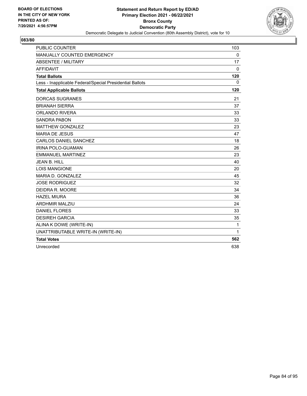

| <b>PUBLIC COUNTER</b>                                    | 103          |
|----------------------------------------------------------|--------------|
| MANUALLY COUNTED EMERGENCY                               | 0            |
| <b>ABSENTEE / MILITARY</b>                               | 17           |
| <b>AFFIDAVIT</b>                                         | 0            |
| <b>Total Ballots</b>                                     | 120          |
| Less - Inapplicable Federal/Special Presidential Ballots | $\mathbf{0}$ |
| <b>Total Applicable Ballots</b>                          | 120          |
| <b>DORCAS SUGRANES</b>                                   | 21           |
| <b>BRIANAH SIERRA</b>                                    | 37           |
| <b>ORLANDO RIVERA</b>                                    | 33           |
| <b>SANDRA PABON</b>                                      | 33           |
| <b>MATTHEW GONZALEZ</b>                                  | 23           |
| <b>MARIA DE JESUS</b>                                    | 47           |
| CARLOS DANIEL SANCHEZ                                    | 18           |
| <b>IRINA POLO-GUAMAN</b>                                 | 26           |
| <b>EMMANUEL MARTINEZ</b>                                 | 23           |
| JEAN B. HILL                                             | 40           |
| <b>LOIS MANGIONE</b>                                     | 20           |
| MARIA D. GONZALEZ                                        | 45           |
| <b>JOSE RODRIGUEZ</b>                                    | 32           |
| DEIDRA R. MOORE                                          | 34           |
| <b>HAZEL MIURA</b>                                       | 36           |
| <b>ARDHMIR MALZIU</b>                                    | 24           |
| <b>DANIEL FLORES</b>                                     | 33           |
| <b>DESIREH GARCIA</b>                                    | 35           |
| ALINA K DOWE (WRITE-IN)                                  | 1            |
| UNATTRIBUTABLE WRITE-IN (WRITE-IN)                       | 1            |
| <b>Total Votes</b>                                       | 562          |
| Unrecorded                                               | 638          |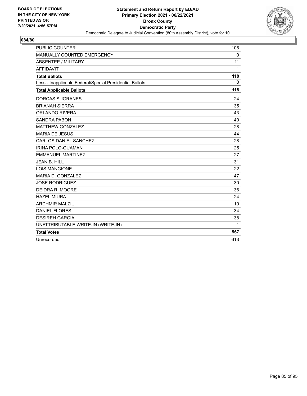

| <b>PUBLIC COUNTER</b>                                    | 106         |
|----------------------------------------------------------|-------------|
| MANUALLY COUNTED EMERGENCY                               | $\mathbf 0$ |
| <b>ABSENTEE / MILITARY</b>                               | 11          |
| <b>AFFIDAVIT</b>                                         | 1           |
| <b>Total Ballots</b>                                     | 118         |
| Less - Inapplicable Federal/Special Presidential Ballots | $\Omega$    |
| <b>Total Applicable Ballots</b>                          | 118         |
| <b>DORCAS SUGRANES</b>                                   | 24          |
| <b>BRIANAH SIERRA</b>                                    | 35          |
| <b>ORLANDO RIVERA</b>                                    | 43          |
| <b>SANDRA PABON</b>                                      | 40          |
| <b>MATTHEW GONZALEZ</b>                                  | 28          |
| <b>MARIA DE JESUS</b>                                    | 44          |
| CARLOS DANIEL SANCHEZ                                    | 28          |
| IRINA POLO-GUAMAN                                        | 25          |
| <b>EMMANUEL MARTINEZ</b>                                 | 27          |
| JFAN B. HILL                                             | 31          |
| <b>LOIS MANGIONE</b>                                     | 22          |
| MARIA D. GONZALEZ                                        | 47          |
| <b>JOSE RODRIGUEZ</b>                                    | 30          |
| DEIDRA R. MOORE                                          | 36          |
| <b>HAZEL MIURA</b>                                       | 24          |
| <b>ARDHMIR MALZIU</b>                                    | 10          |
| <b>DANIEL FLORES</b>                                     | 34          |
| <b>DESIREH GARCIA</b>                                    | 38          |
| UNATTRIBUTABLE WRITE-IN (WRITE-IN)                       | 1           |
| <b>Total Votes</b>                                       | 567         |
| Unrecorded                                               | 613         |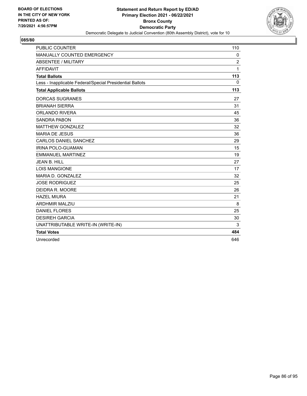

| <b>PUBLIC COUNTER</b>                                    | 110            |
|----------------------------------------------------------|----------------|
| MANUALLY COUNTED EMERGENCY                               | 0              |
| <b>ABSENTEE / MILITARY</b>                               | $\overline{c}$ |
| <b>AFFIDAVIT</b>                                         | 1              |
| <b>Total Ballots</b>                                     | 113            |
| Less - Inapplicable Federal/Special Presidential Ballots | $\Omega$       |
| <b>Total Applicable Ballots</b>                          | 113            |
| <b>DORCAS SUGRANES</b>                                   | 27             |
| <b>BRIANAH SIERRA</b>                                    | 31             |
| <b>ORLANDO RIVERA</b>                                    | 45             |
| <b>SANDRA PABON</b>                                      | 36             |
| <b>MATTHEW GONZALEZ</b>                                  | 32             |
| <b>MARIA DE JESUS</b>                                    | 36             |
| CARLOS DANIEL SANCHEZ                                    | 29             |
| IRINA POLO-GUAMAN                                        | 15             |
| <b>EMMANUEL MARTINEZ</b>                                 | 19             |
| <b>JEAN B. HILL</b>                                      | 27             |
| <b>LOIS MANGIONE</b>                                     | 17             |
| MARIA D. GONZALEZ                                        | 32             |
| <b>JOSE RODRIGUEZ</b>                                    | 25             |
| DEIDRA R. MOORE                                          | 26             |
| <b>HAZEL MIURA</b>                                       | 21             |
| <b>ARDHMIR MALZIU</b>                                    | 8              |
| <b>DANIEL FLORES</b>                                     | 25             |
| <b>DESIREH GARCIA</b>                                    | 30             |
| UNATTRIBUTABLE WRITE-IN (WRITE-IN)                       | 3              |
| <b>Total Votes</b>                                       | 484            |
| Unrecorded                                               | 646            |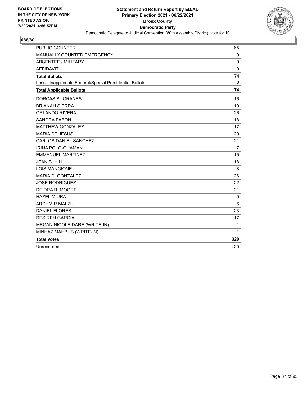

| <b>PUBLIC COUNTER</b>                                    | 65             |
|----------------------------------------------------------|----------------|
| MANUALLY COUNTED EMERGENCY                               | 0              |
| ABSENTEE / MILITARY                                      | 9              |
| <b>AFFIDAVIT</b>                                         | $\mathbf{0}$   |
| <b>Total Ballots</b>                                     | 74             |
| Less - Inapplicable Federal/Special Presidential Ballots | $\mathbf 0$    |
| <b>Total Applicable Ballots</b>                          | 74             |
| <b>DORCAS SUGRANES</b>                                   | 16             |
| <b>BRIANAH SIERRA</b>                                    | 19             |
| <b>ORLANDO RIVERA</b>                                    | 26             |
| <b>SANDRA PABON</b>                                      | 18             |
| <b>MATTHEW GONZALEZ</b>                                  | 17             |
| <b>MARIA DE JESUS</b>                                    | 29             |
| <b>CARLOS DANIEL SANCHEZ</b>                             | 21             |
| <b>IRINA POLO-GUAMAN</b>                                 | $\overline{7}$ |
| <b>EMMANUEL MARTINEZ</b>                                 | 15             |
| <b>JEAN B. HILL</b>                                      | 18             |
| <b>LOIS MANGIONE</b>                                     | 8              |
| MARIA D. GONZALEZ                                        | 26             |
| <b>JOSE RODRIGUEZ</b>                                    | 22             |
| DEIDRA R. MOORE                                          | 21             |
| <b>HAZEL MIURA</b>                                       | 9              |
| <b>ARDHMIR MALZIU</b>                                    | 6              |
| <b>DANIEL FLORES</b>                                     | 23             |
| <b>DESIREH GARCIA</b>                                    | 17             |
| MEGAN NICOLE DARE (WRITE-IN)                             | $\mathbf{1}$   |
| MINHAZ MAHBUB (WRITE-IN)                                 | $\mathbf{1}$   |
| <b>Total Votes</b>                                       | 320            |
| Unrecorded                                               | 420            |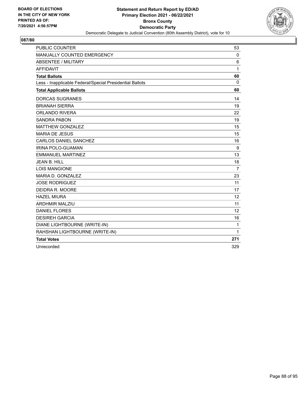

| <b>PUBLIC COUNTER</b>                                    | 53             |
|----------------------------------------------------------|----------------|
| MANUALLY COUNTED EMERGENCY                               | $\mathbf 0$    |
| ABSENTEE / MILITARY                                      | 6              |
| <b>AFFIDAVIT</b>                                         | 1              |
| <b>Total Ballots</b>                                     | 60             |
| Less - Inapplicable Federal/Special Presidential Ballots | $\Omega$       |
| <b>Total Applicable Ballots</b>                          | 60             |
| <b>DORCAS SUGRANES</b>                                   | 14             |
| <b>BRIANAH SIERRA</b>                                    | 19             |
| <b>ORLANDO RIVERA</b>                                    | 22             |
| <b>SANDRA PABON</b>                                      | 19             |
| <b>MATTHEW GONZALEZ</b>                                  | 15             |
| <b>MARIA DE JESUS</b>                                    | 15             |
| CARLOS DANIEL SANCHEZ                                    | 16             |
| <b>IRINA POLO-GUAMAN</b>                                 | 9              |
| <b>EMMANUEL MARTINEZ</b>                                 | 13             |
| <b>JEAN B. HILL</b>                                      | 18             |
| <b>LOIS MANGIONE</b>                                     | $\overline{7}$ |
| MARIA D. GONZALEZ                                        | 23             |
| <b>JOSE RODRIGUEZ</b>                                    | 11             |
| DEIDRA R. MOORE                                          | 17             |
| <b>HAZEL MIURA</b>                                       | 12             |
| <b>ARDHMIR MALZIU</b>                                    | 11             |
| <b>DANIEL FLORES</b>                                     | 12             |
| <b>DESIREH GARCIA</b>                                    | 16             |
| DIANE LIGHTBOURNE (WRITE-IN)                             | $\mathbf{1}$   |
| RAHSHAN LIGHTBOURNE (WRITE-IN)                           | 1              |
| <b>Total Votes</b>                                       | 271            |
| Unrecorded                                               | 329            |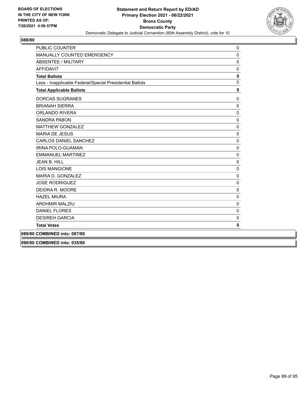

| <b>PUBLIC COUNTER</b>                                    | $\mathbf 0$  |
|----------------------------------------------------------|--------------|
| <b>MANUALLY COUNTED EMERGENCY</b>                        | $\Omega$     |
| <b>ABSENTEE / MILITARY</b>                               | $\mathbf 0$  |
| <b>AFFIDAVIT</b>                                         | $\Omega$     |
| <b>Total Ballots</b>                                     | $\mathbf 0$  |
| Less - Inapplicable Federal/Special Presidential Ballots | $\mathbf{0}$ |
| <b>Total Applicable Ballots</b>                          | 0            |
| <b>DORCAS SUGRANES</b>                                   | $\mathbf 0$  |
| <b>BRIANAH SIERRA</b>                                    | $\mathbf 0$  |
| <b>ORLANDO RIVERA</b>                                    | $\mathbf 0$  |
| <b>SANDRA PABON</b>                                      | $\Omega$     |
| <b>MATTHEW GONZALEZ</b>                                  | $\mathbf 0$  |
| <b>MARIA DE JESUS</b>                                    | $\mathbf 0$  |
| <b>CARLOS DANIEL SANCHEZ</b>                             | $\mathbf 0$  |
| <b>IRINA POLO-GUAMAN</b>                                 | $\mathbf 0$  |
| <b>EMMANUEL MARTINEZ</b>                                 | $\mathbf 0$  |
| <b>JEAN B. HILL</b>                                      | $\mathbf{0}$ |
| <b>LOIS MANGIONE</b>                                     | 0            |
| MARIA D. GONZALEZ                                        | $\mathbf 0$  |
| <b>JOSE RODRIGUEZ</b>                                    | $\mathbf 0$  |
| DEIDRA R. MOORE                                          | $\Omega$     |
| <b>HAZEL MIURA</b>                                       | $\mathbf 0$  |
| <b>ARDHMIR MALZIU</b>                                    | $\mathbf 0$  |
| <b>DANIEL FLORES</b>                                     | $\Omega$     |
| <b>DESIREH GARCIA</b>                                    | $\mathbf 0$  |
| <b>Total Votes</b>                                       | 0            |
| 089/80 COMBINED into: 087/80                             |              |

**090/80 COMBINED into: 035/80**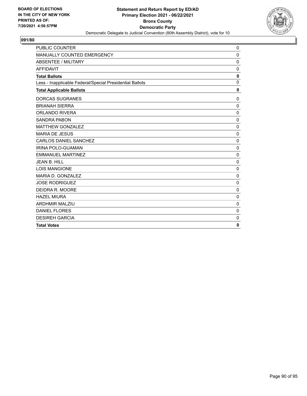

| <b>PUBLIC COUNTER</b>                                    | $\mathbf 0$  |
|----------------------------------------------------------|--------------|
| MANUALLY COUNTED EMERGENCY                               | $\mathbf 0$  |
| <b>ABSENTEE / MILITARY</b>                               | $\mathbf 0$  |
| <b>AFFIDAVIT</b>                                         | $\mathbf 0$  |
| <b>Total Ballots</b>                                     | 0            |
| Less - Inapplicable Federal/Special Presidential Ballots | $\mathbf{0}$ |
| <b>Total Applicable Ballots</b>                          | $\mathbf{0}$ |
| <b>DORCAS SUGRANES</b>                                   | 0            |
| <b>BRIANAH SIERRA</b>                                    | $\mathbf 0$  |
| <b>ORLANDO RIVERA</b>                                    | $\mathbf 0$  |
| <b>SANDRA PABON</b>                                      | $\mathbf 0$  |
| <b>MATTHEW GONZALEZ</b>                                  | $\mathbf 0$  |
| <b>MARIA DE JESUS</b>                                    | $\Omega$     |
| <b>CARLOS DANIEL SANCHEZ</b>                             | $\mathbf 0$  |
| <b>IRINA POLO-GUAMAN</b>                                 | $\mathbf 0$  |
| <b>EMMANUEL MARTINEZ</b>                                 | $\mathbf 0$  |
| <b>JEAN B. HILL</b>                                      | $\mathbf 0$  |
| <b>LOIS MANGIONE</b>                                     | 0            |
| MARIA D. GONZALEZ                                        | $\mathbf 0$  |
| <b>JOSE RODRIGUEZ</b>                                    | 0            |
| DEIDRA R. MOORE                                          | 0            |
| <b>HAZEL MIURA</b>                                       | $\mathbf 0$  |
| <b>ARDHMIR MALZIU</b>                                    | $\mathbf 0$  |
| <b>DANIEL FLORES</b>                                     | $\mathbf 0$  |
| <b>DESIREH GARCIA</b>                                    | $\mathbf 0$  |
| <b>Total Votes</b>                                       | $\mathbf 0$  |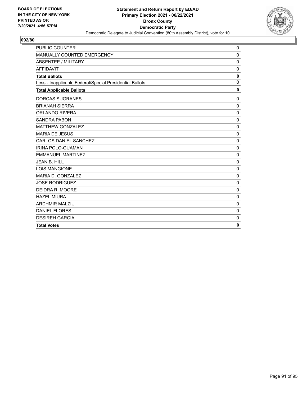

| <b>PUBLIC COUNTER</b>                                    | $\mathbf 0$  |
|----------------------------------------------------------|--------------|
| MANUALLY COUNTED EMERGENCY                               | $\mathbf 0$  |
| <b>ABSENTEE / MILITARY</b>                               | $\mathbf 0$  |
| <b>AFFIDAVIT</b>                                         | $\mathbf 0$  |
| <b>Total Ballots</b>                                     | 0            |
| Less - Inapplicable Federal/Special Presidential Ballots | $\mathbf{0}$ |
| <b>Total Applicable Ballots</b>                          | $\mathbf{0}$ |
| <b>DORCAS SUGRANES</b>                                   | 0            |
| <b>BRIANAH SIERRA</b>                                    | $\mathbf 0$  |
| <b>ORLANDO RIVERA</b>                                    | $\mathbf 0$  |
| <b>SANDRA PABON</b>                                      | $\mathbf 0$  |
| <b>MATTHEW GONZALEZ</b>                                  | $\mathbf 0$  |
| <b>MARIA DE JESUS</b>                                    | $\Omega$     |
| <b>CARLOS DANIEL SANCHEZ</b>                             | $\mathbf 0$  |
| <b>IRINA POLO-GUAMAN</b>                                 | $\mathbf 0$  |
| <b>EMMANUEL MARTINEZ</b>                                 | $\mathbf 0$  |
| JEAN B. HILL                                             | $\mathbf 0$  |
| <b>LOIS MANGIONE</b>                                     | 0            |
| MARIA D. GONZALEZ                                        | $\mathbf 0$  |
| <b>JOSE RODRIGUEZ</b>                                    | 0            |
| DEIDRA R. MOORE                                          | 0            |
| <b>HAZEL MIURA</b>                                       | $\mathbf 0$  |
| <b>ARDHMIR MALZIU</b>                                    | $\mathbf 0$  |
| <b>DANIEL FLORES</b>                                     | $\mathbf 0$  |
| <b>DESIREH GARCIA</b>                                    | $\mathbf 0$  |
| <b>Total Votes</b>                                       | $\mathbf 0$  |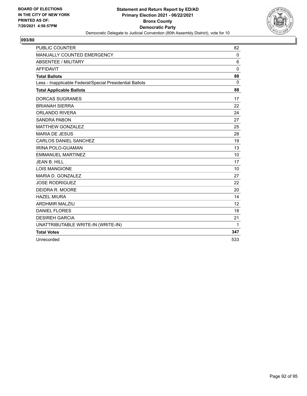

| <b>PUBLIC COUNTER</b>                                    | 82          |
|----------------------------------------------------------|-------------|
| MANUALLY COUNTED EMERGENCY                               | $\mathbf 0$ |
| <b>ABSENTEE / MILITARY</b>                               | 6           |
| <b>AFFIDAVIT</b>                                         | $\Omega$    |
| <b>Total Ballots</b>                                     | 88          |
| Less - Inapplicable Federal/Special Presidential Ballots | $\Omega$    |
| <b>Total Applicable Ballots</b>                          | 88          |
| <b>DORCAS SUGRANES</b>                                   | 17          |
| <b>BRIANAH SIERRA</b>                                    | 22          |
| <b>ORLANDO RIVERA</b>                                    | 24          |
| <b>SANDRA PABON</b>                                      | 27          |
| <b>MATTHEW GONZALEZ</b>                                  | 25          |
| <b>MARIA DE JESUS</b>                                    | 28          |
| <b>CARLOS DANIEL SANCHEZ</b>                             | 19          |
| IRINA POLO-GUAMAN                                        | 13          |
| <b>EMMANUEL MARTINEZ</b>                                 | 10          |
| <b>JEAN B. HILL</b>                                      | 17          |
| <b>LOIS MANGIONE</b>                                     | 10          |
| MARIA D. GONZALEZ                                        | 27          |
| <b>JOSE RODRIGUEZ</b>                                    | 22          |
| DEIDRA R. MOORE                                          | 20          |
| <b>HAZEL MIURA</b>                                       | 14          |
| <b>ARDHMIR MALZIU</b>                                    | 12          |
| <b>DANIEL FLORES</b>                                     | 18          |
| <b>DESIREH GARCIA</b>                                    | 21          |
| UNATTRIBUTABLE WRITE-IN (WRITE-IN)                       | 1           |
| <b>Total Votes</b>                                       | 347         |
| Unrecorded                                               | 533         |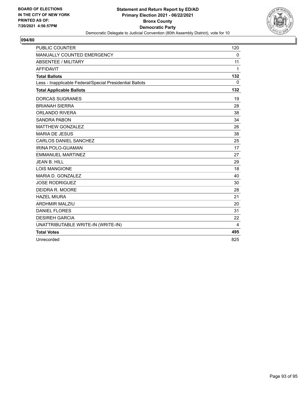

| <b>PUBLIC COUNTER</b>                                    | 120         |
|----------------------------------------------------------|-------------|
| MANUALLY COUNTED EMERGENCY                               | $\mathbf 0$ |
| <b>ABSENTEE / MILITARY</b>                               | 11          |
| <b>AFFIDAVIT</b>                                         | 1           |
| <b>Total Ballots</b>                                     | 132         |
| Less - Inapplicable Federal/Special Presidential Ballots | $\Omega$    |
| <b>Total Applicable Ballots</b>                          | 132         |
| <b>DORCAS SUGRANES</b>                                   | 19          |
| <b>BRIANAH SIERRA</b>                                    | 28          |
| <b>ORLANDO RIVERA</b>                                    | 38          |
| <b>SANDRA PABON</b>                                      | 34          |
| <b>MATTHEW GONZALEZ</b>                                  | 26          |
| <b>MARIA DE JESUS</b>                                    | 38          |
| CARLOS DANIEL SANCHEZ                                    | 25          |
| IRINA POLO-GUAMAN                                        | 17          |
| <b>EMMANUEL MARTINEZ</b>                                 | 27          |
| <b>JEAN B. HILL</b>                                      | 29          |
| <b>LOIS MANGIONE</b>                                     | 18          |
| MARIA D. GONZALEZ                                        | 40          |
| <b>JOSE RODRIGUEZ</b>                                    | 30          |
| DEIDRA R. MOORE                                          | 28          |
| <b>HAZEL MIURA</b>                                       | 21          |
| <b>ARDHMIR MALZIU</b>                                    | 20          |
| <b>DANIEL FLORES</b>                                     | 31          |
| <b>DESIREH GARCIA</b>                                    | 22          |
| UNATTRIBUTABLE WRITE-IN (WRITE-IN)                       | 4           |
| <b>Total Votes</b>                                       | 495         |
| Unrecorded                                               | 825         |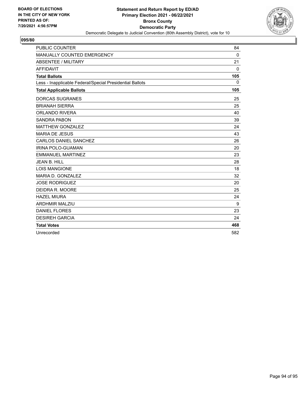

| <b>PUBLIC COUNTER</b>                                    | 84           |
|----------------------------------------------------------|--------------|
| MANUALLY COUNTED EMERGENCY                               | 0            |
| <b>ABSENTEE / MILITARY</b>                               | 21           |
| <b>AFFIDAVIT</b>                                         | $\mathbf{0}$ |
| <b>Total Ballots</b>                                     | 105          |
| Less - Inapplicable Federal/Special Presidential Ballots | $\mathbf{0}$ |
| <b>Total Applicable Ballots</b>                          | 105          |
| <b>DORCAS SUGRANES</b>                                   | 25           |
| <b>BRIANAH SIERRA</b>                                    | 25           |
| <b>ORLANDO RIVERA</b>                                    | 40           |
| <b>SANDRA PABON</b>                                      | 39           |
| <b>MATTHEW GONZALEZ</b>                                  | 24           |
| <b>MARIA DE JESUS</b>                                    | 43           |
| <b>CARLOS DANIEL SANCHEZ</b>                             | 26           |
| <b>IRINA POLO-GUAMAN</b>                                 | 20           |
| <b>EMMANUEL MARTINEZ</b>                                 | 23           |
| <b>JEAN B. HILL</b>                                      | 28           |
| <b>LOIS MANGIONE</b>                                     | 18           |
| MARIA D. GONZALEZ                                        | 32           |
| <b>JOSE RODRIGUEZ</b>                                    | 20           |
| DEIDRA R. MOORE                                          | 25           |
| <b>HAZEL MIURA</b>                                       | 24           |
| <b>ARDHMIR MALZIU</b>                                    | 9            |
| <b>DANIEL FLORES</b>                                     | 23           |
| <b>DESIREH GARCIA</b>                                    | 24           |
| <b>Total Votes</b>                                       | 468          |
| Unrecorded                                               | 582          |